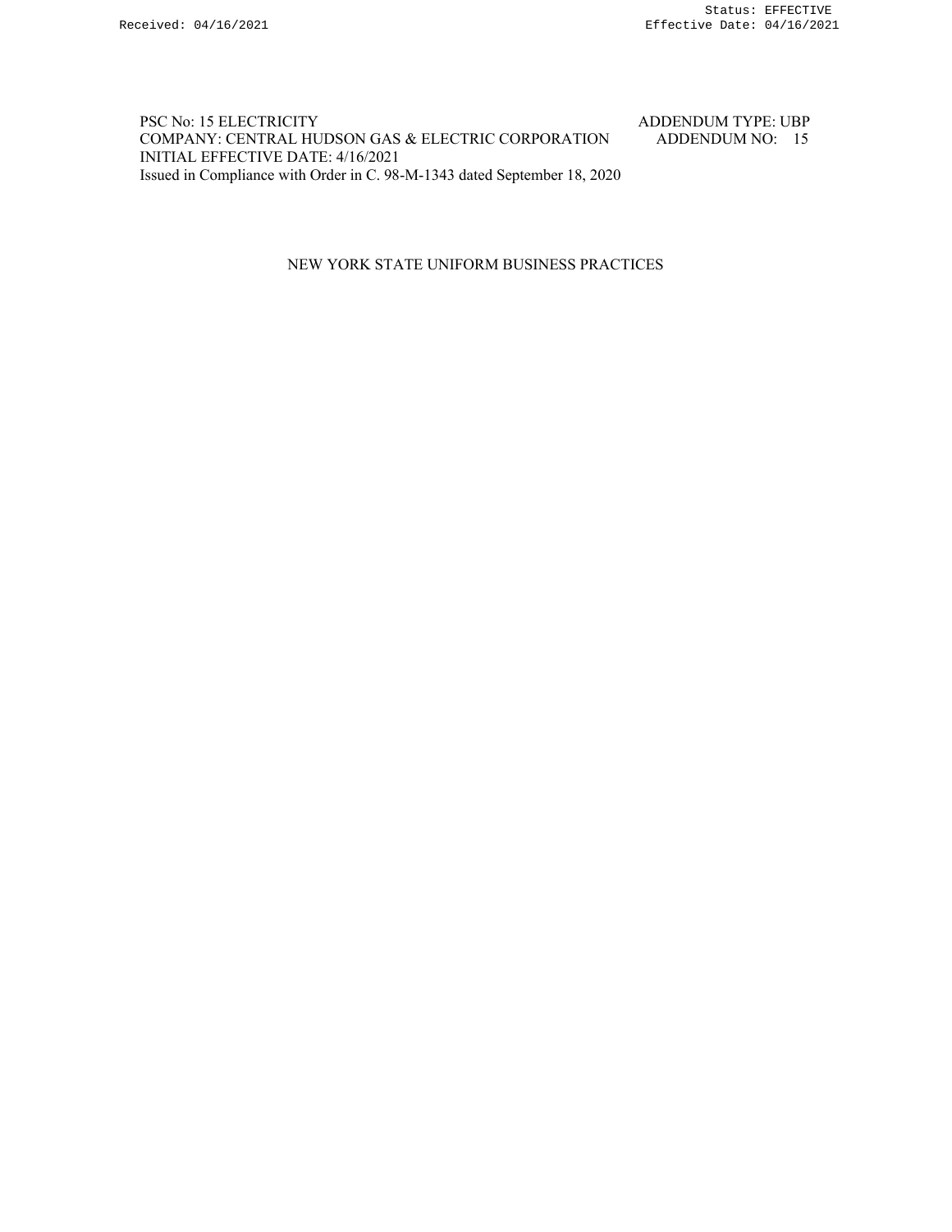### PSC No: 15 ELECTRICITY ADDENDUM TYPE: UBP COMPANY: CENTRAL HUDSON GAS & ELECTRIC CORPORATION ADDENDUM NO: 15 INITIAL EFFECTIVE DATE: 4/16/2021 Issued in Compliance with Order in C. 98-M-1343 dated September 18, 2020

### NEW YORK STATE UNIFORM BUSINESS PRACTICES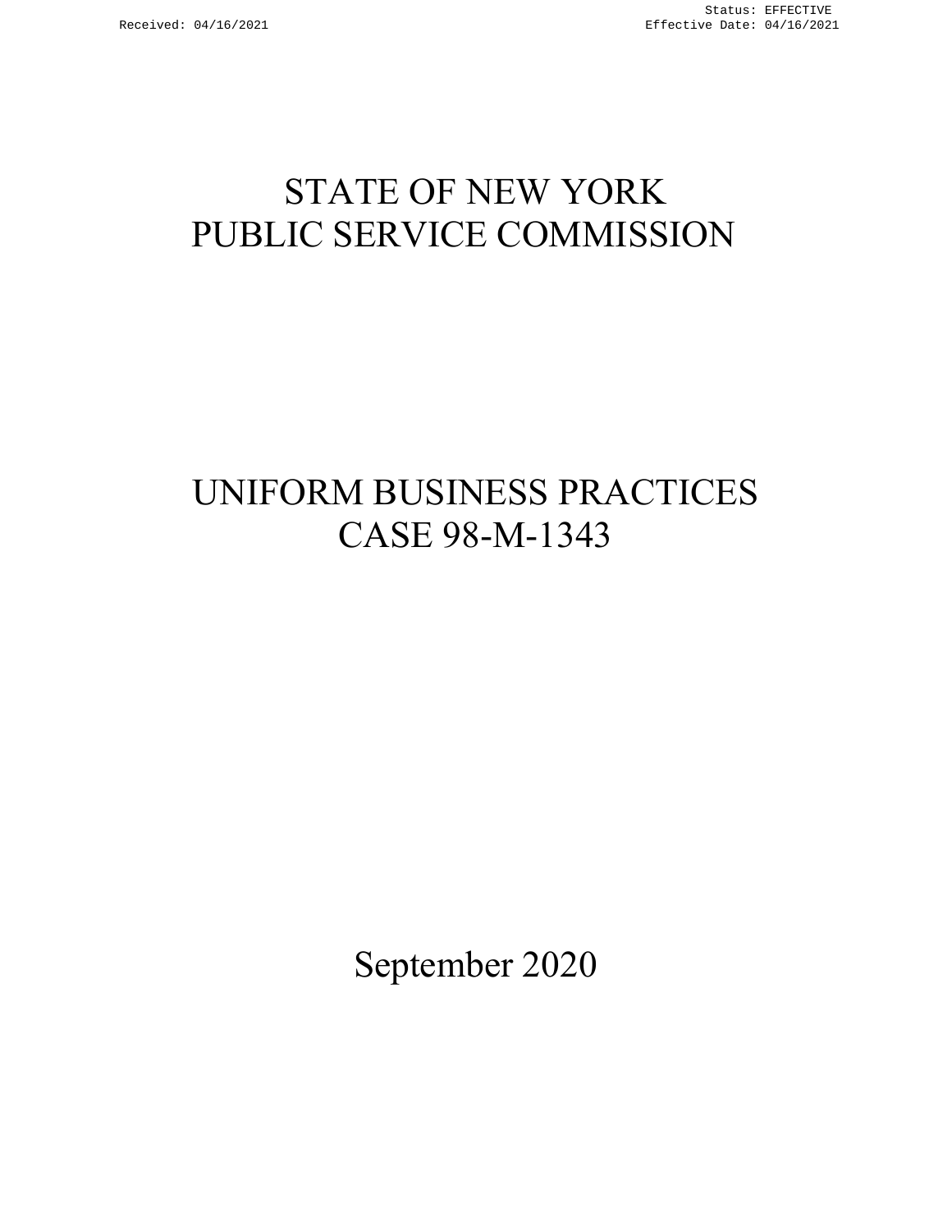# STATE OF NEW YORK PUBLIC SERVICE COMMISSION

# UNIFORM BUSINESS PRACTICES CASE 98-M-1343

September 2020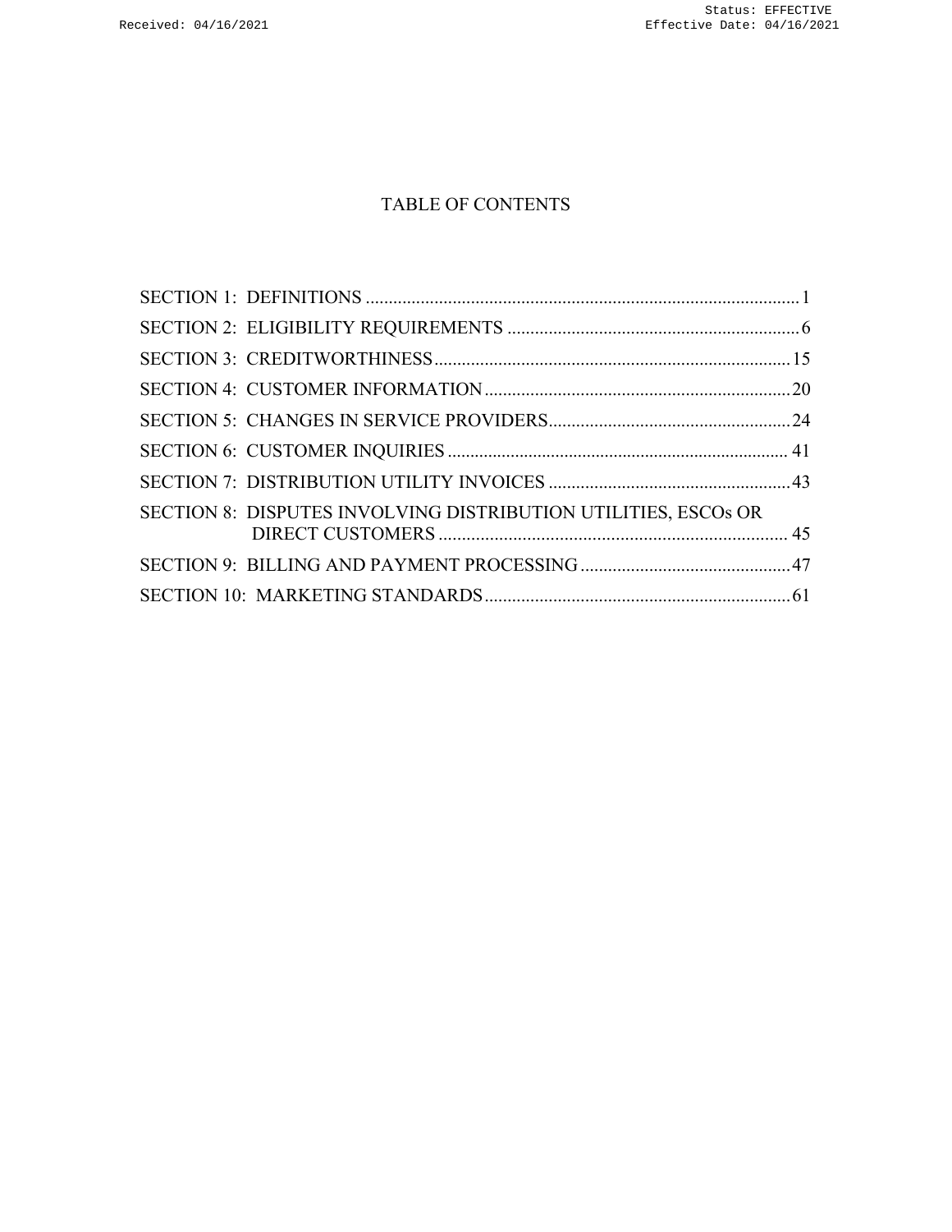# TABLE OF CONTENTS

| SECTION 8: DISPUTES INVOLVING DISTRIBUTION UTILITIES, ESCOS OR |  |
|----------------------------------------------------------------|--|
|                                                                |  |
|                                                                |  |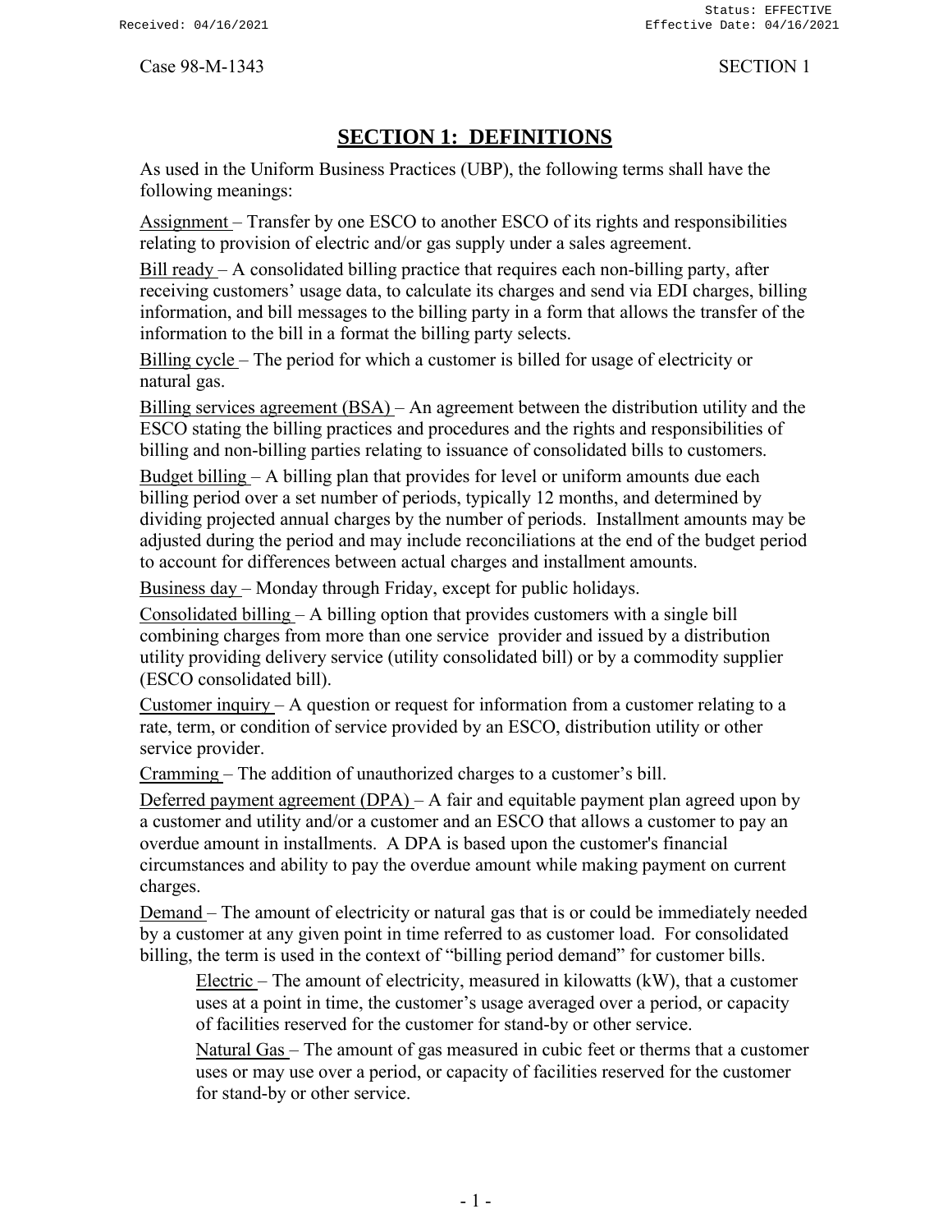# **SECTION 1: DEFINITIONS**

<span id="page-3-0"></span>As used in the Uniform Business Practices (UBP), the following terms shall have the following meanings:

Assignment – Transfer by one ESCO to another ESCO of its rights and responsibilities relating to provision of electric and/or gas supply under a sales agreement.

Bill ready  $- A$  consolidated billing practice that requires each non-billing party, after receiving customers' usage data, to calculate its charges and send via EDI charges, billing information, and bill messages to the billing party in a form that allows the transfer of the information to the bill in a format the billing party selects.

Billing cycle – The period for which a customer is billed for usage of electricity or natural gas.

Billing services agreement (BSA) – An agreement between the distribution utility and the ESCO stating the billing practices and procedures and the rights and responsibilities of billing and non-billing parties relating to issuance of consolidated bills to customers.

Budget billing – A billing plan that provides for level or uniform amounts due each billing period over a set number of periods, typically 12 months, and determined by dividing projected annual charges by the number of periods. Installment amounts may be adjusted during the period and may include reconciliations at the end of the budget period to account for differences between actual charges and installment amounts.

Business day – Monday through Friday, except for public holidays.

Consolidated billing – A billing option that provides customers with a single bill combining charges from more than one service provider and issued by a distribution utility providing delivery service (utility consolidated bill) or by a commodity supplier (ESCO consolidated bill).

Customer inquiry  $-A$  question or request for information from a customer relating to a rate, term, or condition of service provided by an ESCO, distribution utility or other service provider.

Cramming – The addition of unauthorized charges to a customer's bill.

Deferred payment agreement  $(DPA) - A$  fair and equitable payment plan agreed upon by a customer and utility and/or a customer and an ESCO that allows a customer to pay an overdue amount in installments. A DPA is based upon the customer's financial circumstances and ability to pay the overdue amount while making payment on current charges.

Demand – The amount of electricity or natural gas that is or could be immediately needed by a customer at any given point in time referred to as customer load. For consolidated billing, the term is used in the context of "billing period demand" for customer bills.

Electric – The amount of electricity, measured in kilowatts (kW), that a customer uses at a point in time, the customer's usage averaged over a period, or capacity of facilities reserved for the customer for stand-by or other service.

Natural Gas – The amount of gas measured in cubic feet or therms that a customer uses or may use over a period, or capacity of facilities reserved for the customer for stand-by or other service.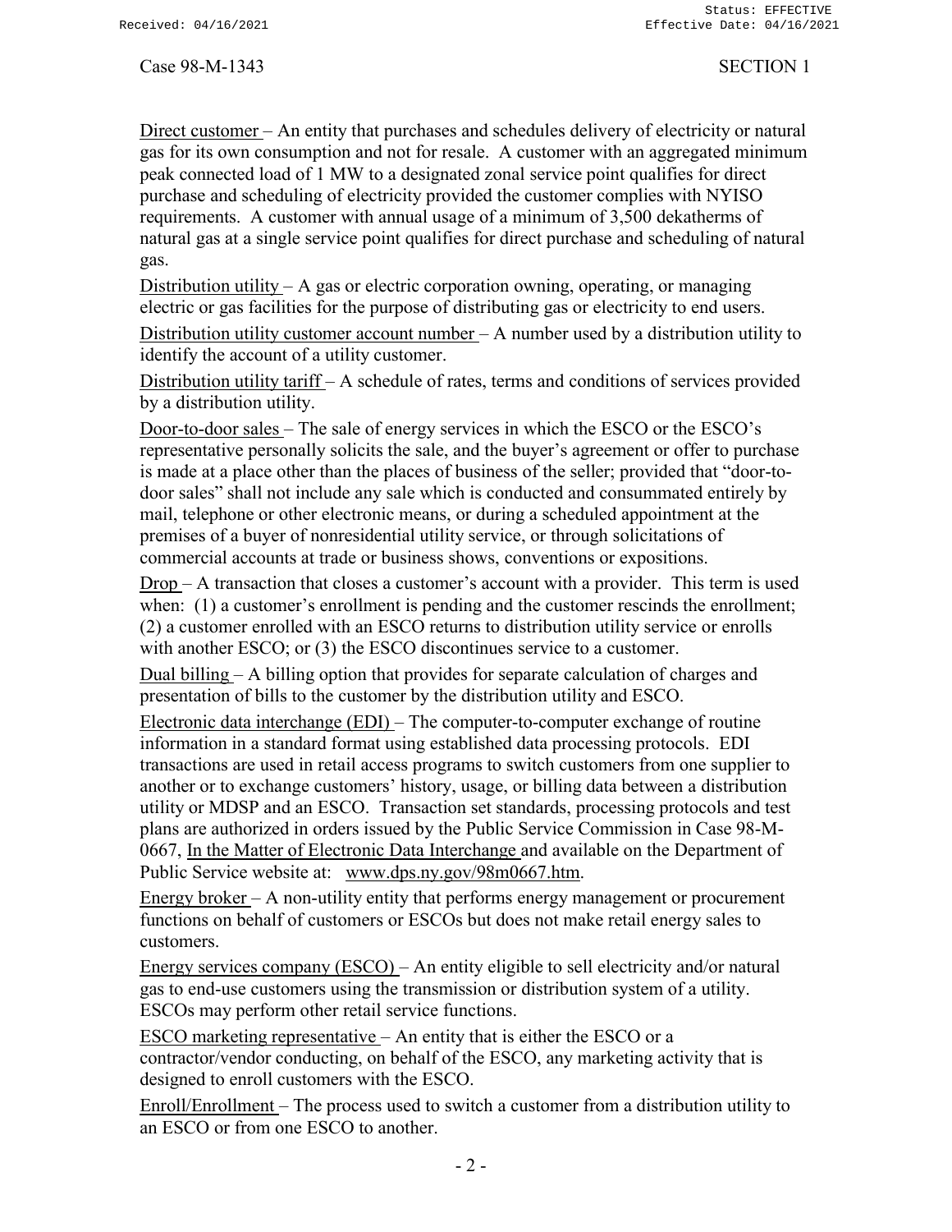Direct customer – An entity that purchases and schedules delivery of electricity or natural gas for its own consumption and not for resale. A customer with an aggregated minimum peak connected load of 1 MW to a designated zonal service point qualifies for direct purchase and scheduling of electricity provided the customer complies with NYISO requirements. A customer with annual usage of a minimum of 3,500 dekatherms of natural gas at a single service point qualifies for direct purchase and scheduling of natural gas.

Distribution utility – A gas or electric corporation owning, operating, or managing electric or gas facilities for the purpose of distributing gas or electricity to end users.

Distribution utility customer account number – A number used by a distribution utility to identify the account of a utility customer.

Distribution utility tariff – A schedule of rates, terms and conditions of services provided by a distribution utility.

Door-to-door sales – The sale of energy services in which the ESCO or the ESCO's representative personally solicits the sale, and the buyer's agreement or offer to purchase is made at a place other than the places of business of the seller; provided that "door-todoor sales" shall not include any sale which is conducted and consummated entirely by mail, telephone or other electronic means, or during a scheduled appointment at the premises of a buyer of nonresidential utility service, or through solicitations of commercial accounts at trade or business shows, conventions or expositions.

Drop – A transaction that closes a customer's account with a provider. This term is used when: (1) a customer's enrollment is pending and the customer rescinds the enrollment; (2) a customer enrolled with an ESCO returns to distribution utility service or enrolls with another ESCO; or (3) the ESCO discontinues service to a customer.

Dual billing – A billing option that provides for separate calculation of charges and presentation of bills to the customer by the distribution utility and ESCO.

Electronic data interchange (EDI) – The computer-to-computer exchange of routine information in a standard format using established data processing protocols. EDI transactions are used in retail access programs to switch customers from one supplier to another or to exchange customers' history, usage, or billing data between a distribution utility or MDSP and an ESCO. Transaction set standards, processing protocols and test plans are authorized in orders issued by the Public Service Commission in Case 98-M-0667, In the Matter of Electronic Data Interchange and available on the Department of Public Service website at: [www.dps.ny.gov/98m0667.htm.](http://www.dps.ny.gov/98m0667.htm)

Energy broker – A non-utility entity that performs energy management or procurement functions on behalf of customers or ESCOs but does not make retail energy sales to customers.

Energy services company (ESCO) – An entity eligible to sell electricity and/or natural gas to end-use customers using the transmission or distribution system of a utility. ESCOs may perform other retail service functions.

ESCO marketing representative – An entity that is either the ESCO or a contractor/vendor conducting, on behalf of the ESCO, any marketing activity that is designed to enroll customers with the ESCO.

Enroll/Enrollment – The process used to switch a customer from a distribution utility to an ESCO or from one ESCO to another.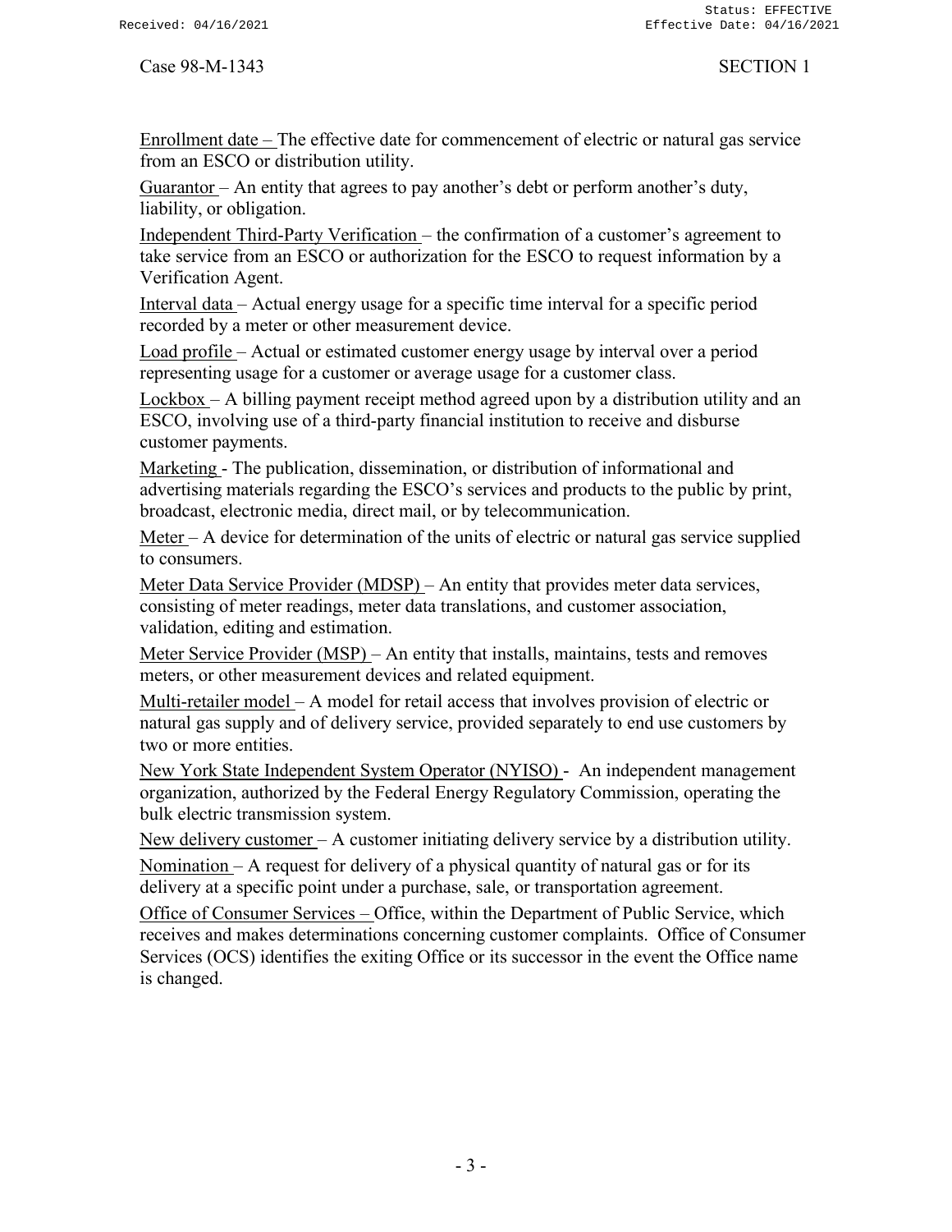Enrollment date – The effective date for commencement of electric or natural gas service from an ESCO or distribution utility.

Guarantor – An entity that agrees to pay another's debt or perform another's duty, liability, or obligation.

Independent Third-Party Verification – the confirmation of a customer's agreement to take service from an ESCO or authorization for the ESCO to request information by a Verification Agent.

Interval data – Actual energy usage for a specific time interval for a specific period recorded by a meter or other measurement device.

Load profile – Actual or estimated customer energy usage by interval over a period representing usage for a customer or average usage for a customer class.

Lockbox – A billing payment receipt method agreed upon by a distribution utility and an ESCO, involving use of a third-party financial institution to receive and disburse customer payments.

Marketing - The publication, dissemination, or distribution of informational and advertising materials regarding the ESCO's services and products to the public by print, broadcast, electronic media, direct mail, or by telecommunication.

Meter – A device for determination of the units of electric or natural gas service supplied to consumers.

Meter Data Service Provider (MDSP) – An entity that provides meter data services, consisting of meter readings, meter data translations, and customer association, validation, editing and estimation.

Meter Service Provider (MSP) – An entity that installs, maintains, tests and removes meters, or other measurement devices and related equipment.

Multi-retailer model – A model for retail access that involves provision of electric or natural gas supply and of delivery service, provided separately to end use customers by two or more entities.

New York State Independent System Operator (NYISO) - An independent management organization, authorized by the Federal Energy Regulatory Commission, operating the bulk electric transmission system.

New delivery customer – A customer initiating delivery service by a distribution utility.

Nomination – A request for delivery of a physical quantity of natural gas or for its delivery at a specific point under a purchase, sale, or transportation agreement.

Office of Consumer Services – Office, within the Department of Public Service, which receives and makes determinations concerning customer complaints. Office of Consumer Services (OCS) identifies the exiting Office or its successor in the event the Office name is changed.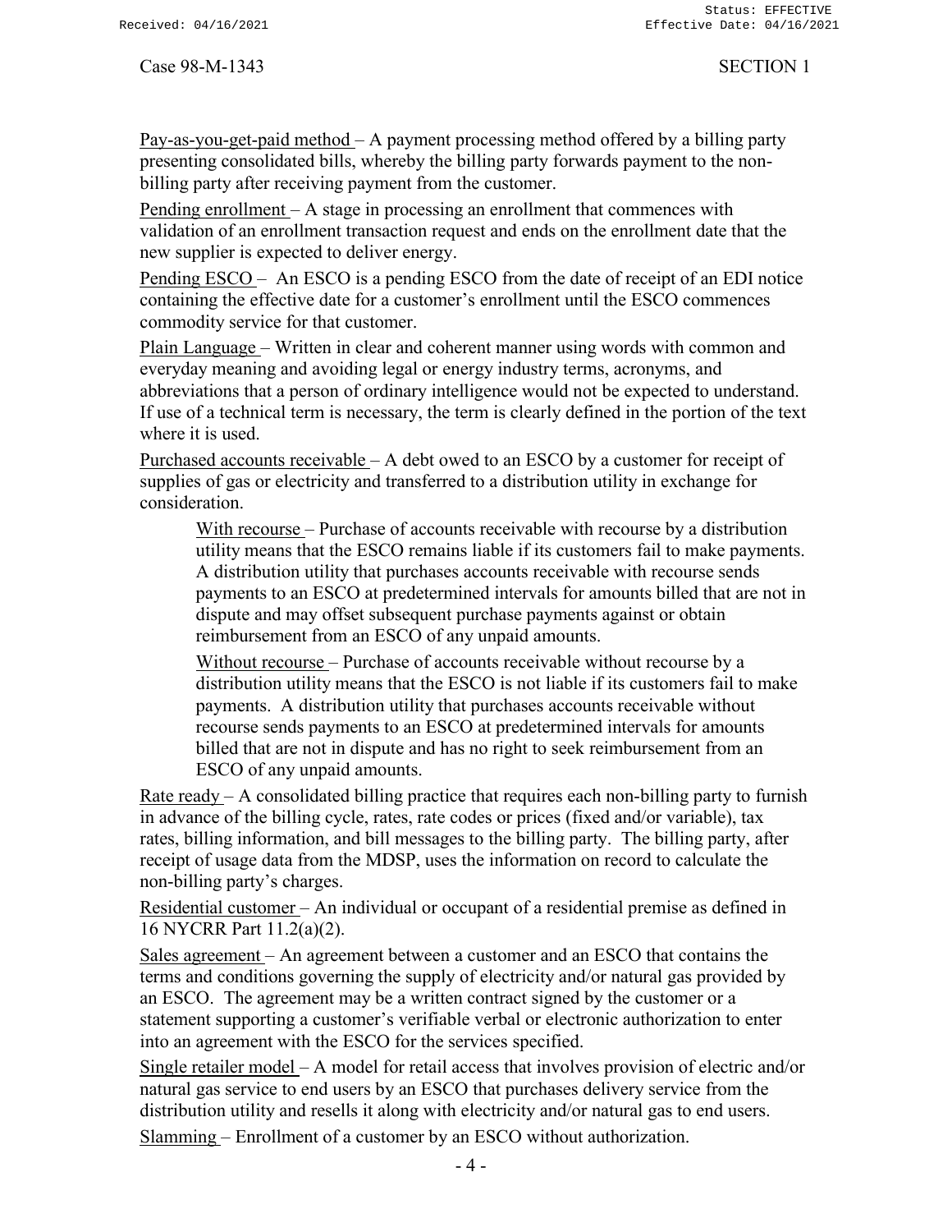Pay-as-you-get-paid method – A payment processing method offered by a billing party presenting consolidated bills, whereby the billing party forwards payment to the nonbilling party after receiving payment from the customer.

Pending enrollment – A stage in processing an enrollment that commences with validation of an enrollment transaction request and ends on the enrollment date that the new supplier is expected to deliver energy.

Pending ESCO – An ESCO is a pending ESCO from the date of receipt of an EDI notice containing the effective date for a customer's enrollment until the ESCO commences commodity service for that customer.

Plain Language – Written in clear and coherent manner using words with common and everyday meaning and avoiding legal or energy industry terms, acronyms, and abbreviations that a person of ordinary intelligence would not be expected to understand. If use of a technical term is necessary, the term is clearly defined in the portion of the text where it is used.

Purchased accounts receivable – A debt owed to an ESCO by a customer for receipt of supplies of gas or electricity and transferred to a distribution utility in exchange for consideration.

With recourse – Purchase of accounts receivable with recourse by a distribution utility means that the ESCO remains liable if its customers fail to make payments. A distribution utility that purchases accounts receivable with recourse sends payments to an ESCO at predetermined intervals for amounts billed that are not in dispute and may offset subsequent purchase payments against or obtain reimbursement from an ESCO of any unpaid amounts.

Without recourse – Purchase of accounts receivable without recourse by a distribution utility means that the ESCO is not liable if its customers fail to make payments. A distribution utility that purchases accounts receivable without recourse sends payments to an ESCO at predetermined intervals for amounts billed that are not in dispute and has no right to seek reimbursement from an ESCO of any unpaid amounts.

Rate ready  $- A$  consolidated billing practice that requires each non-billing party to furnish in advance of the billing cycle, rates, rate codes or prices (fixed and/or variable), tax rates, billing information, and bill messages to the billing party. The billing party, after receipt of usage data from the MDSP, uses the information on record to calculate the non-billing party's charges.

Residential customer – An individual or occupant of a residential premise as defined in 16 NYCRR Part 11.2(a)(2).

Sales agreement – An agreement between a customer and an ESCO that contains the terms and conditions governing the supply of electricity and/or natural gas provided by an ESCO. The agreement may be a written contract signed by the customer or a statement supporting a customer's verifiable verbal or electronic authorization to enter into an agreement with the ESCO for the services specified.

Single retailer model – A model for retail access that involves provision of electric and/or natural gas service to end users by an ESCO that purchases delivery service from the distribution utility and resells it along with electricity and/or natural gas to end users. Slamming – Enrollment of a customer by an ESCO without authorization.

 $-4-$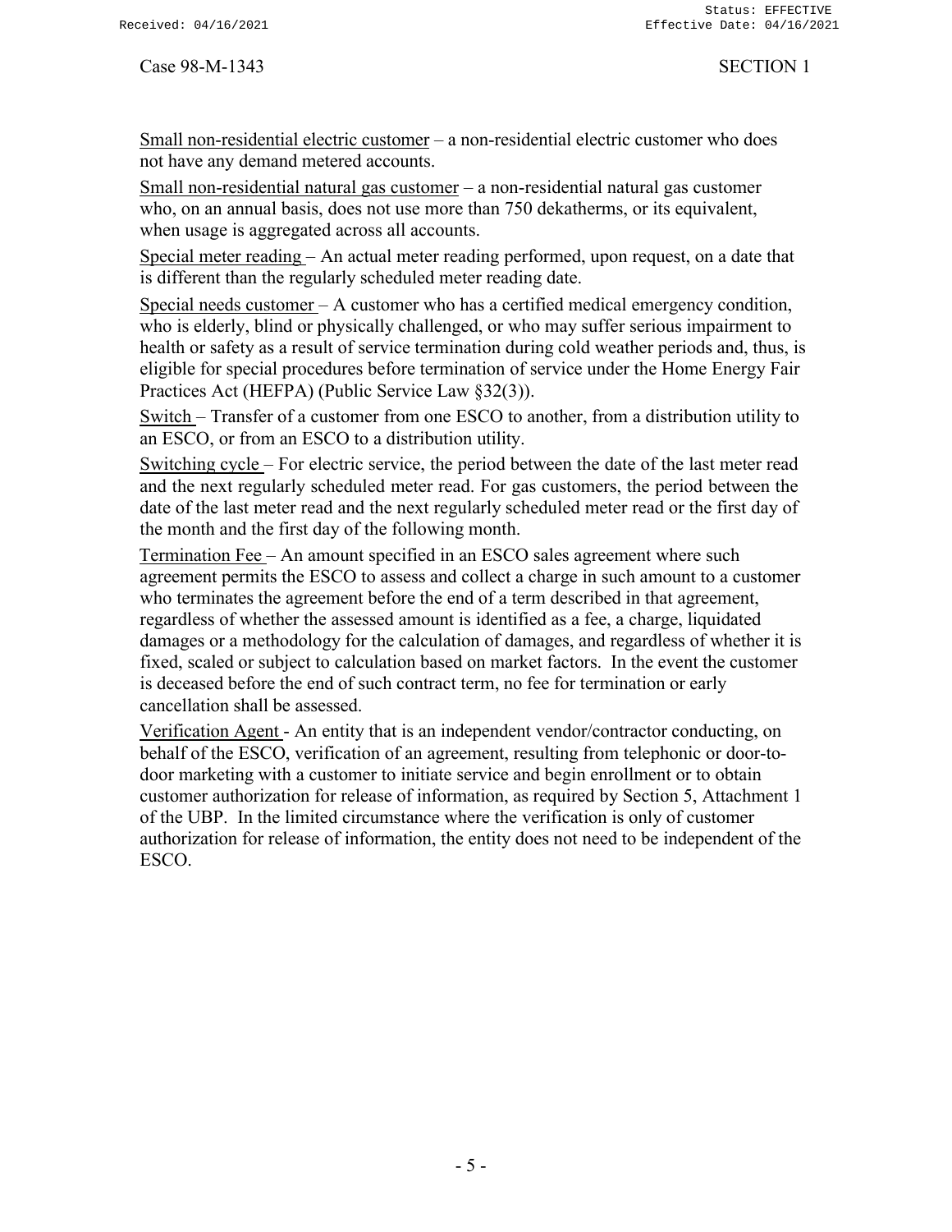Small non-residential electric customer – a non-residential electric customer who does not have any demand metered accounts.

Small non-residential natural gas customer – a non-residential natural gas customer who, on an annual basis, does not use more than 750 dekatherms, or its equivalent, when usage is aggregated across all accounts.

Special meter reading – An actual meter reading performed, upon request, on a date that is different than the regularly scheduled meter reading date.

Special needs customer – A customer who has a certified medical emergency condition, who is elderly, blind or physically challenged, or who may suffer serious impairment to health or safety as a result of service termination during cold weather periods and, thus, is eligible for special procedures before termination of service under the Home Energy Fair Practices Act (HEFPA) (Public Service Law §32(3)).

Switch – Transfer of a customer from one ESCO to another, from a distribution utility to an ESCO, or from an ESCO to a distribution utility.

Switching cycle – For electric service, the period between the date of the last meter read and the next regularly scheduled meter read. For gas customers, the period between the date of the last meter read and the next regularly scheduled meter read or the first day of the month and the first day of the following month.

Termination Fee – An amount specified in an ESCO sales agreement where such agreement permits the ESCO to assess and collect a charge in such amount to a customer who terminates the agreement before the end of a term described in that agreement, regardless of whether the assessed amount is identified as a fee, a charge, liquidated damages or a methodology for the calculation of damages, and regardless of whether it is fixed, scaled or subject to calculation based on market factors. In the event the customer is deceased before the end of such contract term, no fee for termination or early cancellation shall be assessed.

Verification Agent - An entity that is an independent vendor/contractor conducting, on behalf of the ESCO, verification of an agreement, resulting from telephonic or door-todoor marketing with a customer to initiate service and begin enrollment or to obtain customer authorization for release of information, as required by Section 5, Attachment 1 of the UBP. In the limited circumstance where the verification is only of customer authorization for release of information, the entity does not need to be independent of the ESCO.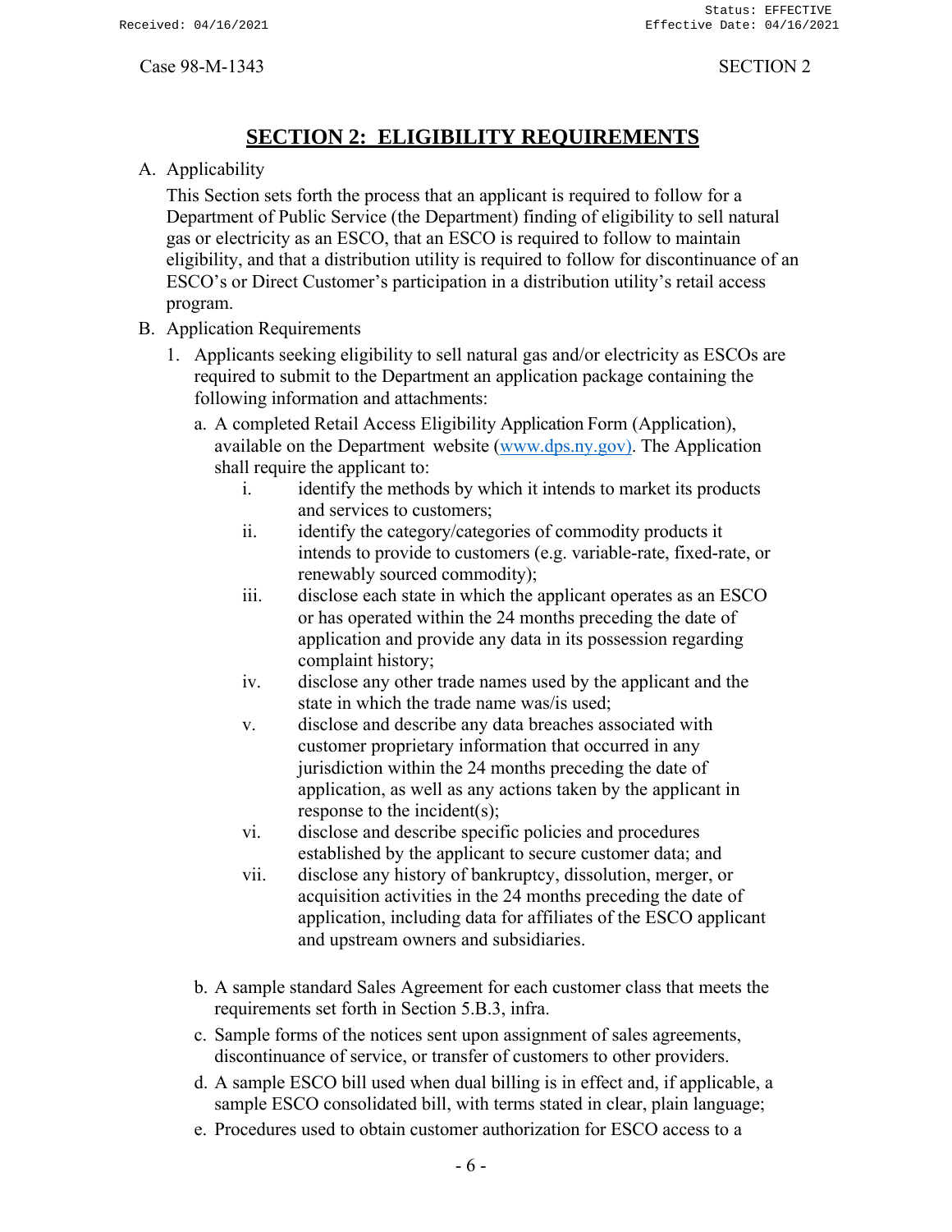# **SECTION 2: ELIGIBILITY REQUIREMENTS**

<span id="page-8-0"></span>A. Applicability

This Section sets forth the process that an applicant is required to follow for a Department of Public Service (the Department) finding of eligibility to sell natural gas or electricity as an ESCO, that an ESCO is required to follow to maintain eligibility, and that a distribution utility is required to follow for discontinuance of an ESCO's or Direct Customer's participation in a distribution utility's retail access program.

### B. Application Requirements

- 1. Applicants seeking eligibility to sell natural gas and/or electricity as ESCOs are required to submit to the Department an application package containing the following information and attachments:
	- a. A completed Retail Access Eligibility Application Form (Application), available on the Department website [\(www.dps.ny.gov\).](http://www.dps.ny.gov)/) The Application shall require the applicant to:
		- i. identify the methods by which it intends to market its products and services to customers;
		- ii. identify the category/categories of commodity products it intends to provide to customers (e.g. variable-rate, fixed-rate, or renewably sourced commodity);
		- iii. disclose each state in which the applicant operates as an ESCO or has operated within the 24 months preceding the date of application and provide any data in its possession regarding complaint history;
		- iv. disclose any other trade names used by the applicant and the state in which the trade name was/is used;
		- v. disclose and describe any data breaches associated with customer proprietary information that occurred in any jurisdiction within the 24 months preceding the date of application, as well as any actions taken by the applicant in response to the incident(s);
		- vi. disclose and describe specific policies and procedures established by the applicant to secure customer data; and
		- vii. disclose any history of bankruptcy, dissolution, merger, or acquisition activities in the 24 months preceding the date of application, including data for affiliates of the ESCO applicant and upstream owners and subsidiaries.
	- b. A sample standard Sales Agreement for each customer class that meets the requirements set forth in Section 5.B.3, infra.
	- c. Sample forms of the notices sent upon assignment of sales agreements, discontinuance of service, or transfer of customers to other providers.
	- d. A sample ESCO bill used when dual billing is in effect and, if applicable, a sample ESCO consolidated bill, with terms stated in clear, plain language;
	- e. Procedures used to obtain customer authorization for ESCO access to a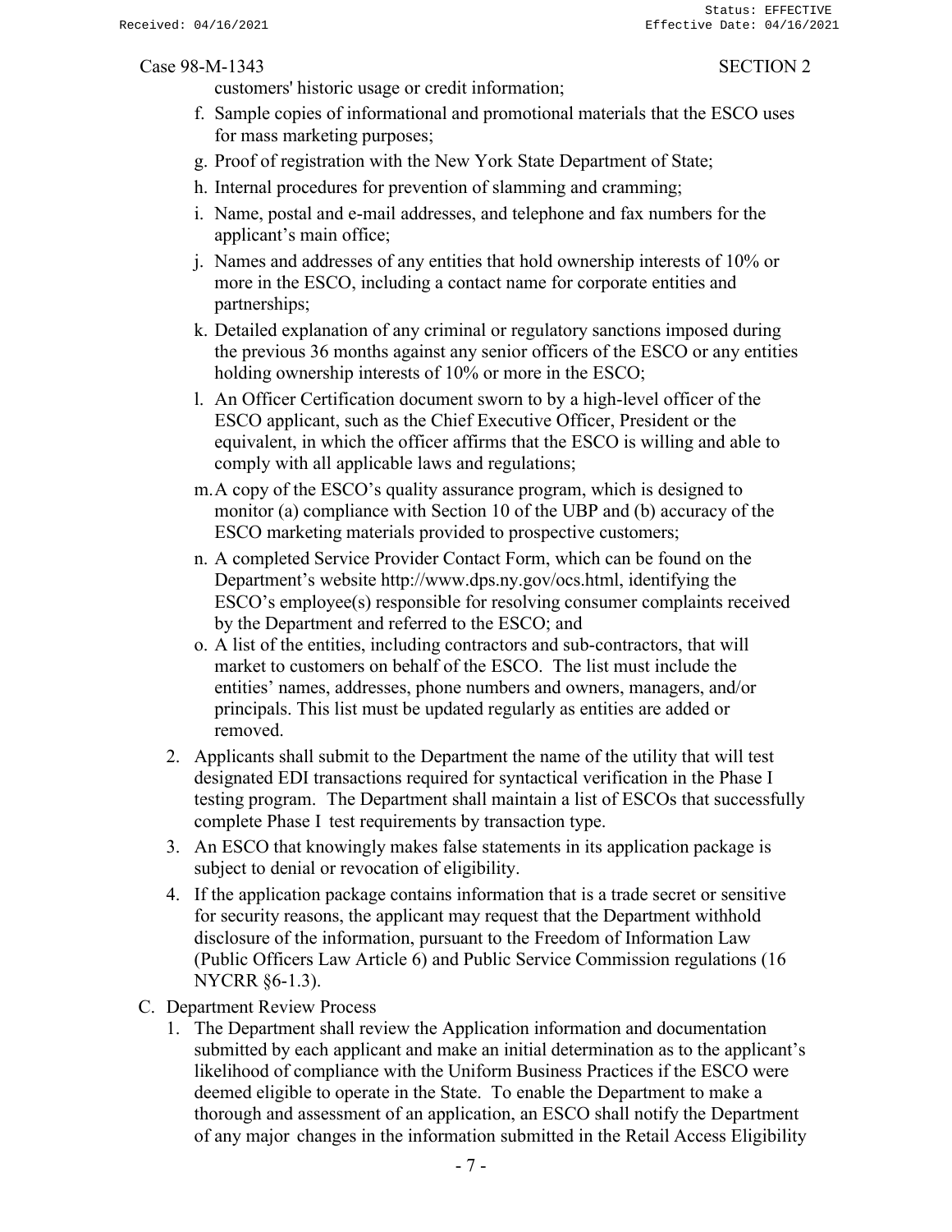customers' historic usage or credit information;

- f. Sample copies of informational and promotional materials that the ESCO uses for mass marketing purposes;
- g. Proof of registration with the New York State Department of State;
- h. Internal procedures for prevention of slamming and cramming;
- i. Name, postal and e-mail addresses, and telephone and fax numbers for the applicant's main office;
- j. Names and addresses of any entities that hold ownership interests of 10% or more in the ESCO, including a contact name for corporate entities and partnerships;
- k. Detailed explanation of any criminal or regulatory sanctions imposed during the previous 36 months against any senior officers of the ESCO or any entities holding ownership interests of 10% or more in the ESCO;
- l. An Officer Certification document sworn to by a high-level officer of the ESCO applicant, such as the Chief Executive Officer, President or the equivalent, in which the officer affirms that the ESCO is willing and able to comply with all applicable laws and regulations;
- m.A copy of the ESCO's quality assurance program, which is designed to monitor (a) compliance with Section 10 of the UBP and (b) accuracy of the ESCO marketing materials provided to prospective customers;
- n. A completed Service Provider Contact Form, which can be found on the Department's website [http://www.dps.ny.gov/ocs.html,](http://www.dps.ny.gov/ocs.html) identifying the ESCO's employee(s) responsible for resolving consumer complaints received by the Department and referred to the ESCO; and
- o. A list of the entities, including contractors and sub-contractors, that will market to customers on behalf of the ESCO. The list must include the entities' names, addresses, phone numbers and owners, managers, and/or principals. This list must be updated regularly as entities are added or removed.
- 2. Applicants shall submit to the Department the name of the utility that will test designated EDI transactions required for syntactical verification in the Phase I testing program. The Department shall maintain a list of ESCOs that successfully complete Phase I test requirements by transaction type.
- 3. An ESCO that knowingly makes false statements in its application package is subject to denial or revocation of eligibility.
- 4. If the application package contains information that is a trade secret or sensitive for security reasons, the applicant may request that the Department withhold disclosure of the information, pursuant to the Freedom of Information Law (Public Officers Law Article 6) and Public Service Commission regulations (16 NYCRR §6-1.3).
- C. Department Review Process
	- 1. The Department shall review the Application information and documentation submitted by each applicant and make an initial determination as to the applicant's likelihood of compliance with the Uniform Business Practices if the ESCO were deemed eligible to operate in the State. To enable the Department to make a thorough and assessment of an application, an ESCO shall notify the Department of any major changes in the information submitted in the Retail Access Eligibility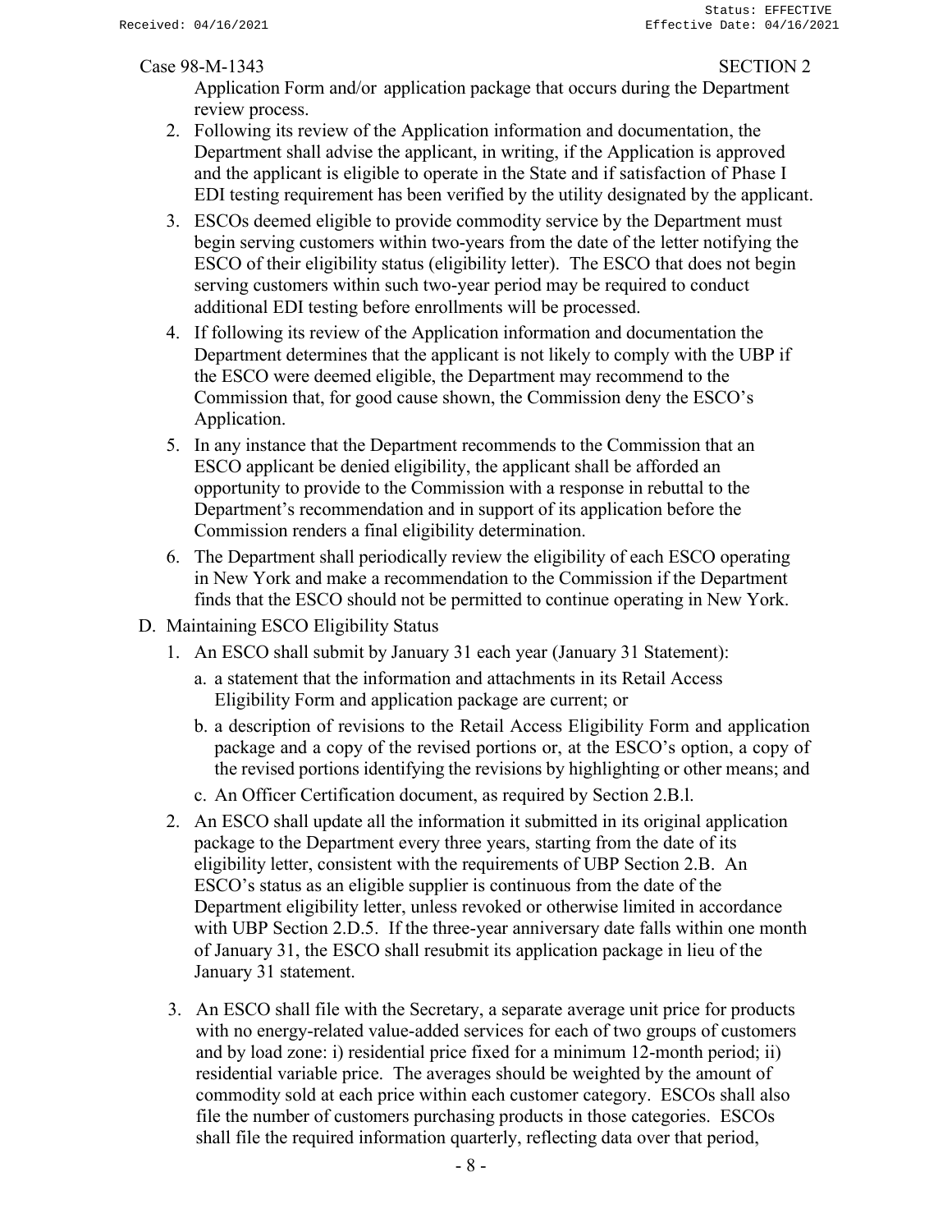Application Form and/or application package that occurs during the Department review process.

- 2. Following its review of the Application information and documentation, the Department shall advise the applicant, in writing, if the Application is approved and the applicant is eligible to operate in the State and if satisfaction of Phase I EDI testing requirement has been verified by the utility designated by the applicant.
- 3. ESCOs deemed eligible to provide commodity service by the Department must begin serving customers within two-years from the date of the letter notifying the ESCO of their eligibility status (eligibility letter). The ESCO that does not begin serving customers within such two-year period may be required to conduct additional EDI testing before enrollments will be processed.
- 4. If following its review of the Application information and documentation the Department determines that the applicant is not likely to comply with the UBP if the ESCO were deemed eligible, the Department may recommend to the Commission that, for good cause shown, the Commission deny the ESCO's Application.
- 5. In any instance that the Department recommends to the Commission that an ESCO applicant be denied eligibility, the applicant shall be afforded an opportunity to provide to the Commission with a response in rebuttal to the Department's recommendation and in support of its application before the Commission renders a final eligibility determination.
- 6. The Department shall periodically review the eligibility of each ESCO operating in New York and make a recommendation to the Commission if the Department finds that the ESCO should not be permitted to continue operating in New York.
- D. Maintaining ESCO Eligibility Status
	- 1. An ESCO shall submit by January 31 each year (January 31 Statement):
		- a. a statement that the information and attachments in its Retail Access Eligibility Form and application package are current; or
		- b. a description of revisions to the Retail Access Eligibility Form and application package and a copy of the revised portions or, at the ESCO's option, a copy of the revised portions identifying the revisions by highlighting or other means; and
		- c. An Officer Certification document, as required by Section 2.B.l.
	- 2. An ESCO shall update all the information it submitted in its original application package to the Department every three years, starting from the date of its eligibility letter, consistent with the requirements of UBP Section 2.B. An ESCO's status as an eligible supplier is continuous from the date of the Department eligibility letter, unless revoked or otherwise limited in accordance with UBP Section 2.D.5. If the three-year anniversary date falls within one month of January 31, the ESCO shall resubmit its application package in lieu of the January 31 statement.
	- 3. An ESCO shall file with the Secretary, a separate average unit price for products with no energy-related value-added services for each of two groups of customers and by load zone: i) residential price fixed for a minimum 12-month period; ii) residential variable price. The averages should be weighted by the amount of commodity sold at each price within each customer category. ESCOs shall also file the number of customers purchasing products in those categories. ESCOs shall file the required information quarterly, reflecting data over that period,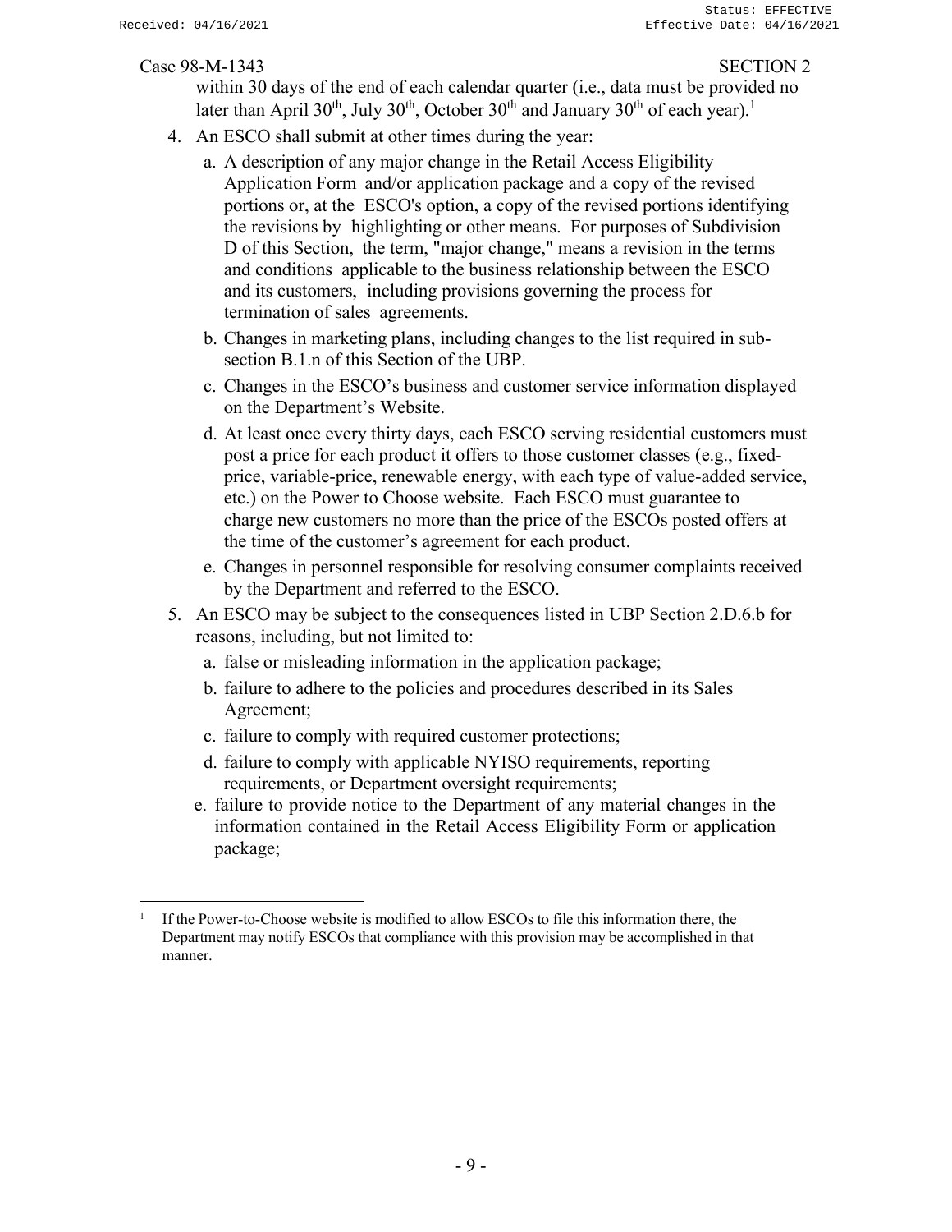within 30 days of the end of each calendar quarter (i.e., data must be provided no later than April 30<sup>th</sup>, July 30<sup>th</sup>, October 30<sup>th</sup> and January 30<sup>th</sup> of each year).<sup>1</sup>

- 4. An ESCO shall submit at other times during the year:
	- a. A description of any major change in the Retail Access Eligibility Application Form and/or application package and a copy of the revised portions or, at the ESCO's option, a copy of the revised portions identifying the revisions by highlighting or other means. For purposes of Subdivision D of this Section, the term, "major change," means a revision in the terms and conditions applicable to the business relationship between the ESCO and its customers, including provisions governing the process for termination of sales agreements.
	- b. Changes in marketing plans, including changes to the list required in subsection B.1.n of this Section of the UBP.
	- c. Changes in the ESCO's business and customer service information displayed on the Department's Website.
	- d. At least once every thirty days, each ESCO serving residential customers must post a price for each product it offers to those customer classes (e.g., fixedprice, variable-price, renewable energy, with each type of value-added service, etc.) on the Power to Choose website. Each ESCO must guarantee to charge new customers no more than the price of the ESCOs posted offers at the time of the customer's agreement for each product.
	- e. Changes in personnel responsible for resolving consumer complaints received by the Department and referred to the ESCO.
- 5. An ESCO may be subject to the consequences listed in UBP Section 2.D.6.b for reasons, including, but not limited to:
	- a. false or misleading information in the application package;
	- b. failure to adhere to the policies and procedures described in its Sales Agreement;
	- c. failure to comply with required customer protections;
	- d. failure to comply with applicable NYISO requirements, reporting requirements, or Department oversight requirements;
	- e. failure to provide notice to the Department of any material changes in the information contained in the Retail Access Eligibility Form or application package;

<sup>1</sup> If the Power-to-Choose website is modified to allow ESCOs to file this information there, the Department may notify ESCOs that compliance with this provision may be accomplished in that manner.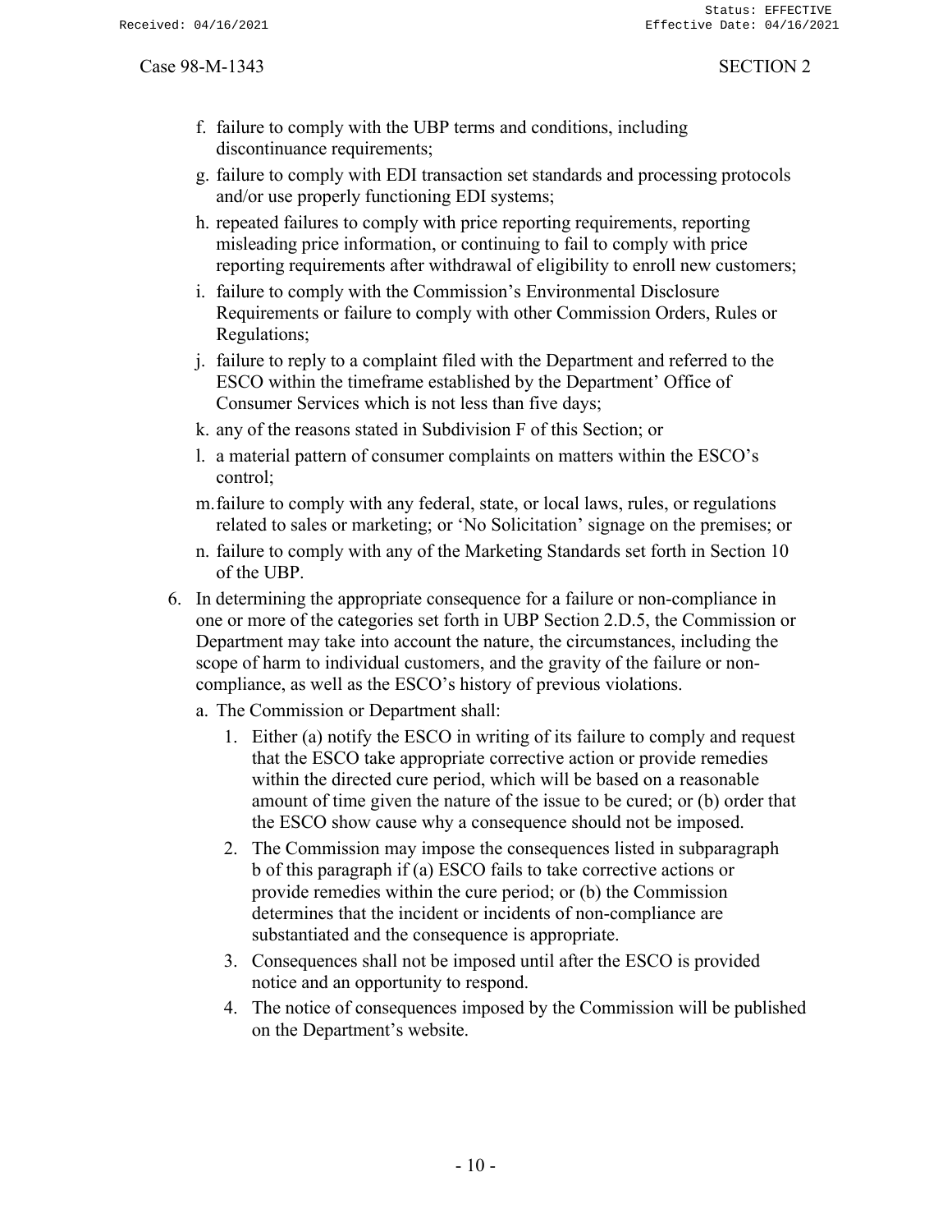- f. failure to comply with the UBP terms and conditions, including discontinuance requirements;
- g. failure to comply with EDI transaction set standards and processing protocols and/or use properly functioning EDI systems;
- h. repeated failures to comply with price reporting requirements, reporting misleading price information, or continuing to fail to comply with price reporting requirements after withdrawal of eligibility to enroll new customers;
- i. failure to comply with the Commission's Environmental Disclosure Requirements or failure to comply with other Commission Orders, Rules or Regulations;
- j. failure to reply to a complaint filed with the Department and referred to the ESCO within the timeframe established by the Department' Office of Consumer Services which is not less than five days;
- k. any of the reasons stated in Subdivision F of this Section; or
- l. a material pattern of consumer complaints on matters within the ESCO's control;
- m.failure to comply with any federal, state, or local laws, rules, or regulations related to sales or marketing; or 'No Solicitation' signage on the premises; or
- n. failure to comply with any of the Marketing Standards set forth in Section 10 of the UBP.
- 6. In determining the appropriate consequence for a failure or non-compliance in one or more of the categories set forth in UBP Section 2.D.5, the Commission or Department may take into account the nature, the circumstances, including the scope of harm to individual customers, and the gravity of the failure or noncompliance, as well as the ESCO's history of previous violations.
	- a. The Commission or Department shall:
		- 1. Either (a) notify the ESCO in writing of its failure to comply and request that the ESCO take appropriate corrective action or provide remedies within the directed cure period, which will be based on a reasonable amount of time given the nature of the issue to be cured; or (b) order that the ESCO show cause why a consequence should not be imposed.
		- 2. The Commission may impose the consequences listed in subparagraph b of this paragraph if (a) ESCO fails to take corrective actions or provide remedies within the cure period; or (b) the Commission determines that the incident or incidents of non-compliance are substantiated and the consequence is appropriate.
		- 3. Consequences shall not be imposed until after the ESCO is provided notice and an opportunity to respond.
		- 4. The notice of consequences imposed by the Commission will be published on the Department's website.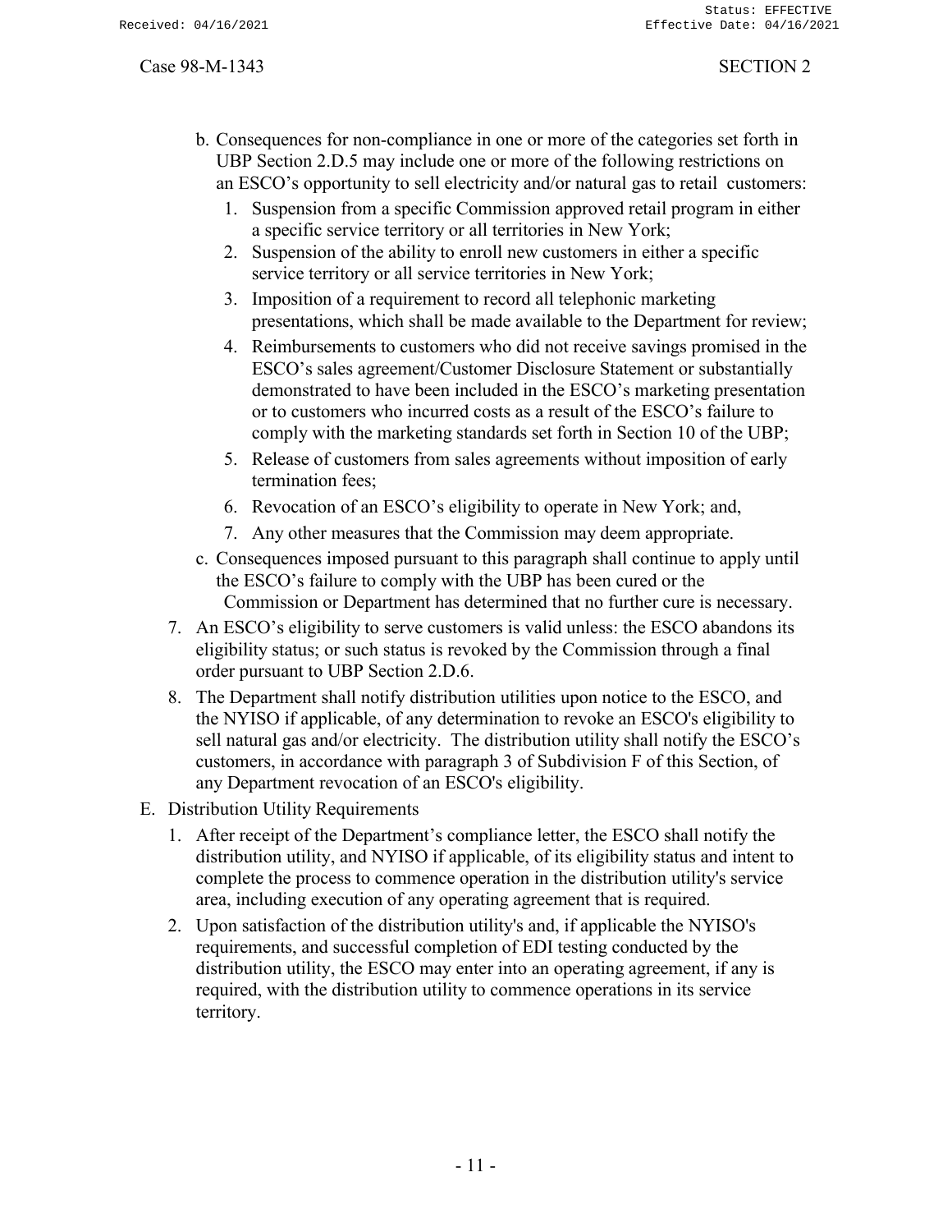- b. Consequences for non-compliance in one or more of the categories set forth in UBP Section 2.D.5 may include one or more of the following restrictions on an ESCO's opportunity to sell electricity and/or natural gas to retail customers:
	- 1. Suspension from a specific Commission approved retail program in either a specific service territory or all territories in New York;
	- 2. Suspension of the ability to enroll new customers in either a specific service territory or all service territories in New York;
	- 3. Imposition of a requirement to record all telephonic marketing presentations, which shall be made available to the Department for review;
	- 4. Reimbursements to customers who did not receive savings promised in the ESCO's sales agreement/Customer Disclosure Statement or substantially demonstrated to have been included in the ESCO's marketing presentation or to customers who incurred costs as a result of the ESCO's failure to comply with the marketing standards set forth in Section 10 of the UBP;
	- 5. Release of customers from sales agreements without imposition of early termination fees;
	- 6. Revocation of an ESCO's eligibility to operate in New York; and,
	- 7. Any other measures that the Commission may deem appropriate.
- c. Consequences imposed pursuant to this paragraph shall continue to apply until the ESCO's failure to comply with the UBP has been cured or the Commission or Department has determined that no further cure is necessary.
- 7. An ESCO's eligibility to serve customers is valid unless: the ESCO abandons its eligibility status; or such status is revoked by the Commission through a final order pursuant to UBP Section 2.D.6.
- 8. The Department shall notify distribution utilities upon notice to the ESCO, and the NYISO if applicable, of any determination to revoke an ESCO's eligibility to sell natural gas and/or electricity. The distribution utility shall notify the ESCO's customers, in accordance with paragraph 3 of Subdivision F of this Section, of any Department revocation of an ESCO's eligibility.
- E. Distribution Utility Requirements
	- 1. After receipt of the Department's compliance letter, the ESCO shall notify the distribution utility, and NYISO if applicable, of its eligibility status and intent to complete the process to commence operation in the distribution utility's service area, including execution of any operating agreement that is required.
	- 2. Upon satisfaction of the distribution utility's and, if applicable the NYISO's requirements, and successful completion of EDI testing conducted by the distribution utility, the ESCO may enter into an operating agreement, if any is required, with the distribution utility to commence operations in its service territory.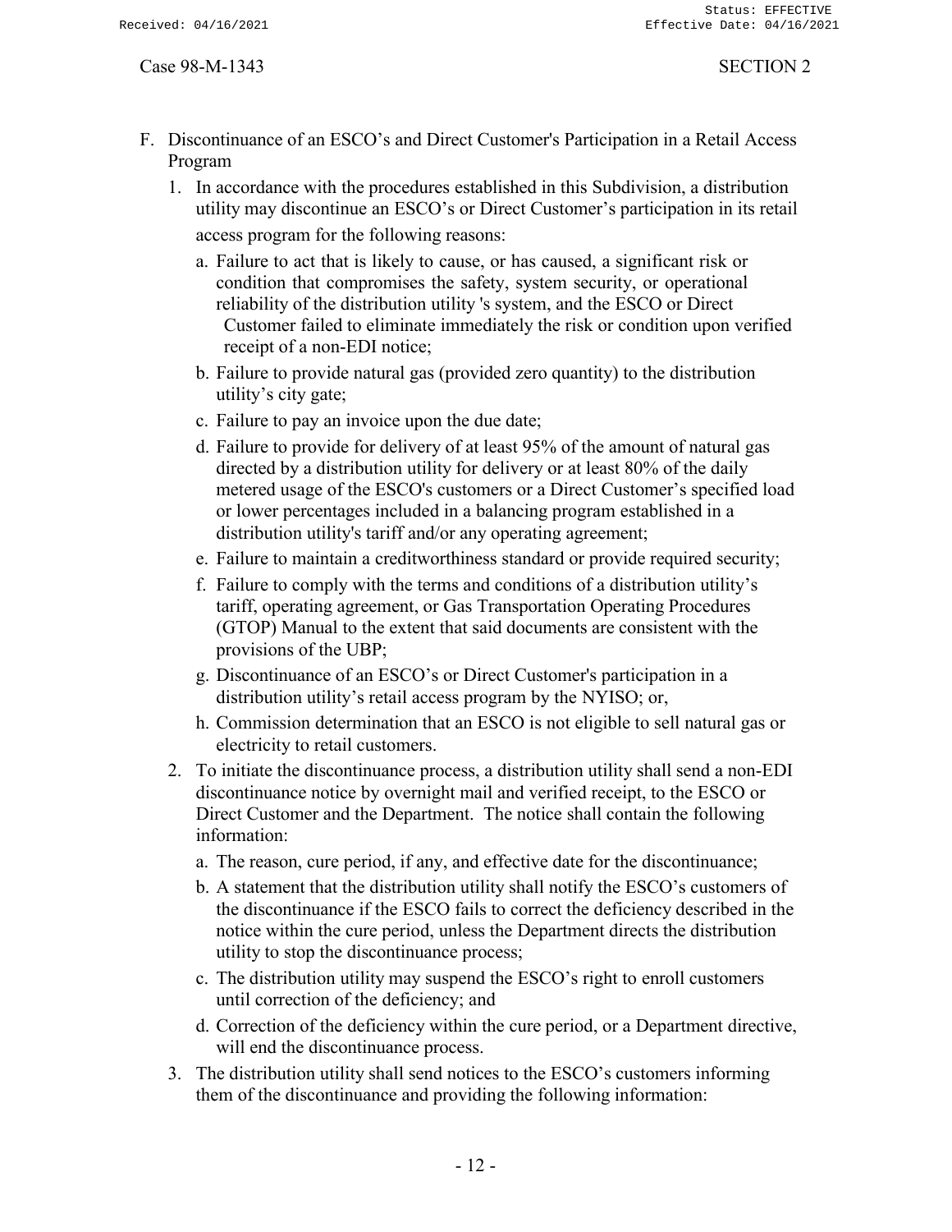- F. Discontinuance of an ESCO's and Direct Customer's Participation in a Retail Access Program
	- 1. In accordance with the procedures established in this Subdivision, a distribution utility may discontinue an ESCO's or Direct Customer's participation in its retail access program for the following reasons:
		- a. Failure to act that is likely to cause, or has caused, a significant risk or condition that compromises the safety, system security, or operational reliability of the distribution utility 's system, and the ESCO or Direct Customer failed to eliminate immediately the risk or condition upon verified receipt of a non-EDI notice;
		- b. Failure to provide natural gas (provided zero quantity) to the distribution utility's city gate;
		- c. Failure to pay an invoice upon the due date;
		- d. Failure to provide for delivery of at least 95% of the amount of natural gas directed by a distribution utility for delivery or at least 80% of the daily metered usage of the ESCO's customers or a Direct Customer's specified load or lower percentages included in a balancing program established in a distribution utility's tariff and/or any operating agreement;
		- e. Failure to maintain a creditworthiness standard or provide required security;
		- f. Failure to comply with the terms and conditions of a distribution utility's tariff, operating agreement, or Gas Transportation Operating Procedures (GTOP) Manual to the extent that said documents are consistent with the provisions of the UBP;
		- g. Discontinuance of an ESCO's or Direct Customer's participation in a distribution utility's retail access program by the NYISO; or,
		- h. Commission determination that an ESCO is not eligible to sell natural gas or electricity to retail customers.
	- 2. To initiate the discontinuance process, a distribution utility shall send a non-EDI discontinuance notice by overnight mail and verified receipt, to the ESCO or Direct Customer and the Department. The notice shall contain the following information:
		- a. The reason, cure period, if any, and effective date for the discontinuance;
		- b. A statement that the distribution utility shall notify the ESCO's customers of the discontinuance if the ESCO fails to correct the deficiency described in the notice within the cure period, unless the Department directs the distribution utility to stop the discontinuance process;
		- c. The distribution utility may suspend the ESCO's right to enroll customers until correction of the deficiency; and
		- d. Correction of the deficiency within the cure period, or a Department directive, will end the discontinuance process.
	- 3. The distribution utility shall send notices to the ESCO's customers informing them of the discontinuance and providing the following information: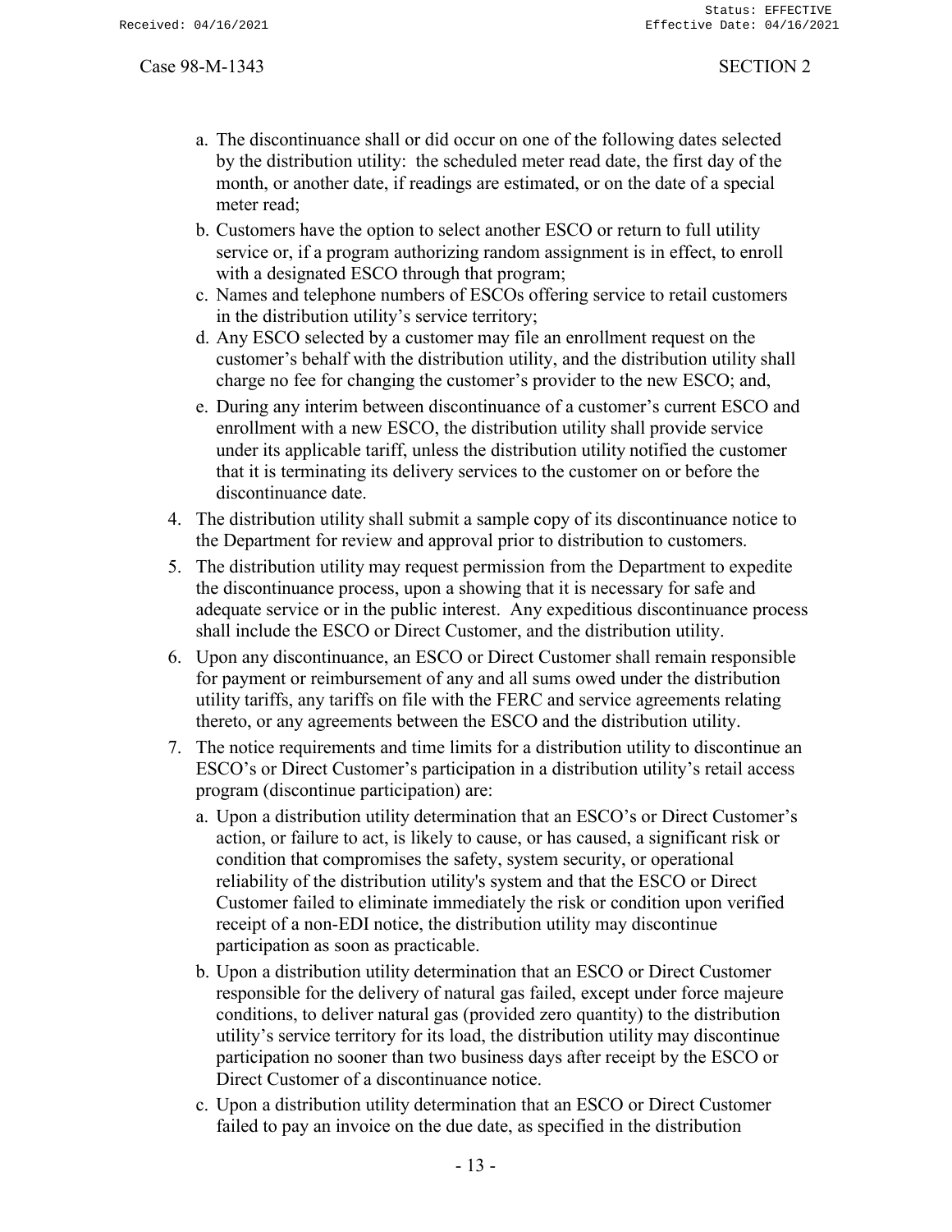- a. The discontinuance shall or did occur on one of the following dates selected by the distribution utility: the scheduled meter read date, the first day of the month, or another date, if readings are estimated, or on the date of a special meter read;
- b. Customers have the option to select another ESCO or return to full utility service or, if a program authorizing random assignment is in effect, to enroll with a designated ESCO through that program;
- c. Names and telephone numbers of ESCOs offering service to retail customers in the distribution utility's service territory;
- d. Any ESCO selected by a customer may file an enrollment request on the customer's behalf with the distribution utility, and the distribution utility shall charge no fee for changing the customer's provider to the new ESCO; and,
- e. During any interim between discontinuance of a customer's current ESCO and enrollment with a new ESCO, the distribution utility shall provide service under its applicable tariff, unless the distribution utility notified the customer that it is terminating its delivery services to the customer on or before the discontinuance date.
- 4. The distribution utility shall submit a sample copy of its discontinuance notice to the Department for review and approval prior to distribution to customers.
- 5. The distribution utility may request permission from the Department to expedite the discontinuance process, upon a showing that it is necessary for safe and adequate service or in the public interest. Any expeditious discontinuance process shall include the ESCO or Direct Customer, and the distribution utility.
- 6. Upon any discontinuance, an ESCO or Direct Customer shall remain responsible for payment or reimbursement of any and all sums owed under the distribution utility tariffs, any tariffs on file with the FERC and service agreements relating thereto, or any agreements between the ESCO and the distribution utility.
- 7. The notice requirements and time limits for a distribution utility to discontinue an ESCO's or Direct Customer's participation in a distribution utility's retail access program (discontinue participation) are:
	- a. Upon a distribution utility determination that an ESCO's or Direct Customer's action, or failure to act, is likely to cause, or has caused, a significant risk or condition that compromises the safety, system security, or operational reliability of the distribution utility's system and that the ESCO or Direct Customer failed to eliminate immediately the risk or condition upon verified receipt of a non-EDI notice, the distribution utility may discontinue participation as soon as practicable.
	- b. Upon a distribution utility determination that an ESCO or Direct Customer responsible for the delivery of natural gas failed, except under force majeure conditions, to deliver natural gas (provided zero quantity) to the distribution utility's service territory for its load, the distribution utility may discontinue participation no sooner than two business days after receipt by the ESCO or Direct Customer of a discontinuance notice.
	- c. Upon a distribution utility determination that an ESCO or Direct Customer failed to pay an invoice on the due date, as specified in the distribution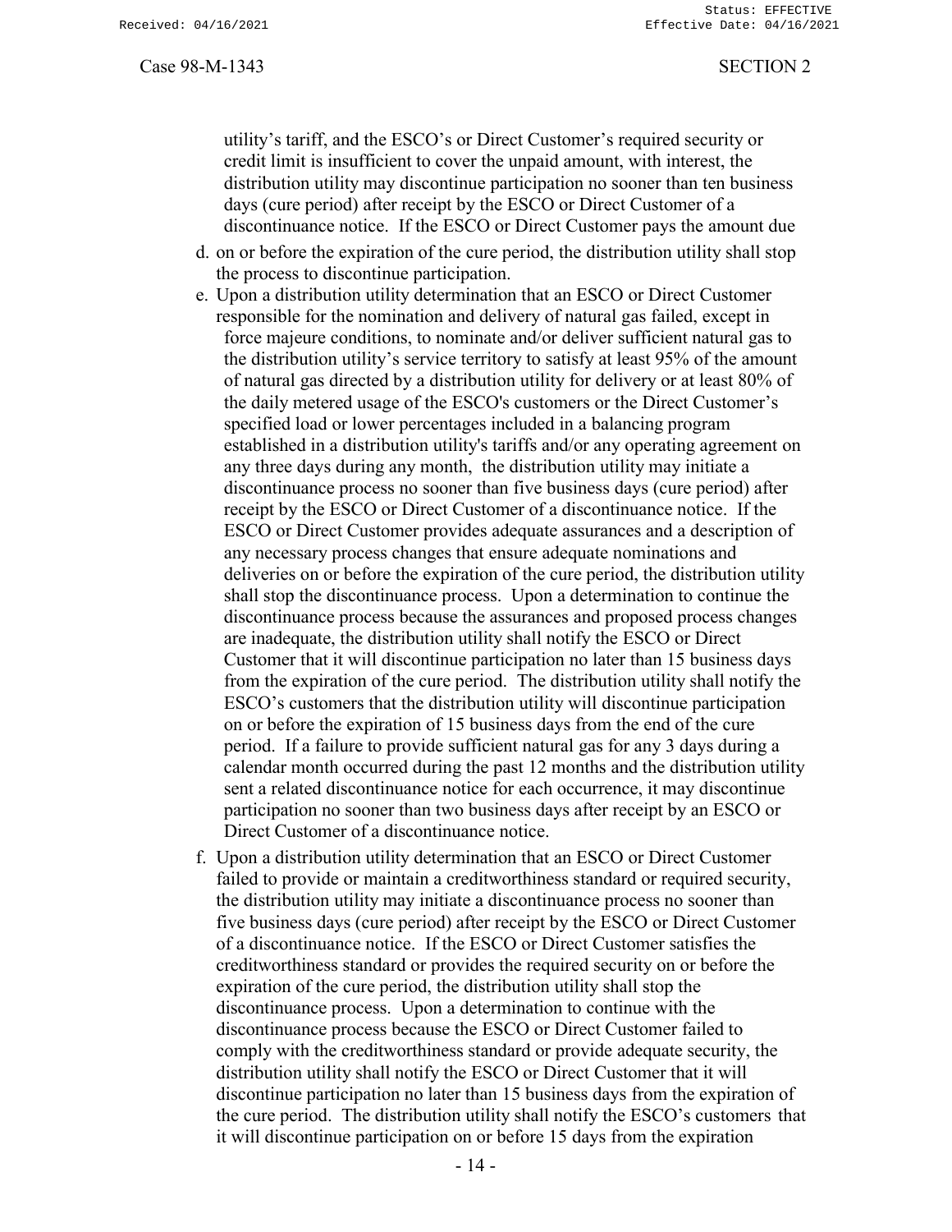utility's tariff, and the ESCO's or Direct Customer's required security or credit limit is insufficient to cover the unpaid amount, with interest, the distribution utility may discontinue participation no sooner than ten business days (cure period) after receipt by the ESCO or Direct Customer of a discontinuance notice. If the ESCO or Direct Customer pays the amount due

- d. on or before the expiration of the cure period, the distribution utility shall stop the process to discontinue participation.
- e. Upon a distribution utility determination that an ESCO or Direct Customer responsible for the nomination and delivery of natural gas failed, except in force majeure conditions, to nominate and/or deliver sufficient natural gas to the distribution utility's service territory to satisfy at least 95% of the amount of natural gas directed by a distribution utility for delivery or at least 80% of the daily metered usage of the ESCO's customers or the Direct Customer's specified load or lower percentages included in a balancing program established in a distribution utility's tariffs and/or any operating agreement on any three days during any month, the distribution utility may initiate a discontinuance process no sooner than five business days (cure period) after receipt by the ESCO or Direct Customer of a discontinuance notice. If the ESCO or Direct Customer provides adequate assurances and a description of any necessary process changes that ensure adequate nominations and deliveries on or before the expiration of the cure period, the distribution utility shall stop the discontinuance process. Upon a determination to continue the discontinuance process because the assurances and proposed process changes are inadequate, the distribution utility shall notify the ESCO or Direct Customer that it will discontinue participation no later than 15 business days from the expiration of the cure period. The distribution utility shall notify the ESCO's customers that the distribution utility will discontinue participation on or before the expiration of 15 business days from the end of the cure period. If a failure to provide sufficient natural gas for any 3 days during a calendar month occurred during the past 12 months and the distribution utility sent a related discontinuance notice for each occurrence, it may discontinue participation no sooner than two business days after receipt by an ESCO or Direct Customer of a discontinuance notice.
- f. Upon a distribution utility determination that an ESCO or Direct Customer failed to provide or maintain a creditworthiness standard or required security, the distribution utility may initiate a discontinuance process no sooner than five business days (cure period) after receipt by the ESCO or Direct Customer of a discontinuance notice. If the ESCO or Direct Customer satisfies the creditworthiness standard or provides the required security on or before the expiration of the cure period, the distribution utility shall stop the discontinuance process. Upon a determination to continue with the discontinuance process because the ESCO or Direct Customer failed to comply with the creditworthiness standard or provide adequate security, the distribution utility shall notify the ESCO or Direct Customer that it will discontinue participation no later than 15 business days from the expiration of the cure period. The distribution utility shall notify the ESCO's customers that it will discontinue participation on or before 15 days from the expiration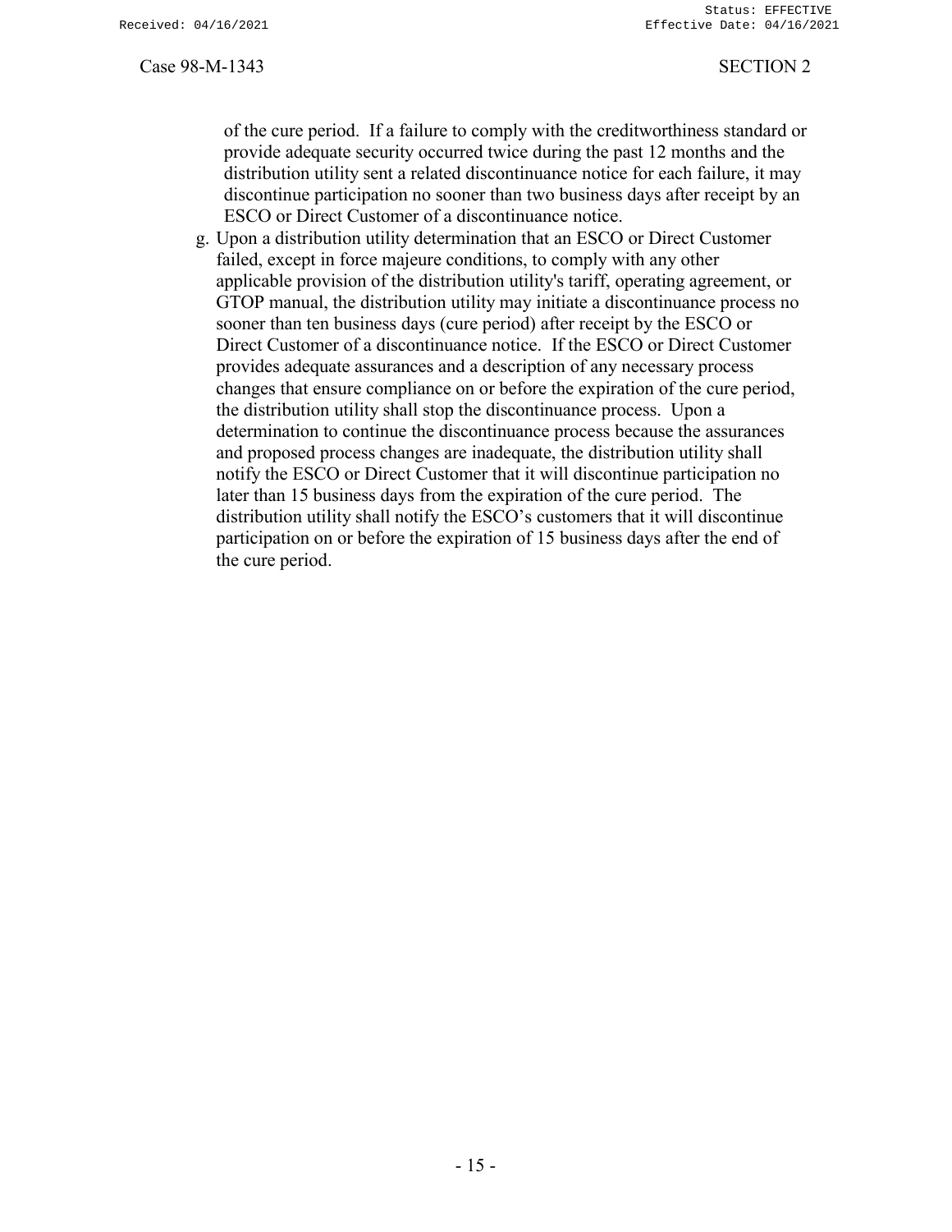of the cure period. If a failure to comply with the creditworthiness standard or provide adequate security occurred twice during the past 12 months and the distribution utility sent a related discontinuance notice for each failure, it may discontinue participation no sooner than two business days after receipt by an ESCO or Direct Customer of a discontinuance notice.

g. Upon a distribution utility determination that an ESCO or Direct Customer failed, except in force majeure conditions, to comply with any other applicable provision of the distribution utility's tariff, operating agreement, or GTOP manual, the distribution utility may initiate a discontinuance process no sooner than ten business days (cure period) after receipt by the ESCO or Direct Customer of a discontinuance notice. If the ESCO or Direct Customer provides adequate assurances and a description of any necessary process changes that ensure compliance on or before the expiration of the cure period, the distribution utility shall stop the discontinuance process. Upon a determination to continue the discontinuance process because the assurances and proposed process changes are inadequate, the distribution utility shall notify the ESCO or Direct Customer that it will discontinue participation no later than 15 business days from the expiration of the cure period. The distribution utility shall notify the ESCO's customers that it will discontinue participation on or before the expiration of 15 business days after the end of the cure period.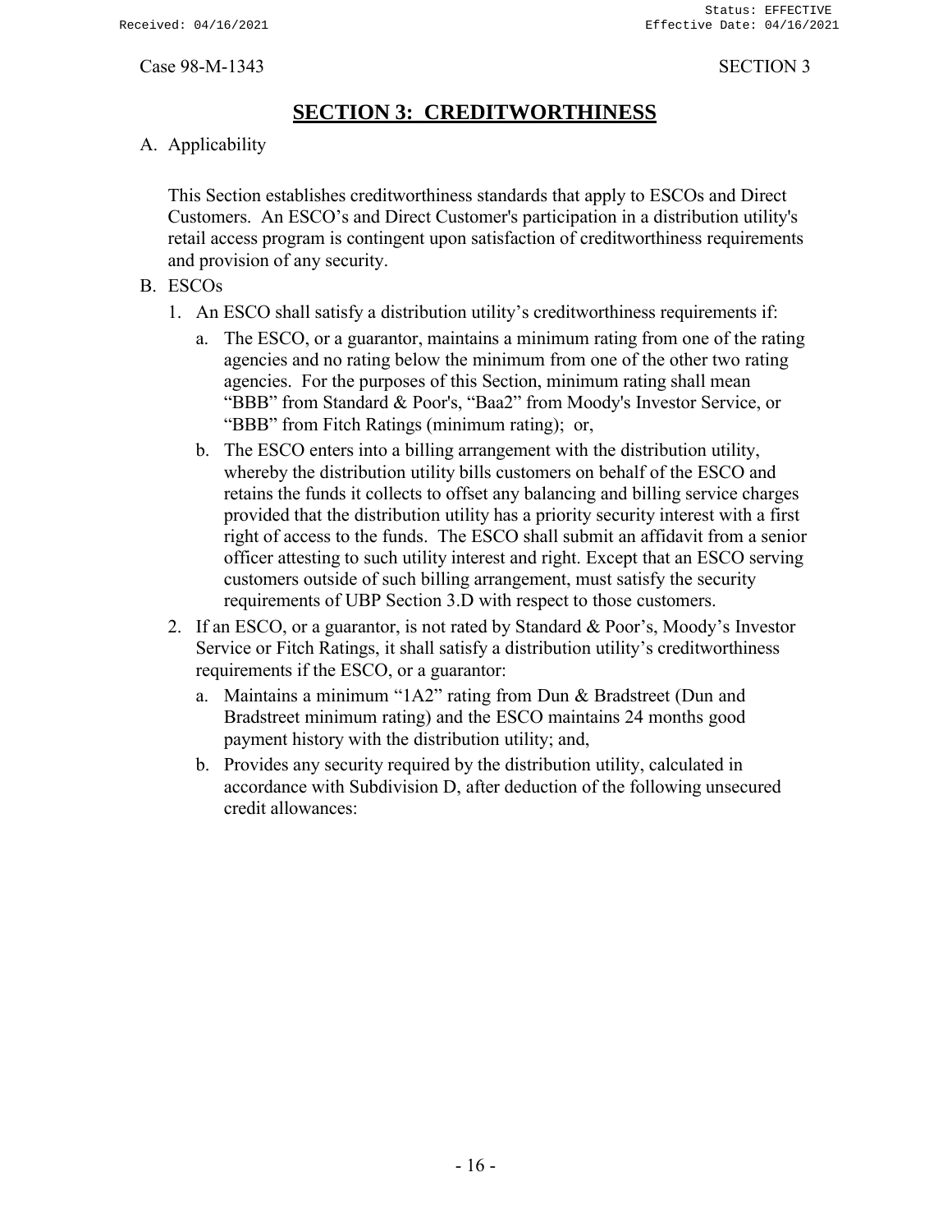# **SECTION 3: CREDITWORTHINESS**

<span id="page-18-0"></span>A. Applicability

This Section establishes creditworthiness standards that apply to ESCOs and Direct Customers. An ESCO's and Direct Customer's participation in a distribution utility's retail access program is contingent upon satisfaction of creditworthiness requirements and provision of any security.

- B. ESCOs
	- 1. An ESCO shall satisfy a distribution utility's creditworthiness requirements if:
		- a. The ESCO, or a guarantor, maintains a minimum rating from one of the rating agencies and no rating below the minimum from one of the other two rating agencies. For the purposes of this Section, minimum rating shall mean "BBB" from Standard & Poor's, "Baa2" from Moody's Investor Service, or "BBB" from Fitch Ratings (minimum rating); or,
		- b. The ESCO enters into a billing arrangement with the distribution utility, whereby the distribution utility bills customers on behalf of the ESCO and retains the funds it collects to offset any balancing and billing service charges provided that the distribution utility has a priority security interest with a first right of access to the funds. The ESCO shall submit an affidavit from a senior officer attesting to such utility interest and right. Except that an ESCO serving customers outside of such billing arrangement, must satisfy the security requirements of UBP Section 3.D with respect to those customers.
	- 2. If an ESCO, or a guarantor, is not rated by Standard & Poor's, Moody's Investor Service or Fitch Ratings, it shall satisfy a distribution utility's creditworthiness requirements if the ESCO, or a guarantor:
		- a. Maintains a minimum "1A2" rating from Dun & Bradstreet (Dun and Bradstreet minimum rating) and the ESCO maintains 24 months good payment history with the distribution utility; and,
		- b. Provides any security required by the distribution utility, calculated in accordance with Subdivision D, after deduction of the following unsecured credit allowances: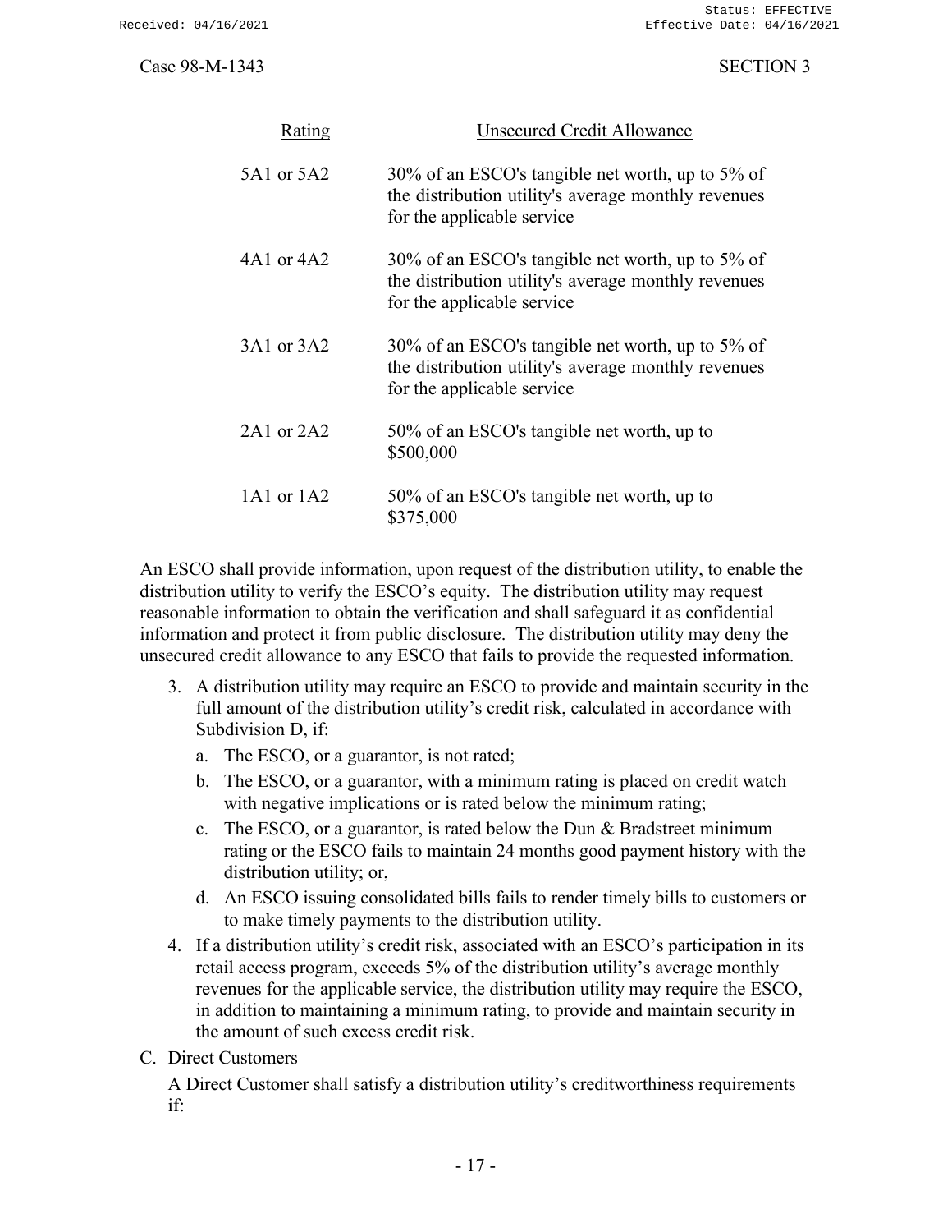| Rating         | Unsecured Credit Allowance                                                                                                            |
|----------------|---------------------------------------------------------------------------------------------------------------------------------------|
| 5A1 or 5A2     | 30% of an ESCO's tangible net worth, up to 5% of<br>the distribution utility's average monthly revenues<br>for the applicable service |
| 4A1 or 4A2     | 30% of an ESCO's tangible net worth, up to 5% of<br>the distribution utility's average monthly revenues<br>for the applicable service |
| 3A1 or 3A2     | 30% of an ESCO's tangible net worth, up to 5% of<br>the distribution utility's average monthly revenues<br>for the applicable service |
| $2A1$ or $2A2$ | 50% of an ESCO's tangible net worth, up to<br>\$500,000                                                                               |
| 1A1 or 1A2     | 50% of an ESCO's tangible net worth, up to<br>\$375,000                                                                               |

An ESCO shall provide information, upon request of the distribution utility, to enable the distribution utility to verify the ESCO's equity. The distribution utility may request reasonable information to obtain the verification and shall safeguard it as confidential information and protect it from public disclosure. The distribution utility may deny the unsecured credit allowance to any ESCO that fails to provide the requested information.

- 3. A distribution utility may require an ESCO to provide and maintain security in the full amount of the distribution utility's credit risk, calculated in accordance with Subdivision D, if:
	- a. The ESCO, or a guarantor, is not rated;
	- b. The ESCO, or a guarantor, with a minimum rating is placed on credit watch with negative implications or is rated below the minimum rating;
	- c. The ESCO, or a guarantor, is rated below the Dun & Bradstreet minimum rating or the ESCO fails to maintain 24 months good payment history with the distribution utility; or,
	- d. An ESCO issuing consolidated bills fails to render timely bills to customers or to make timely payments to the distribution utility.
- 4. If a distribution utility's credit risk, associated with an ESCO's participation in its retail access program, exceeds 5% of the distribution utility's average monthly revenues for the applicable service, the distribution utility may require the ESCO, in addition to maintaining a minimum rating, to provide and maintain security in the amount of such excess credit risk.
- C. Direct Customers

A Direct Customer shall satisfy a distribution utility's creditworthiness requirements if: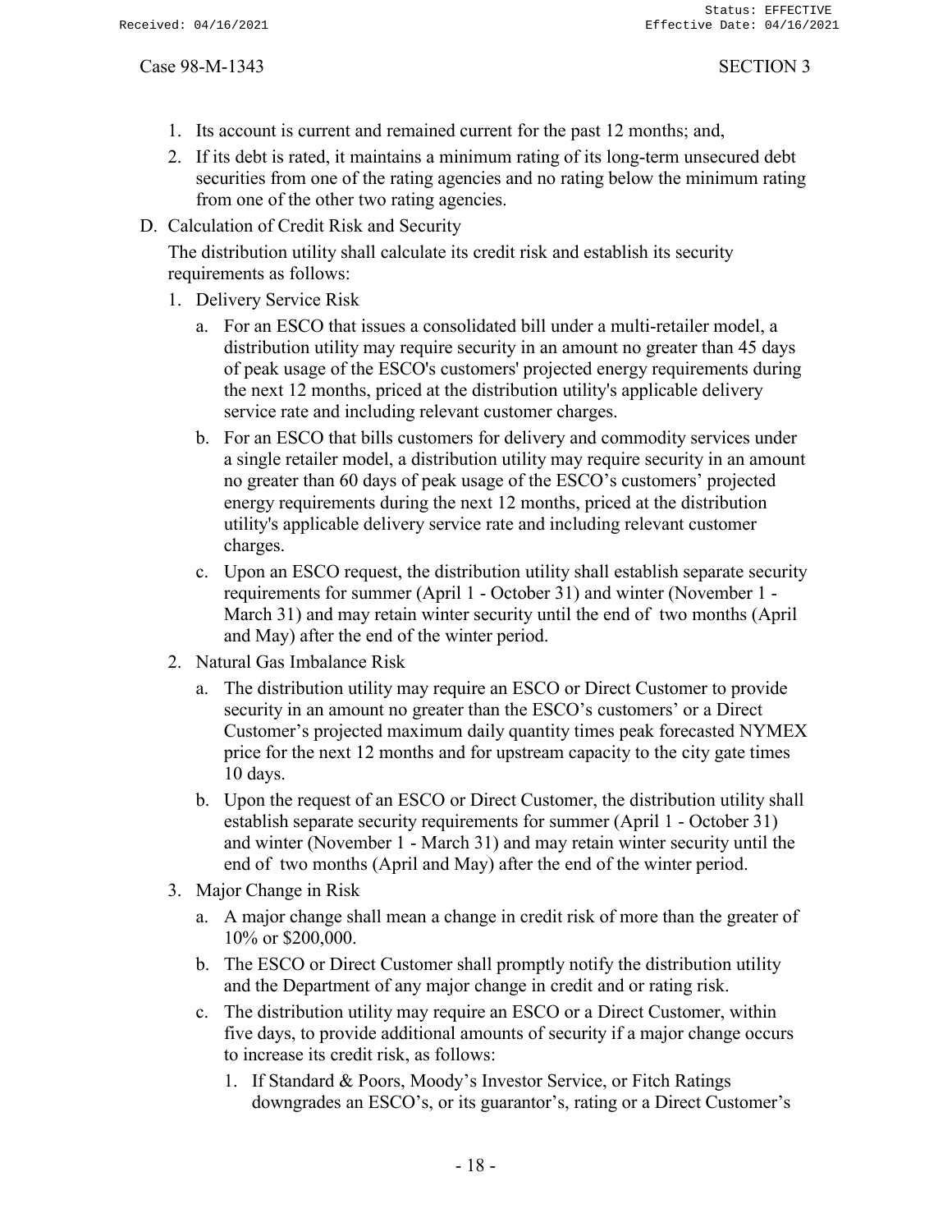- 1. Its account is current and remained current for the past 12 months; and,
- 2. If its debt is rated, it maintains a minimum rating of its long-term unsecured debt securities from one of the rating agencies and no rating below the minimum rating from one of the other two rating agencies.
- D. Calculation of Credit Risk and Security

The distribution utility shall calculate its credit risk and establish its security requirements as follows:

- 1. Delivery Service Risk
	- a. For an ESCO that issues a consolidated bill under a multi-retailer model, a distribution utility may require security in an amount no greater than 45 days of peak usage of the ESCO's customers' projected energy requirements during the next 12 months, priced at the distribution utility's applicable delivery service rate and including relevant customer charges.
	- b. For an ESCO that bills customers for delivery and commodity services under a single retailer model, a distribution utility may require security in an amount no greater than 60 days of peak usage of the ESCO's customers' projected energy requirements during the next 12 months, priced at the distribution utility's applicable delivery service rate and including relevant customer charges.
	- c. Upon an ESCO request, the distribution utility shall establish separate security requirements for summer (April 1 - October 31) and winter (November 1 - March 31) and may retain winter security until the end of two months (April and May) after the end of the winter period.
- 2. Natural Gas Imbalance Risk
	- a. The distribution utility may require an ESCO or Direct Customer to provide security in an amount no greater than the ESCO's customers' or a Direct Customer's projected maximum daily quantity times peak forecasted NYMEX price for the next 12 months and for upstream capacity to the city gate times 10 days.
	- b. Upon the request of an ESCO or Direct Customer, the distribution utility shall establish separate security requirements for summer (April 1 - October 31) and winter (November 1 - March 31) and may retain winter security until the end of two months (April and May) after the end of the winter period.
- 3. Major Change in Risk
	- a. A major change shall mean a change in credit risk of more than the greater of 10% or \$200,000.
	- b. The ESCO or Direct Customer shall promptly notify the distribution utility and the Department of any major change in credit and or rating risk.
	- c. The distribution utility may require an ESCO or a Direct Customer, within five days, to provide additional amounts of security if a major change occurs to increase its credit risk, as follows:
		- 1. If Standard & Poors, Moody's Investor Service, or Fitch Ratings downgrades an ESCO's, or its guarantor's, rating or a Direct Customer's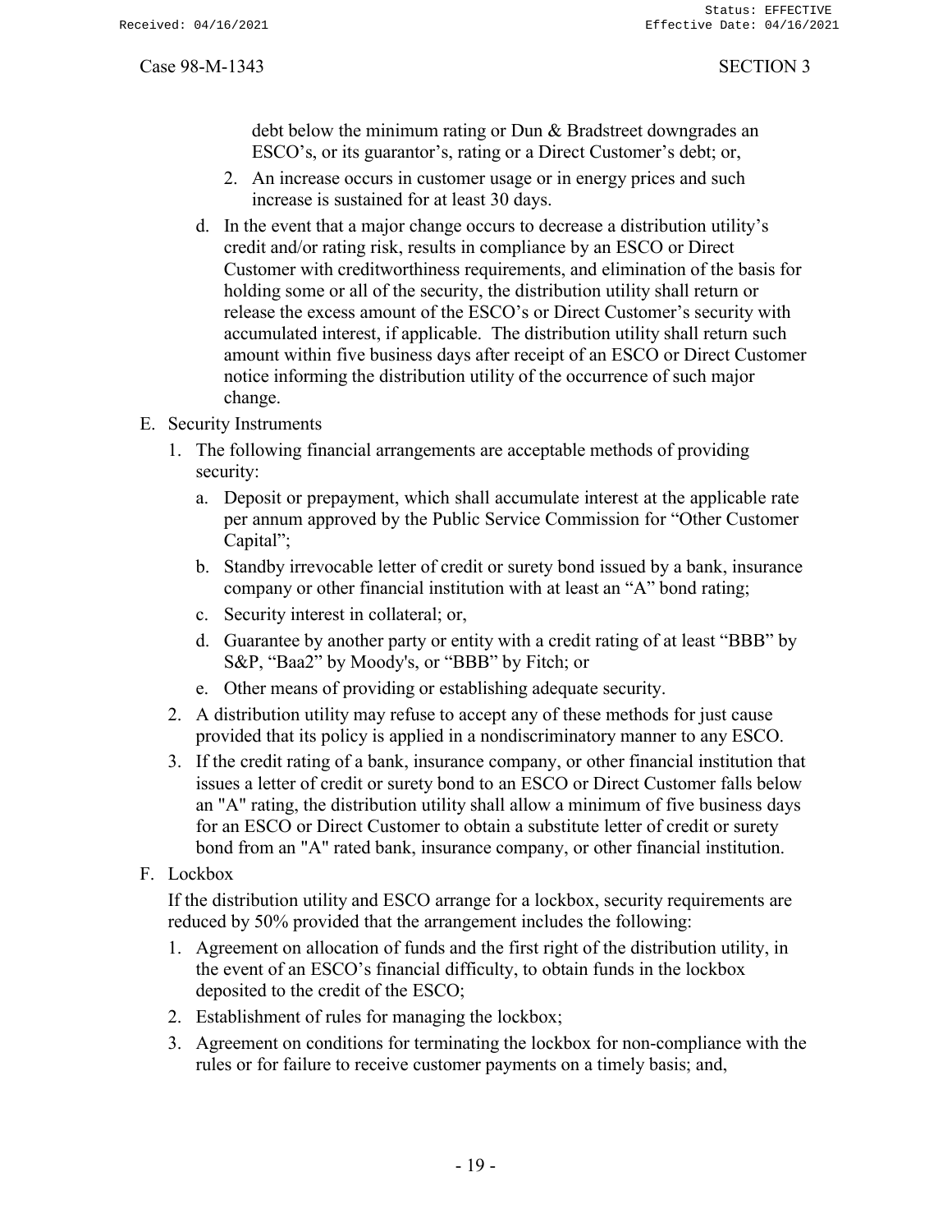debt below the minimum rating or Dun & Bradstreet downgrades an ESCO's, or its guarantor's, rating or a Direct Customer's debt; or,

- 2. An increase occurs in customer usage or in energy prices and such increase is sustained for at least 30 days.
- d. In the event that a major change occurs to decrease a distribution utility's credit and/or rating risk, results in compliance by an ESCO or Direct Customer with creditworthiness requirements, and elimination of the basis for holding some or all of the security, the distribution utility shall return or release the excess amount of the ESCO's or Direct Customer's security with accumulated interest, if applicable. The distribution utility shall return such amount within five business days after receipt of an ESCO or Direct Customer notice informing the distribution utility of the occurrence of such major change.
- E. Security Instruments
	- 1. The following financial arrangements are acceptable methods of providing security:
		- a. Deposit or prepayment, which shall accumulate interest at the applicable rate per annum approved by the Public Service Commission for "Other Customer Capital";
		- b. Standby irrevocable letter of credit or surety bond issued by a bank, insurance company or other financial institution with at least an "A" bond rating;
		- c. Security interest in collateral; or,
		- d. Guarantee by another party or entity with a credit rating of at least "BBB" by S&P, "Baa2" by Moody's, or "BBB" by Fitch; or
		- e. Other means of providing or establishing adequate security.
	- 2. A distribution utility may refuse to accept any of these methods for just cause provided that its policy is applied in a nondiscriminatory manner to any ESCO.
	- 3. If the credit rating of a bank, insurance company, or other financial institution that issues a letter of credit or surety bond to an ESCO or Direct Customer falls below an "A" rating, the distribution utility shall allow a minimum of five business days for an ESCO or Direct Customer to obtain a substitute letter of credit or surety bond from an "A" rated bank, insurance company, or other financial institution.
- F. Lockbox

If the distribution utility and ESCO arrange for a lockbox, security requirements are reduced by 50% provided that the arrangement includes the following:

- 1. Agreement on allocation of funds and the first right of the distribution utility, in the event of an ESCO's financial difficulty, to obtain funds in the lockbox deposited to the credit of the ESCO;
- 2. Establishment of rules for managing the lockbox;
- 3. Agreement on conditions for terminating the lockbox for non-compliance with the rules or for failure to receive customer payments on a timely basis; and,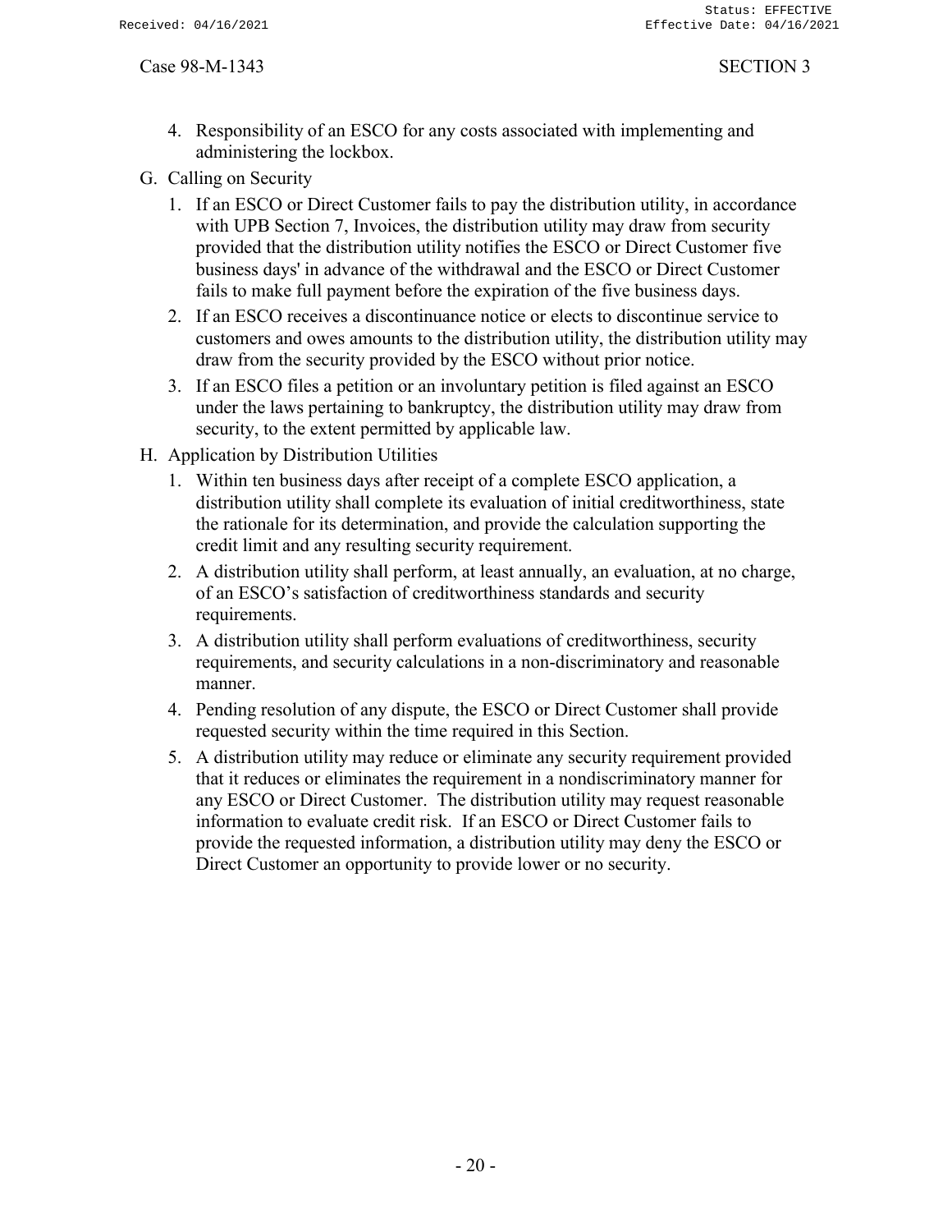- 4. Responsibility of an ESCO for any costs associated with implementing and administering the lockbox.
- G. Calling on Security
	- 1. If an ESCO or Direct Customer fails to pay the distribution utility, in accordance with UPB Section 7, Invoices, the distribution utility may draw from security provided that the distribution utility notifies the ESCO or Direct Customer five business days' in advance of the withdrawal and the ESCO or Direct Customer fails to make full payment before the expiration of the five business days.
	- 2. If an ESCO receives a discontinuance notice or elects to discontinue service to customers and owes amounts to the distribution utility, the distribution utility may draw from the security provided by the ESCO without prior notice.
	- 3. If an ESCO files a petition or an involuntary petition is filed against an ESCO under the laws pertaining to bankruptcy, the distribution utility may draw from security, to the extent permitted by applicable law.
- H. Application by Distribution Utilities
	- 1. Within ten business days after receipt of a complete ESCO application, a distribution utility shall complete its evaluation of initial creditworthiness, state the rationale for its determination, and provide the calculation supporting the credit limit and any resulting security requirement.
	- 2. A distribution utility shall perform, at least annually, an evaluation, at no charge, of an ESCO's satisfaction of creditworthiness standards and security requirements.
	- 3. A distribution utility shall perform evaluations of creditworthiness, security requirements, and security calculations in a non-discriminatory and reasonable manner.
	- 4. Pending resolution of any dispute, the ESCO or Direct Customer shall provide requested security within the time required in this Section.
	- 5. A distribution utility may reduce or eliminate any security requirement provided that it reduces or eliminates the requirement in a nondiscriminatory manner for any ESCO or Direct Customer. The distribution utility may request reasonable information to evaluate credit risk. If an ESCO or Direct Customer fails to provide the requested information, a distribution utility may deny the ESCO or Direct Customer an opportunity to provide lower or no security.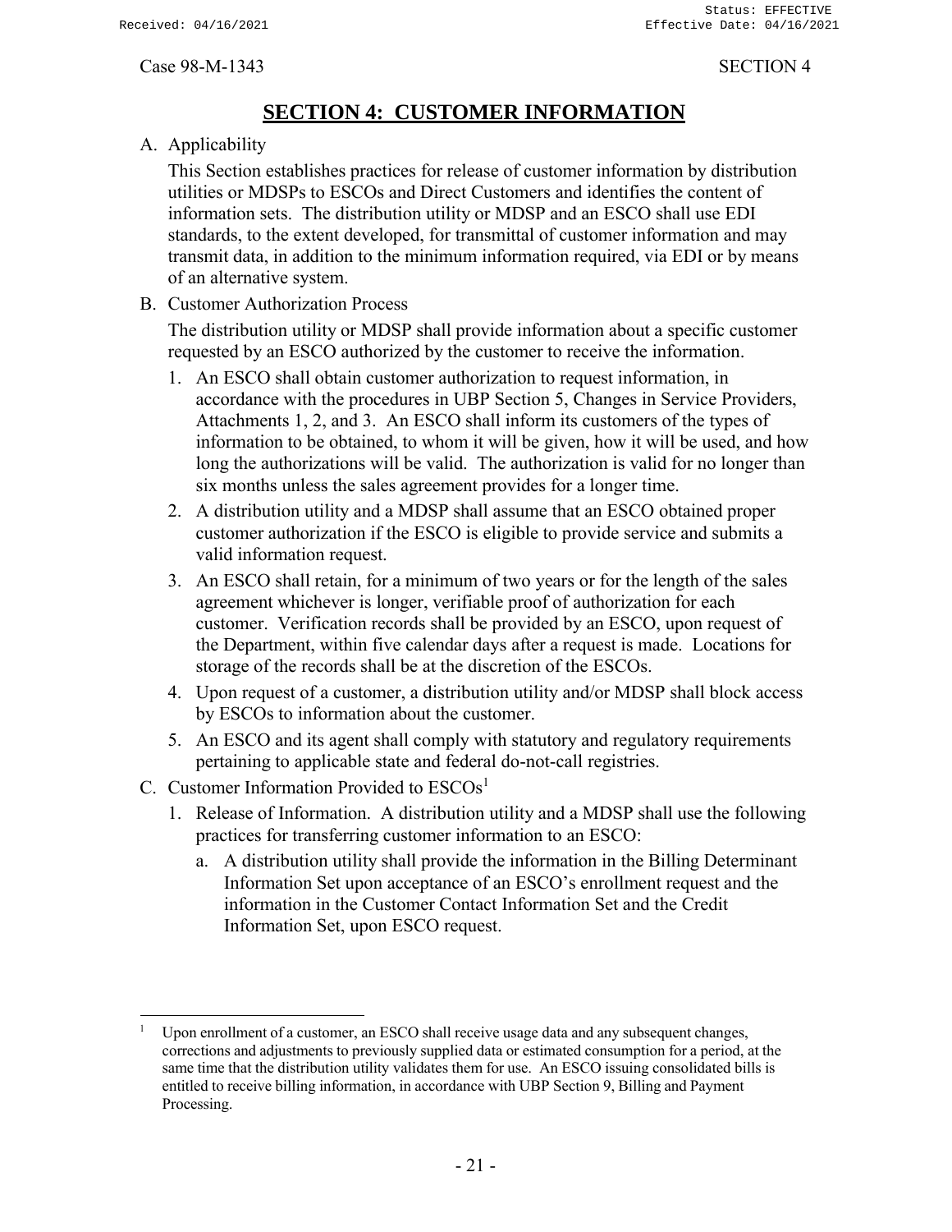# **SECTION 4: CUSTOMER INFORMATION**

<span id="page-23-0"></span>A. Applicability

This Section establishes practices for release of customer information by distribution utilities or MDSPs to ESCOs and Direct Customers and identifies the content of information sets. The distribution utility or MDSP and an ESCO shall use EDI standards, to the extent developed, for transmittal of customer information and may transmit data, in addition to the minimum information required, via EDI or by means of an alternative system.

B. Customer Authorization Process

The distribution utility or MDSP shall provide information about a specific customer requested by an ESCO authorized by the customer to receive the information.

- 1. An ESCO shall obtain customer authorization to request information, in accordance with the procedures in UBP Section 5, Changes in Service Providers, Attachments 1, 2, and 3. An ESCO shall inform its customers of the types of information to be obtained, to whom it will be given, how it will be used, and how long the authorizations will be valid. The authorization is valid for no longer than six months unless the sales agreement provides for a longer time.
- 2. A distribution utility and a MDSP shall assume that an ESCO obtained proper customer authorization if the ESCO is eligible to provide service and submits a valid information request.
- 3. An ESCO shall retain, for a minimum of two years or for the length of the sales agreement whichever is longer, verifiable proof of authorization for each customer. Verification records shall be provided by an ESCO, upon request of the Department, within five calendar days after a request is made. Locations for storage of the records shall be at the discretion of the ESCOs.
- 4. Upon request of a customer, a distribution utility and/or MDSP shall block access by ESCOs to information about the customer.
- 5. An ESCO and its agent shall comply with statutory and regulatory requirements pertaining to applicable state and federal do-not-call registries.
- C. Customer Information Provided to ESCOs<sup>1</sup>
	- 1. Release of Information. A distribution utility and a MDSP shall use the following practices for transferring customer information to an ESCO:
		- a. A distribution utility shall provide the information in the Billing Determinant Information Set upon acceptance of an ESCO's enrollment request and the information in the Customer Contact Information Set and the Credit Information Set, upon ESCO request.

Upon enrollment of a customer, an ESCO shall receive usage data and any subsequent changes, corrections and adjustments to previously supplied data or estimated consumption for a period, at the same time that the distribution utility validates them for use. An ESCO issuing consolidated bills is entitled to receive billing information, in accordance with UBP Section 9, Billing and Payment Processing.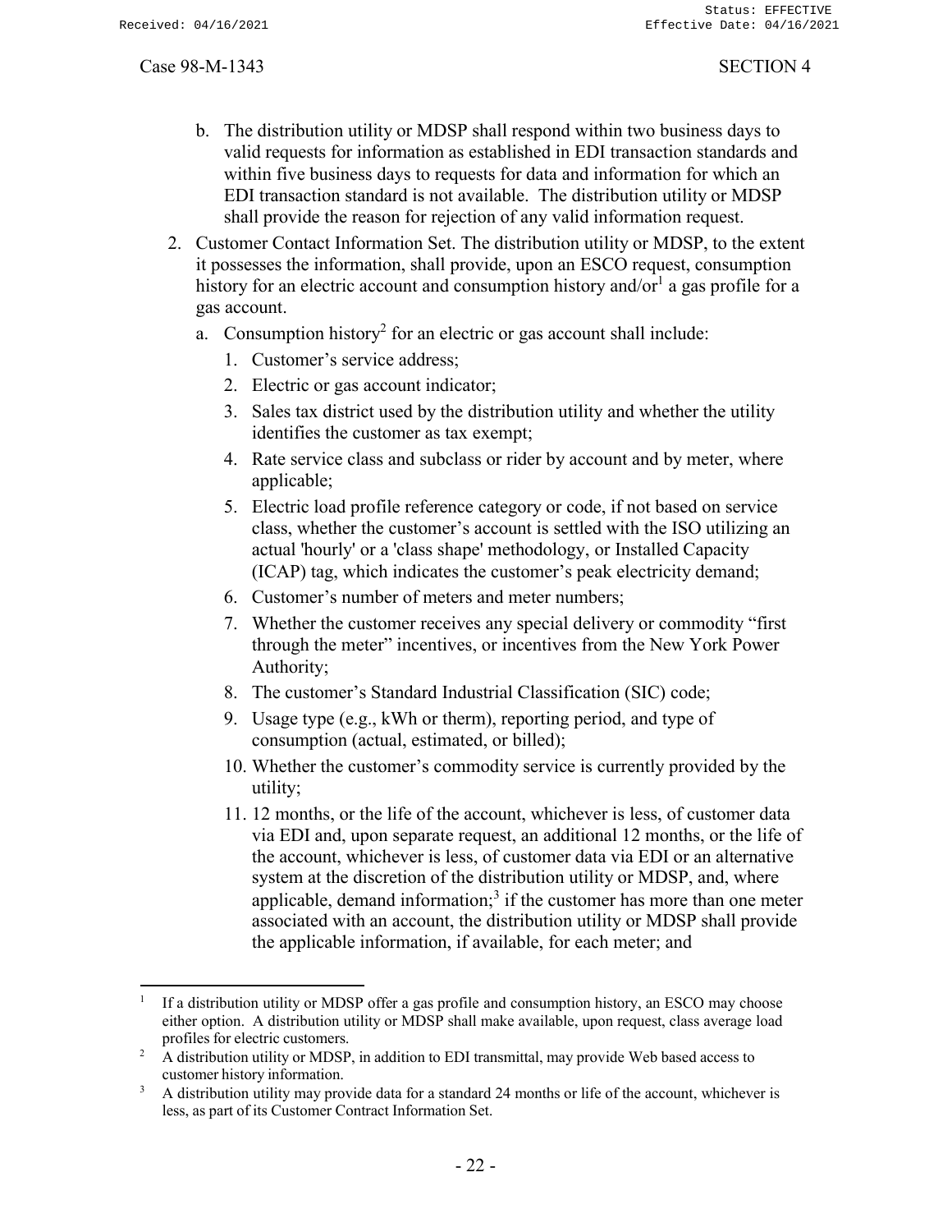- b. The distribution utility or MDSP shall respond within two business days to valid requests for information as established in EDI transaction standards and within five business days to requests for data and information for which an EDI transaction standard is not available. The distribution utility or MDSP shall provide the reason for rejection of any valid information request.
- 2. Customer Contact Information Set. The distribution utility or MDSP, to the extent it possesses the information, shall provide, upon an ESCO request, consumption history for an electric account and consumption history and/or $^1$  a gas profile for a gas account.
	- a. Consumption history<sup>2</sup> for an electric or gas account shall include:
		- 1. Customer's service address;
		- 2. Electric or gas account indicator;
		- 3. Sales tax district used by the distribution utility and whether the utility identifies the customer as tax exempt;
		- 4. Rate service class and subclass or rider by account and by meter, where applicable;
		- 5. Electric load profile reference category or code, if not based on service class, whether the customer's account is settled with the ISO utilizing an actual 'hourly' or a 'class shape' methodology, or Installed Capacity (ICAP) tag, which indicates the customer's peak electricity demand;
		- 6. Customer's number of meters and meter numbers;
		- 7. Whether the customer receives any special delivery or commodity "first through the meter" incentives, or incentives from the New York Power Authority;
		- 8. The customer's Standard Industrial Classification (SIC) code;
		- 9. Usage type (e.g., kWh or therm), reporting period, and type of consumption (actual, estimated, or billed);
		- 10. Whether the customer's commodity service is currently provided by the utility;
		- 11. 12 months, or the life of the account, whichever is less, of customer data via EDI and, upon separate request, an additional 12 months, or the life of the account, whichever is less, of customer data via EDI or an alternative system at the discretion of the distribution utility or MDSP, and, where applicable, demand information;<sup>3</sup> if the customer has more than one meter associated with an account, the distribution utility or MDSP shall provide the applicable information, if available, for each meter; and

<sup>1</sup> If a distribution utility or MDSP offer a gas profile and consumption history, an ESCO may choose either option. A distribution utility or MDSP shall make available, upon request, class average load profiles for electric customers.

<sup>&</sup>lt;sup>2</sup> A distribution utility or MDSP, in addition to EDI transmittal, may provide Web based access to customer history information.

<sup>&</sup>lt;sup>3</sup> A distribution utility may provide data for a standard 24 months or life of the account, whichever is less, as part of its Customer Contract Information Set.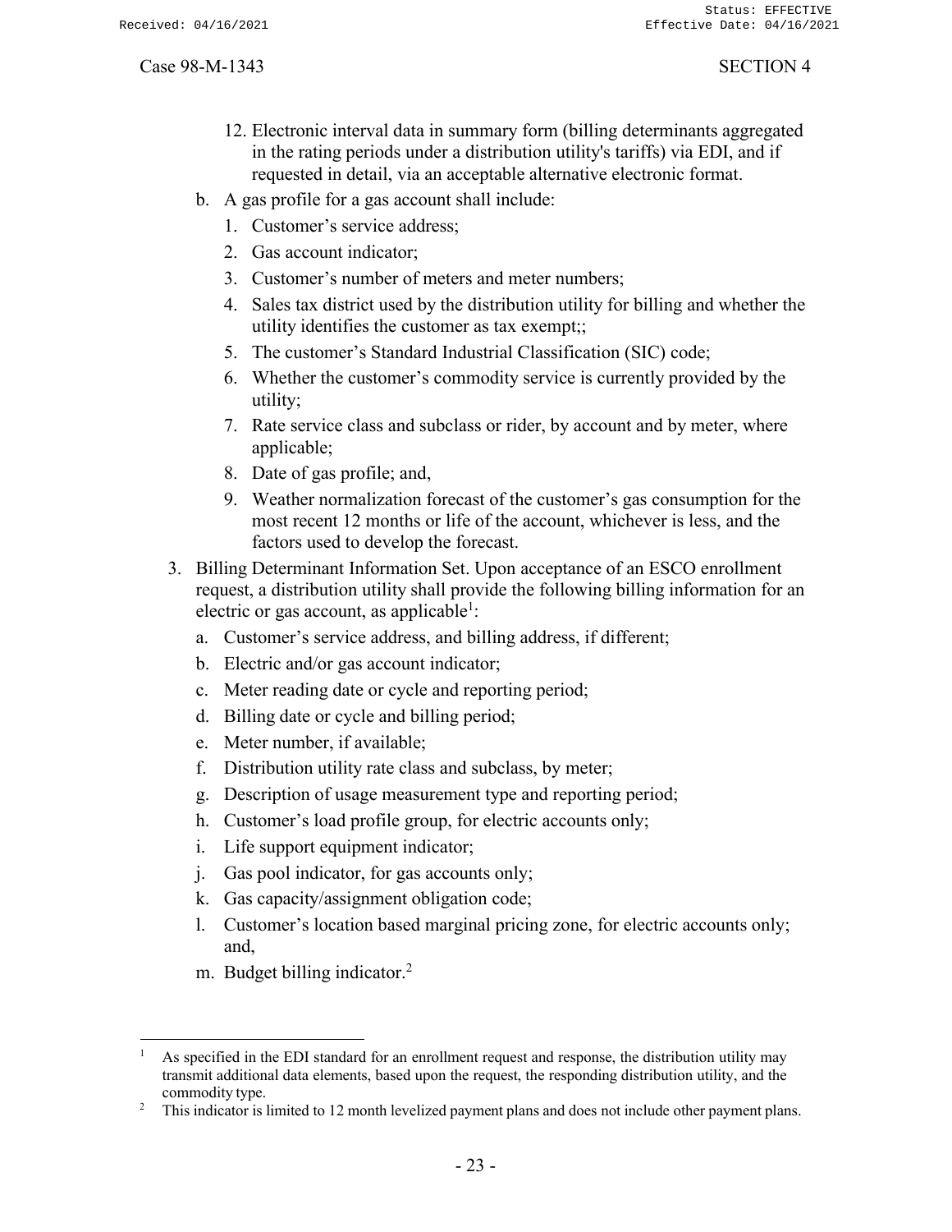- 12. Electronic interval data in summary form (billing determinants aggregated in the rating periods under a distribution utility's tariffs) via EDI, and if requested in detail, via an acceptable alternative electronic format.
- b. A gas profile for a gas account shall include:
	- 1. Customer's service address;
	- 2. Gas account indicator;
	- 3. Customer's number of meters and meter numbers;
	- 4. Sales tax district used by the distribution utility for billing and whether the utility identifies the customer as tax exempt;;
	- 5. The customer's Standard Industrial Classification (SIC) code;
	- 6. Whether the customer's commodity service is currently provided by the utility;
	- 7. Rate service class and subclass or rider, by account and by meter, where applicable;
	- 8. Date of gas profile; and,
	- 9. Weather normalization forecast of the customer's gas consumption for the most recent 12 months or life of the account, whichever is less, and the factors used to develop the forecast.
- 3. Billing Determinant Information Set. Upon acceptance of an ESCO enrollment request, a distribution utility shall provide the following billing information for an electric or gas account, as applicable<sup>1</sup>:
	- a. Customer's service address, and billing address, if different;
	- b. Electric and/or gas account indicator;
	- c. Meter reading date or cycle and reporting period;
	- d. Billing date or cycle and billing period;
	- e. Meter number, if available;
	- f. Distribution utility rate class and subclass, by meter;
	- g. Description of usage measurement type and reporting period;
	- h. Customer's load profile group, for electric accounts only;
	- i. Life support equipment indicator;
	- j. Gas pool indicator, for gas accounts only;
	- k. Gas capacity/assignment obligation code;
	- l. Customer's location based marginal pricing zone, for electric accounts only; and,
	- m. Budget billing indicator.<sup>2</sup>

<sup>&</sup>lt;sup>1</sup> As specified in the EDI standard for an enrollment request and response, the distribution utility may transmit additional data elements, based upon the request, the responding distribution utility, and the commodity type.

<sup>2</sup> This indicator is limited to 12 month levelized payment plans and does not include other payment plans.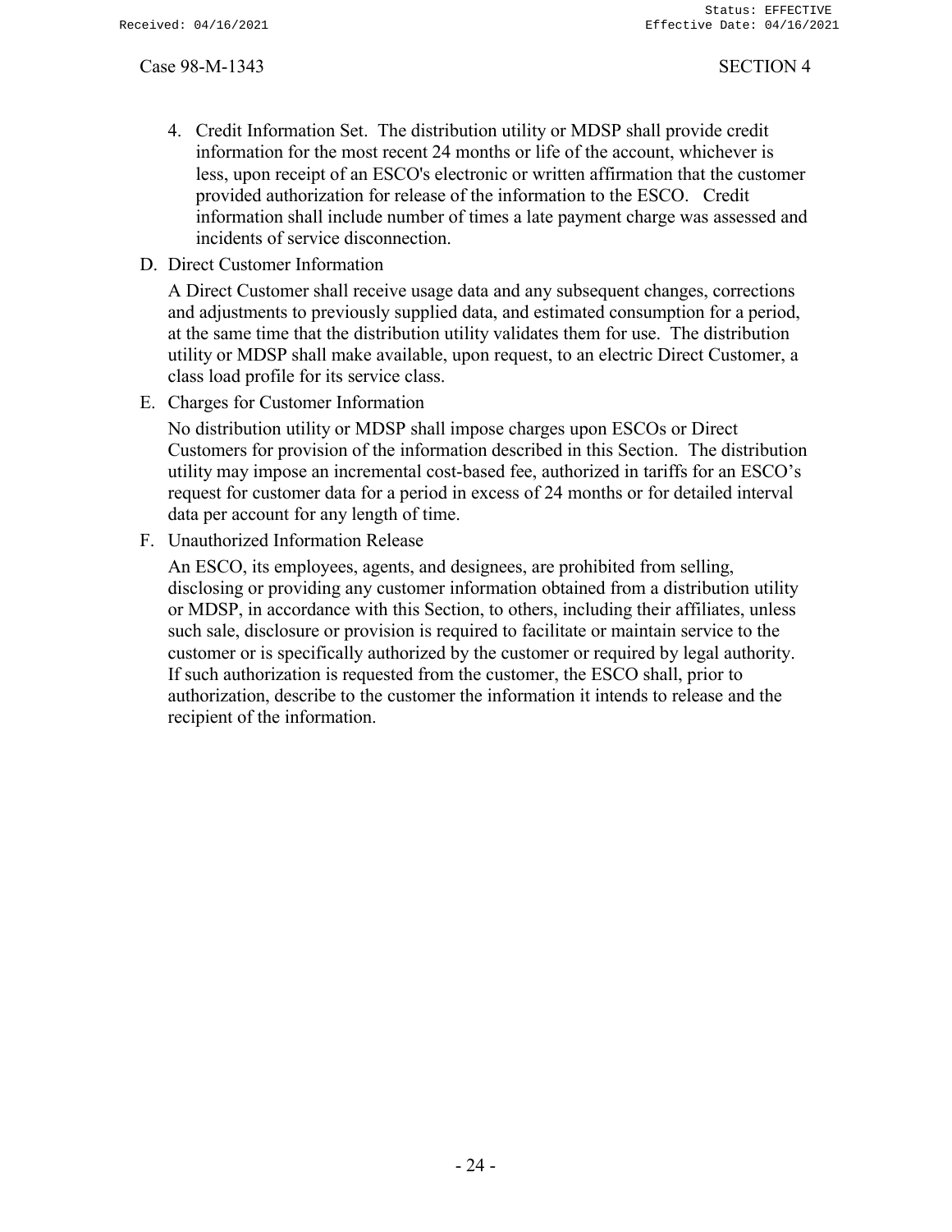- 4. Credit Information Set. The distribution utility or MDSP shall provide credit information for the most recent 24 months or life of the account, whichever is less, upon receipt of an ESCO's electronic or written affirmation that the customer provided authorization for release of the information to the ESCO. Credit information shall include number of times a late payment charge was assessed and incidents of service disconnection.
- D. Direct Customer Information

A Direct Customer shall receive usage data and any subsequent changes, corrections and adjustments to previously supplied data, and estimated consumption for a period, at the same time that the distribution utility validates them for use. The distribution utility or MDSP shall make available, upon request, to an electric Direct Customer, a class load profile for its service class.

E. Charges for Customer Information

No distribution utility or MDSP shall impose charges upon ESCOs or Direct Customers for provision of the information described in this Section. The distribution utility may impose an incremental cost-based fee, authorized in tariffs for an ESCO's request for customer data for a period in excess of 24 months or for detailed interval data per account for any length of time.

F. Unauthorized Information Release

An ESCO, its employees, agents, and designees, are prohibited from selling, disclosing or providing any customer information obtained from a distribution utility or MDSP, in accordance with this Section, to others, including their affiliates, unless such sale, disclosure or provision is required to facilitate or maintain service to the customer or is specifically authorized by the customer or required by legal authority. If such authorization is requested from the customer, the ESCO shall, prior to authorization, describe to the customer the information it intends to release and the recipient of the information.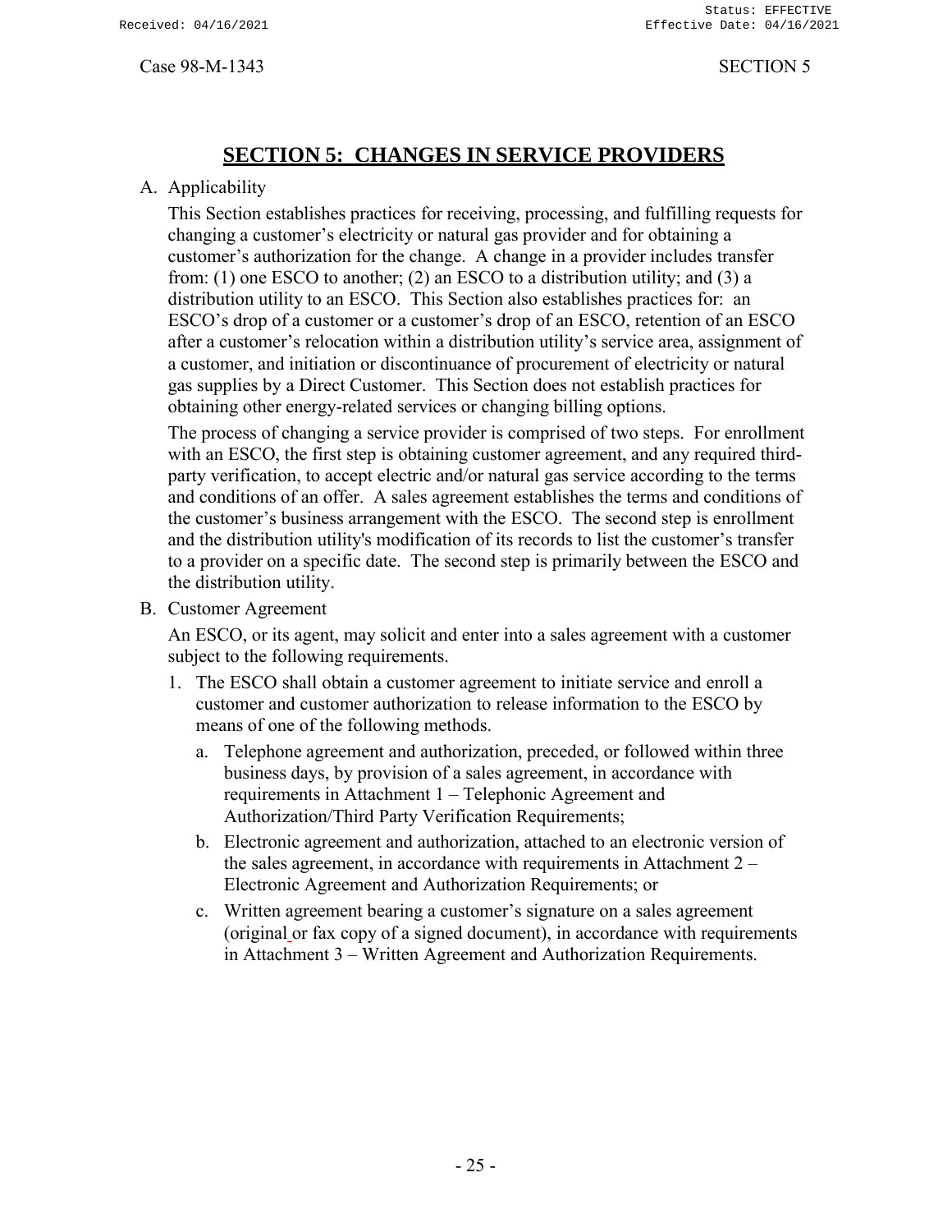# **SECTION 5: CHANGES IN SERVICE PROVIDERS**

# <span id="page-27-0"></span>A. Applicability

This Section establishes practices for receiving, processing, and fulfilling requests for changing a customer's electricity or natural gas provider and for obtaining a customer's authorization for the change. A change in a provider includes transfer from: (1) one ESCO to another; (2) an ESCO to a distribution utility; and (3) a distribution utility to an ESCO. This Section also establishes practices for: an ESCO's drop of a customer or a customer's drop of an ESCO, retention of an ESCO after a customer's relocation within a distribution utility's service area, assignment of a customer, and initiation or discontinuance of procurement of electricity or natural gas supplies by a Direct Customer. This Section does not establish practices for obtaining other energy-related services or changing billing options.

The process of changing a service provider is comprised of two steps. For enrollment with an ESCO, the first step is obtaining customer agreement, and any required thirdparty verification, to accept electric and/or natural gas service according to the terms and conditions of an offer. A sales agreement establishes the terms and conditions of the customer's business arrangement with the ESCO. The second step is enrollment and the distribution utility's modification of its records to list the customer's transfer to a provider on a specific date. The second step is primarily between the ESCO and the distribution utility.

B. Customer Agreement

An ESCO, or its agent, may solicit and enter into a sales agreement with a customer subject to the following requirements.

- 1. The ESCO shall obtain a customer agreement to initiate service and enroll a customer and customer authorization to release information to the ESCO by means of one of the following methods.
	- a. Telephone agreement and authorization, preceded, or followed within three business days, by provision of a sales agreement, in accordance with requirements in Attachment 1 – Telephonic Agreement and Authorization/Third Party Verification Requirements;
	- b. Electronic agreement and authorization, attached to an electronic version of the sales agreement, in accordance with requirements in Attachment  $2 -$ Electronic Agreement and Authorization Requirements; or
	- c. Written agreement bearing a customer's signature on a sales agreement (original or fax copy of a signed document), in accordance with requirements in Attachment 3 – Written Agreement and Authorization Requirements.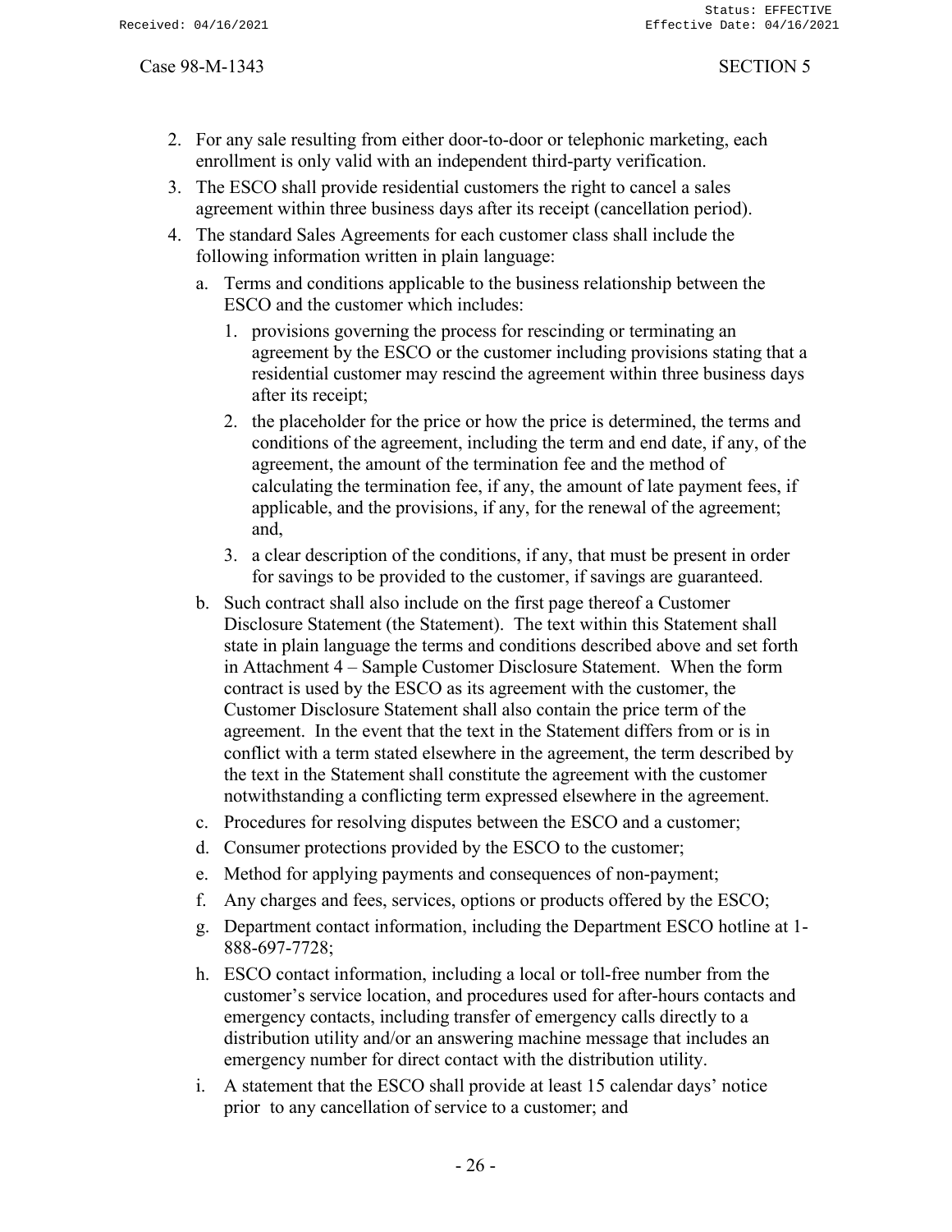- 2. For any sale resulting from either door-to-door or telephonic marketing, each enrollment is only valid with an independent third-party verification.
- 3. The ESCO shall provide residential customers the right to cancel a sales agreement within three business days after its receipt (cancellation period).
- 4. The standard Sales Agreements for each customer class shall include the following information written in plain language:
	- a. Terms and conditions applicable to the business relationship between the ESCO and the customer which includes:
		- 1. provisions governing the process for rescinding or terminating an agreement by the ESCO or the customer including provisions stating that a residential customer may rescind the agreement within three business days after its receipt;
		- 2. the placeholder for the price or how the price is determined, the terms and conditions of the agreement, including the term and end date, if any, of the agreement, the amount of the termination fee and the method of calculating the termination fee, if any, the amount of late payment fees, if applicable, and the provisions, if any, for the renewal of the agreement; and,
		- 3. a clear description of the conditions, if any, that must be present in order for savings to be provided to the customer, if savings are guaranteed.
	- b. Such contract shall also include on the first page thereof a Customer Disclosure Statement (the Statement). The text within this Statement shall state in plain language the terms and conditions described above and set forth in Attachment 4 – Sample Customer Disclosure Statement. When the form contract is used by the ESCO as its agreement with the customer, the Customer Disclosure Statement shall also contain the price term of the agreement. In the event that the text in the Statement differs from or is in conflict with a term stated elsewhere in the agreement, the term described by the text in the Statement shall constitute the agreement with the customer notwithstanding a conflicting term expressed elsewhere in the agreement.
	- c. Procedures for resolving disputes between the ESCO and a customer;
	- d. Consumer protections provided by the ESCO to the customer;
	- e. Method for applying payments and consequences of non-payment;
	- f. Any charges and fees, services, options or products offered by the ESCO;
	- g. Department contact information, including the Department ESCO hotline at 1- 888-697-7728;
	- h. ESCO contact information, including a local or toll-free number from the customer's service location, and procedures used for after-hours contacts and emergency contacts, including transfer of emergency calls directly to a distribution utility and/or an answering machine message that includes an emergency number for direct contact with the distribution utility.
	- i. A statement that the ESCO shall provide at least 15 calendar days' notice prior to any cancellation of service to a customer; and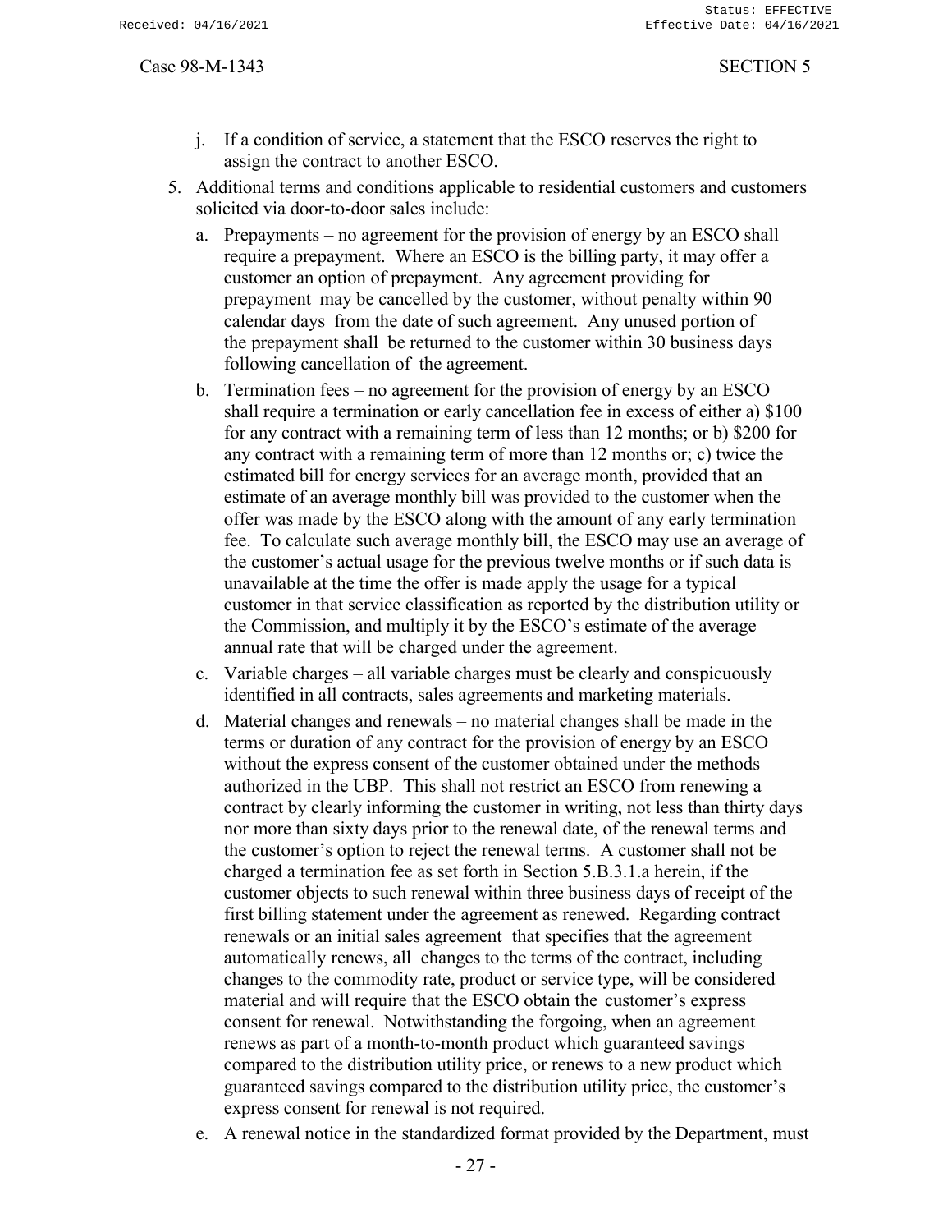- j. If a condition of service, a statement that the ESCO reserves the right to assign the contract to another ESCO.
- 5. Additional terms and conditions applicable to residential customers and customers solicited via door-to-door sales include:
	- a. Prepayments no agreement for the provision of energy by an ESCO shall require a prepayment. Where an ESCO is the billing party, it may offer a customer an option of prepayment. Any agreement providing for prepayment may be cancelled by the customer, without penalty within 90 calendar days from the date of such agreement. Any unused portion of the prepayment shall be returned to the customer within 30 business days following cancellation of the agreement.
	- b. Termination fees no agreement for the provision of energy by an ESCO shall require a termination or early cancellation fee in excess of either a) \$100 for any contract with a remaining term of less than 12 months; or b) \$200 for any contract with a remaining term of more than 12 months or; c) twice the estimated bill for energy services for an average month, provided that an estimate of an average monthly bill was provided to the customer when the offer was made by the ESCO along with the amount of any early termination fee. To calculate such average monthly bill, the ESCO may use an average of the customer's actual usage for the previous twelve months or if such data is unavailable at the time the offer is made apply the usage for a typical customer in that service classification as reported by the distribution utility or the Commission, and multiply it by the ESCO's estimate of the average annual rate that will be charged under the agreement.
	- c. Variable charges all variable charges must be clearly and conspicuously identified in all contracts, sales agreements and marketing materials.
	- d. Material changes and renewals no material changes shall be made in the terms or duration of any contract for the provision of energy by an ESCO without the express consent of the customer obtained under the methods authorized in the UBP. This shall not restrict an ESCO from renewing a contract by clearly informing the customer in writing, not less than thirty days nor more than sixty days prior to the renewal date, of the renewal terms and the customer's option to reject the renewal terms. A customer shall not be charged a termination fee as set forth in Section 5.B.3.1.a herein, if the customer objects to such renewal within three business days of receipt of the first billing statement under the agreement as renewed. Regarding contract renewals or an initial sales agreement that specifies that the agreement automatically renews, all changes to the terms of the contract, including changes to the commodity rate, product or service type, will be considered material and will require that the ESCO obtain the customer's express consent for renewal. Notwithstanding the forgoing, when an agreement renews as part of a month-to-month product which guaranteed savings compared to the distribution utility price, or renews to a new product which guaranteed savings compared to the distribution utility price, the customer's express consent for renewal is not required.
	- e. A renewal notice in the standardized format provided by the Department, must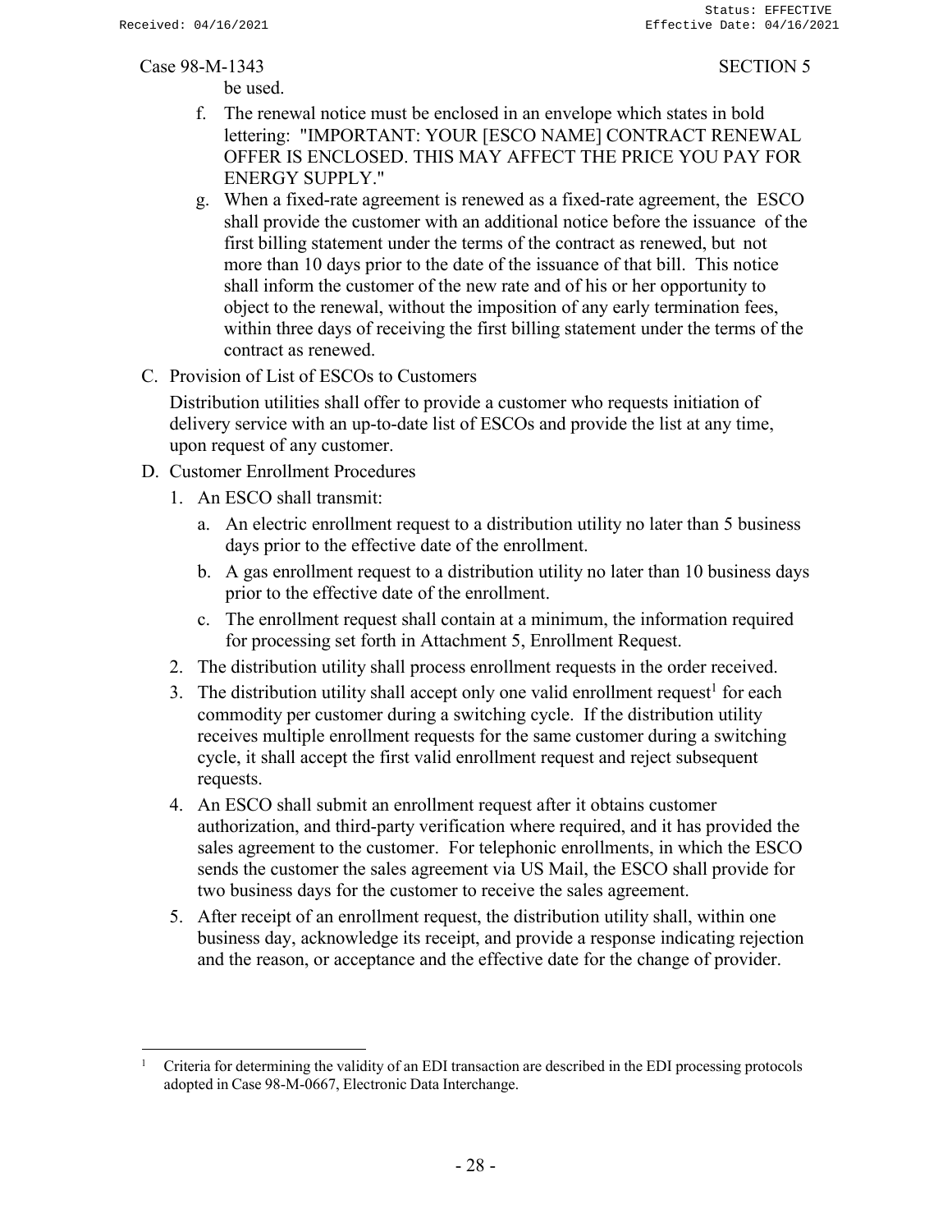be used.

- f. The renewal notice must be enclosed in an envelope which states in bold lettering: "IMPORTANT: YOUR [ESCO NAME] CONTRACT RENEWAL OFFER IS ENCLOSED. THIS MAY AFFECT THE PRICE YOU PAY FOR ENERGY SUPPLY."
- g. When a fixed-rate agreement is renewed as a fixed-rate agreement, the ESCO shall provide the customer with an additional notice before the issuance of the first billing statement under the terms of the contract as renewed, but not more than 10 days prior to the date of the issuance of that bill. This notice shall inform the customer of the new rate and of his or her opportunity to object to the renewal, without the imposition of any early termination fees, within three days of receiving the first billing statement under the terms of the contract as renewed.
- C. Provision of List of ESCOs to Customers

Distribution utilities shall offer to provide a customer who requests initiation of delivery service with an up-to-date list of ESCOs and provide the list at any time, upon request of any customer.

- D. Customer Enrollment Procedures
	- 1. An ESCO shall transmit:
		- a. An electric enrollment request to a distribution utility no later than 5 business days prior to the effective date of the enrollment.
		- b. A gas enrollment request to a distribution utility no later than 10 business days prior to the effective date of the enrollment.
		- c. The enrollment request shall contain at a minimum, the information required for processing set forth in Attachment 5, Enrollment Request.
	- 2. The distribution utility shall process enrollment requests in the order received.
	- 3. The distribution utility shall accept only one valid enrollment request<sup>1</sup> for each commodity per customer during a switching cycle. If the distribution utility receives multiple enrollment requests for the same customer during a switching cycle, it shall accept the first valid enrollment request and reject subsequent requests.
	- 4. An ESCO shall submit an enrollment request after it obtains customer authorization, and third-party verification where required, and it has provided the sales agreement to the customer. For telephonic enrollments, in which the ESCO sends the customer the sales agreement via US Mail, the ESCO shall provide for two business days for the customer to receive the sales agreement.
	- 5. After receipt of an enrollment request, the distribution utility shall, within one business day, acknowledge its receipt, and provide a response indicating rejection and the reason, or acceptance and the effective date for the change of provider.

<sup>1</sup> Criteria for determining the validity of an EDI transaction are described in the EDI processing protocols adopted in Case 98-M-0667, Electronic Data Interchange.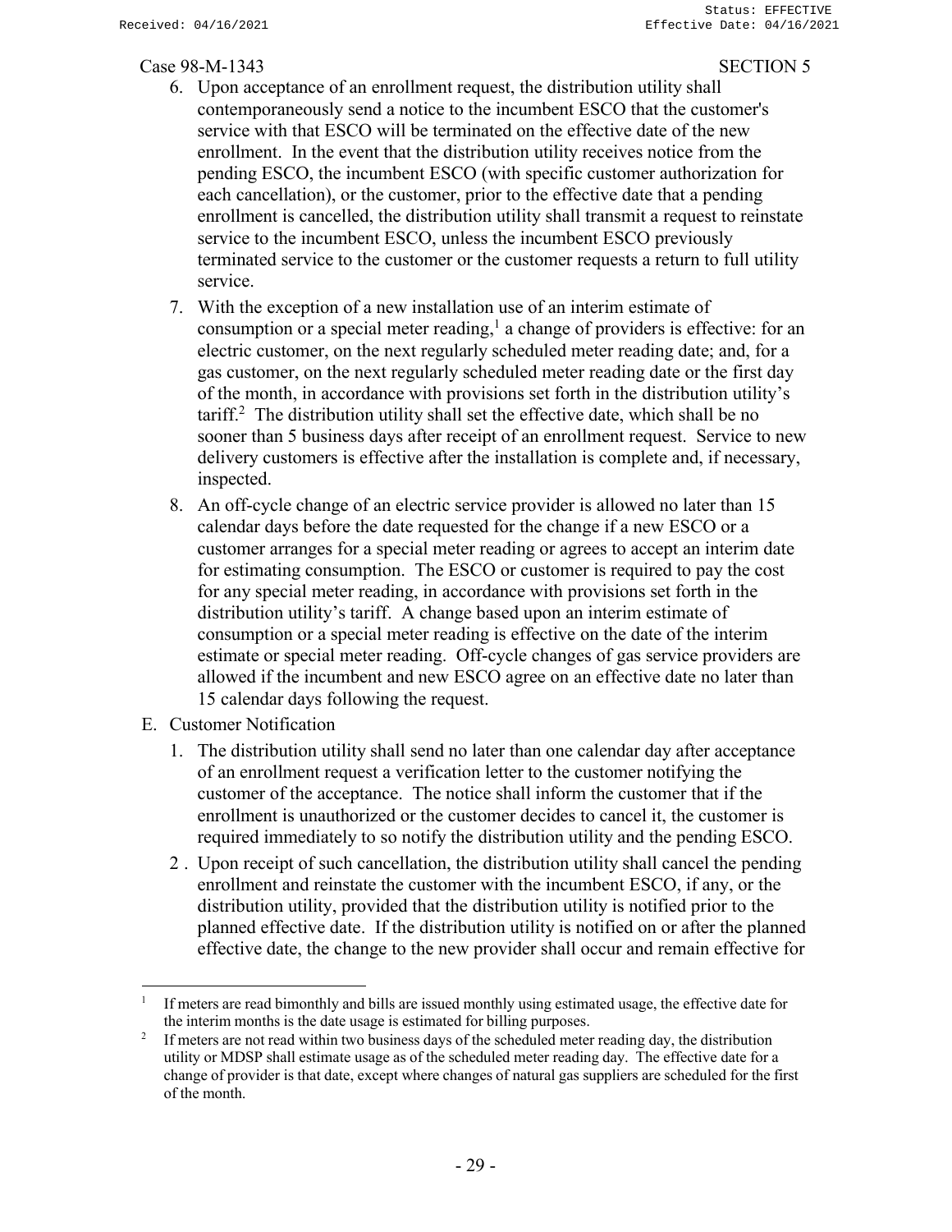- 6. Upon acceptance of an enrollment request, the distribution utility shall contemporaneously send a notice to the incumbent ESCO that the customer's service with that ESCO will be terminated on the effective date of the new enrollment. In the event that the distribution utility receives notice from the pending ESCO, the incumbent ESCO (with specific customer authorization for each cancellation), or the customer, prior to the effective date that a pending enrollment is cancelled, the distribution utility shall transmit a request to reinstate service to the incumbent ESCO, unless the incumbent ESCO previously terminated service to the customer or the customer requests a return to full utility service.
- 7. With the exception of a new installation use of an interim estimate of consumption or a special meter reading,<sup>1</sup> a change of providers is effective: for an electric customer, on the next regularly scheduled meter reading date; and, for a gas customer, on the next regularly scheduled meter reading date or the first day of the month, in accordance with provisions set forth in the distribution utility's  $\arcsin^{2}$  The distribution utility shall set the effective date, which shall be no sooner than 5 business days after receipt of an enrollment request. Service to new delivery customers is effective after the installation is complete and, if necessary, inspected.
- 8. An off-cycle change of an electric service provider is allowed no later than 15 calendar days before the date requested for the change if a new ESCO or a customer arranges for a special meter reading or agrees to accept an interim date for estimating consumption. The ESCO or customer is required to pay the cost for any special meter reading, in accordance with provisions set forth in the distribution utility's tariff. A change based upon an interim estimate of consumption or a special meter reading is effective on the date of the interim estimate or special meter reading. Off-cycle changes of gas service providers are allowed if the incumbent and new ESCO agree on an effective date no later than 15 calendar days following the request.
- E. Customer Notification
	- 1. The distribution utility shall send no later than one calendar day after acceptance of an enrollment request a verification letter to the customer notifying the customer of the acceptance. The notice shall inform the customer that if the enrollment is unauthorized or the customer decides to cancel it, the customer is required immediately to so notify the distribution utility and the pending ESCO.
	- 2 . Upon receipt of such cancellation, the distribution utility shall cancel the pending enrollment and reinstate the customer with the incumbent ESCO, if any, or the distribution utility, provided that the distribution utility is notified prior to the planned effective date. If the distribution utility is notified on or after the planned effective date, the change to the new provider shall occur and remain effective for

<sup>1</sup> If meters are read bimonthly and bills are issued monthly using estimated usage, the effective date for the interim months is the date usage is estimated for billing purposes.

<sup>2</sup> If meters are not read within two business days of the scheduled meter reading day, the distribution utility or MDSP shall estimate usage as of the scheduled meter reading day. The effective date for a change of provider is that date, except where changes of natural gas suppliers are scheduled for the first of the month.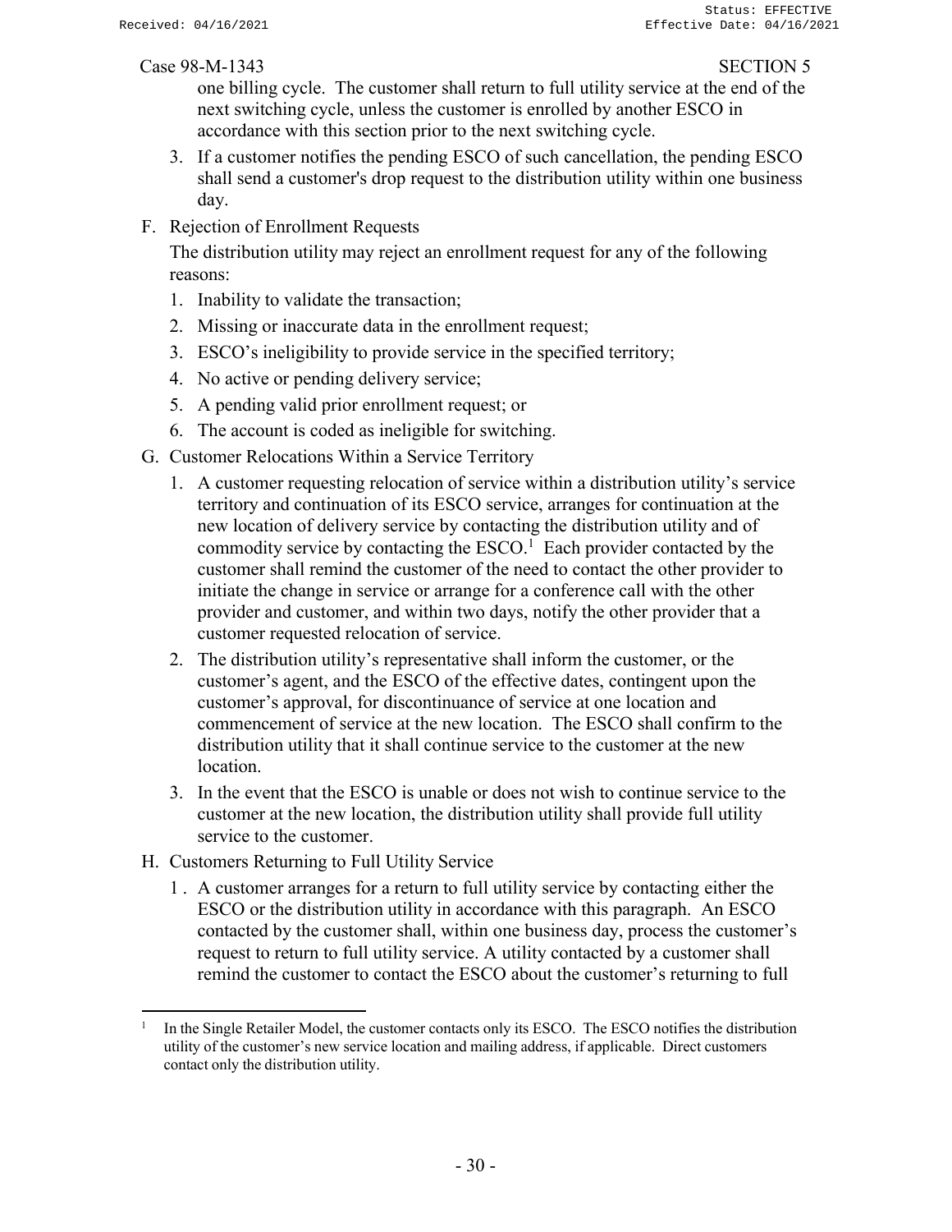one billing cycle. The customer shall return to full utility service at the end of the next switching cycle, unless the customer is enrolled by another ESCO in accordance with this section prior to the next switching cycle.

- 3. If a customer notifies the pending ESCO of such cancellation, the pending ESCO shall send a customer's drop request to the distribution utility within one business day.
- F. Rejection of Enrollment Requests

The distribution utility may reject an enrollment request for any of the following reasons:

- 1. Inability to validate the transaction;
- 2. Missing or inaccurate data in the enrollment request;
- 3. ESCO's ineligibility to provide service in the specified territory;
- 4. No active or pending delivery service;
- 5. A pending valid prior enrollment request; or
- 6. The account is coded as ineligible for switching.
- G. Customer Relocations Within a Service Territory
	- 1. A customer requesting relocation of service within a distribution utility's service territory and continuation of its ESCO service, arranges for continuation at the new location of delivery service by contacting the distribution utility and of commodity service by contacting the  $ESCO<sup>1</sup>$  Each provider contacted by the customer shall remind the customer of the need to contact the other provider to initiate the change in service or arrange for a conference call with the other provider and customer, and within two days, notify the other provider that a customer requested relocation of service.
	- 2. The distribution utility's representative shall inform the customer, or the customer's agent, and the ESCO of the effective dates, contingent upon the customer's approval, for discontinuance of service at one location and commencement of service at the new location. The ESCO shall confirm to the distribution utility that it shall continue service to the customer at the new location.
	- 3. In the event that the ESCO is unable or does not wish to continue service to the customer at the new location, the distribution utility shall provide full utility service to the customer.
- H. Customers Returning to Full Utility Service
	- 1 . A customer arranges for a return to full utility service by contacting either the ESCO or the distribution utility in accordance with this paragraph. An ESCO contacted by the customer shall, within one business day, process the customer's request to return to full utility service. A utility contacted by a customer shall remind the customer to contact the ESCO about the customer's returning to full

<sup>1</sup> In the Single Retailer Model, the customer contacts only its ESCO. The ESCO notifies the distribution utility of the customer's new service location and mailing address, if applicable. Direct customers contact only the distribution utility.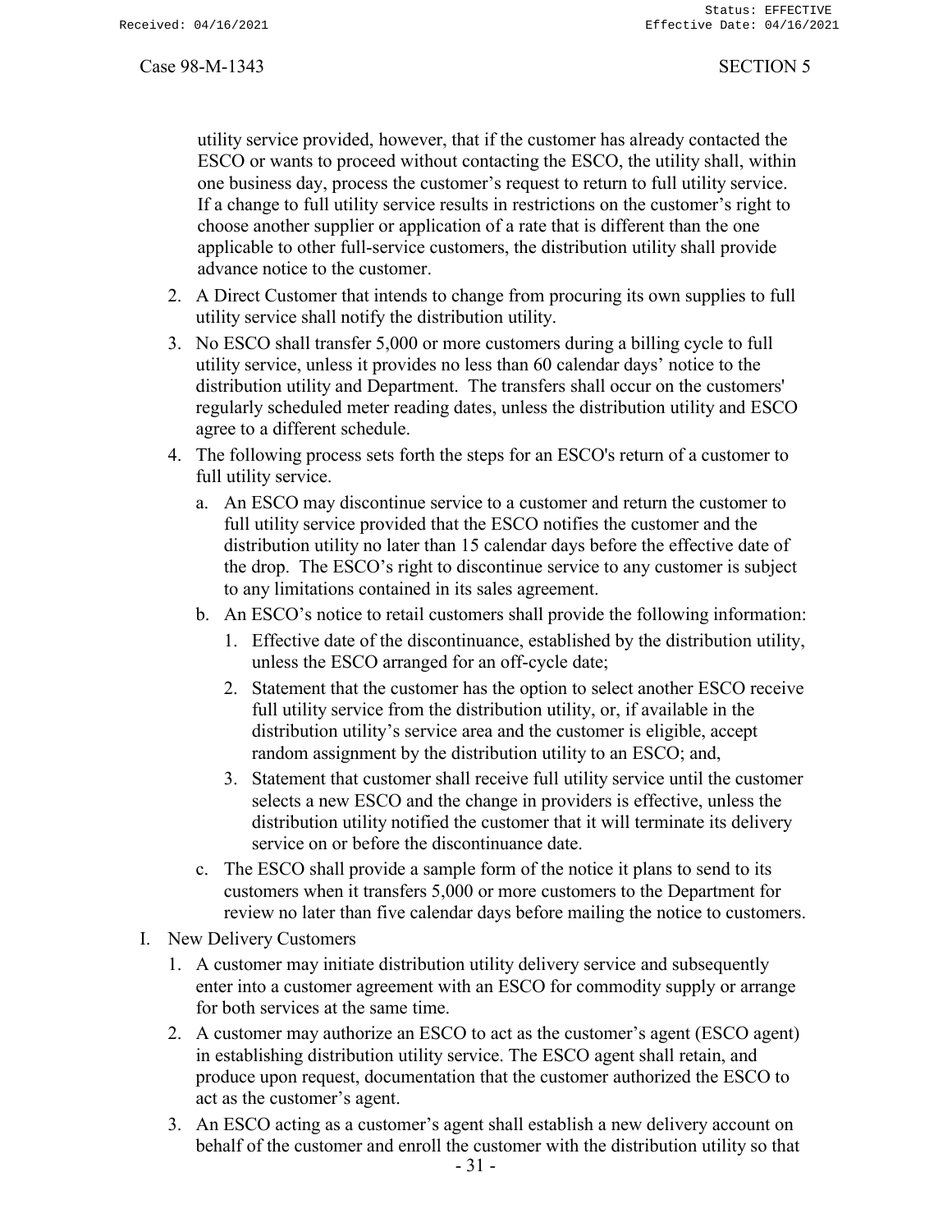utility service provided, however, that if the customer has already contacted the ESCO or wants to proceed without contacting the ESCO, the utility shall, within one business day, process the customer's request to return to full utility service. If a change to full utility service results in restrictions on the customer's right to choose another supplier or application of a rate that is different than the one applicable to other full-service customers, the distribution utility shall provide advance notice to the customer.

- 2. A Direct Customer that intends to change from procuring its own supplies to full utility service shall notify the distribution utility.
- 3. No ESCO shall transfer 5,000 or more customers during a billing cycle to full utility service, unless it provides no less than 60 calendar days' notice to the distribution utility and Department. The transfers shall occur on the customers' regularly scheduled meter reading dates, unless the distribution utility and ESCO agree to a different schedule.
- 4. The following process sets forth the steps for an ESCO's return of a customer to full utility service.
	- a. An ESCO may discontinue service to a customer and return the customer to full utility service provided that the ESCO notifies the customer and the distribution utility no later than 15 calendar days before the effective date of the drop. The ESCO's right to discontinue service to any customer is subject to any limitations contained in its sales agreement.
	- b. An ESCO's notice to retail customers shall provide the following information:
		- 1. Effective date of the discontinuance, established by the distribution utility, unless the ESCO arranged for an off-cycle date;
		- 2. Statement that the customer has the option to select another ESCO receive full utility service from the distribution utility, or, if available in the distribution utility's service area and the customer is eligible, accept random assignment by the distribution utility to an ESCO; and,
		- 3. Statement that customer shall receive full utility service until the customer selects a new ESCO and the change in providers is effective, unless the distribution utility notified the customer that it will terminate its delivery service on or before the discontinuance date.
	- c. The ESCO shall provide a sample form of the notice it plans to send to its customers when it transfers 5,000 or more customers to the Department for review no later than five calendar days before mailing the notice to customers.
- I. New Delivery Customers
	- 1. A customer may initiate distribution utility delivery service and subsequently enter into a customer agreement with an ESCO for commodity supply or arrange for both services at the same time.
	- 2. A customer may authorize an ESCO to act as the customer's agent (ESCO agent) in establishing distribution utility service. The ESCO agent shall retain, and produce upon request, documentation that the customer authorized the ESCO to act as the customer's agent.
	- 3. An ESCO acting as a customer's agent shall establish a new delivery account on behalf of the customer and enroll the customer with the distribution utility so that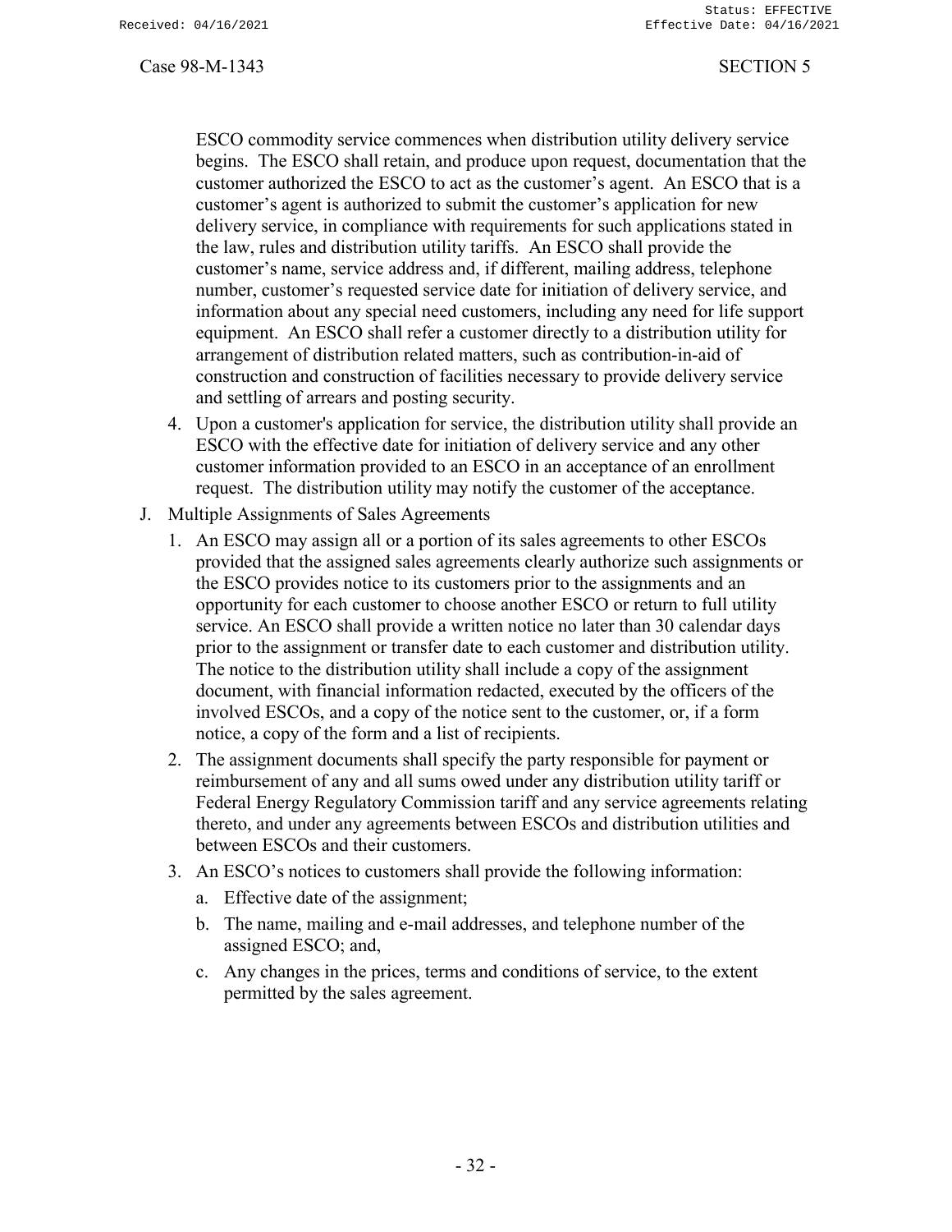ESCO commodity service commences when distribution utility delivery service begins. The ESCO shall retain, and produce upon request, documentation that the customer authorized the ESCO to act as the customer's agent. An ESCO that is a customer's agent is authorized to submit the customer's application for new delivery service, in compliance with requirements for such applications stated in the law, rules and distribution utility tariffs. An ESCO shall provide the customer's name, service address and, if different, mailing address, telephone number, customer's requested service date for initiation of delivery service, and information about any special need customers, including any need for life support equipment. An ESCO shall refer a customer directly to a distribution utility for arrangement of distribution related matters, such as contribution-in-aid of construction and construction of facilities necessary to provide delivery service and settling of arrears and posting security.

- 4. Upon a customer's application for service, the distribution utility shall provide an ESCO with the effective date for initiation of delivery service and any other customer information provided to an ESCO in an acceptance of an enrollment request. The distribution utility may notify the customer of the acceptance.
- J. Multiple Assignments of Sales Agreements
	- 1. An ESCO may assign all or a portion of its sales agreements to other ESCOs provided that the assigned sales agreements clearly authorize such assignments or the ESCO provides notice to its customers prior to the assignments and an opportunity for each customer to choose another ESCO or return to full utility service. An ESCO shall provide a written notice no later than 30 calendar days prior to the assignment or transfer date to each customer and distribution utility. The notice to the distribution utility shall include a copy of the assignment document, with financial information redacted, executed by the officers of the involved ESCOs, and a copy of the notice sent to the customer, or, if a form notice, a copy of the form and a list of recipients.
	- 2. The assignment documents shall specify the party responsible for payment or reimbursement of any and all sums owed under any distribution utility tariff or Federal Energy Regulatory Commission tariff and any service agreements relating thereto, and under any agreements between ESCOs and distribution utilities and between ESCOs and their customers.
	- 3. An ESCO's notices to customers shall provide the following information:
		- a. Effective date of the assignment;
		- b. The name, mailing and e-mail addresses, and telephone number of the assigned ESCO; and,
		- c. Any changes in the prices, terms and conditions of service, to the extent permitted by the sales agreement.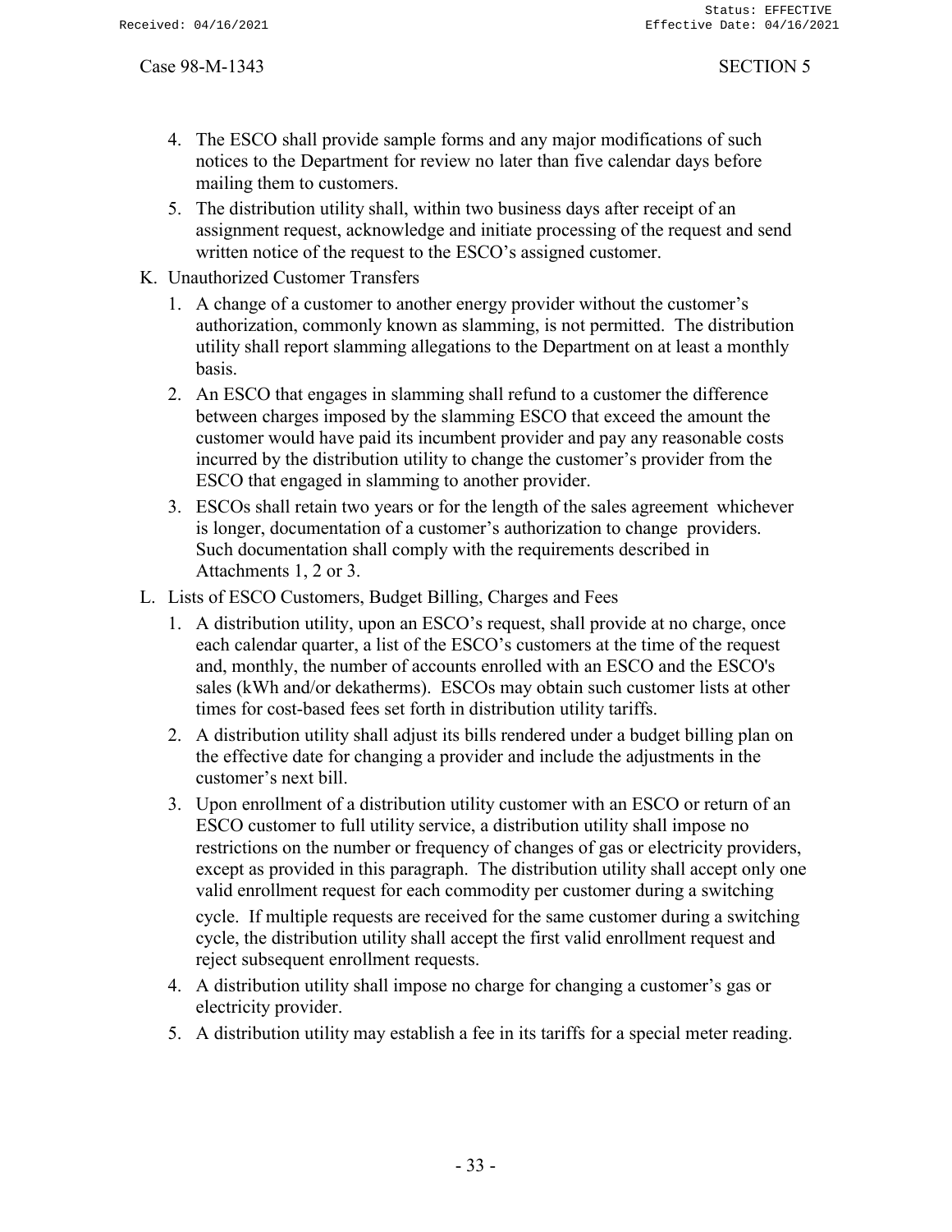- 4. The ESCO shall provide sample forms and any major modifications of such notices to the Department for review no later than five calendar days before mailing them to customers.
- 5. The distribution utility shall, within two business days after receipt of an assignment request, acknowledge and initiate processing of the request and send written notice of the request to the ESCO's assigned customer.
- K. Unauthorized Customer Transfers
	- 1. A change of a customer to another energy provider without the customer's authorization, commonly known as slamming, is not permitted. The distribution utility shall report slamming allegations to the Department on at least a monthly basis.
	- 2. An ESCO that engages in slamming shall refund to a customer the difference between charges imposed by the slamming ESCO that exceed the amount the customer would have paid its incumbent provider and pay any reasonable costs incurred by the distribution utility to change the customer's provider from the ESCO that engaged in slamming to another provider.
	- 3. ESCOs shall retain two years or for the length of the sales agreement whichever is longer, documentation of a customer's authorization to change providers. Such documentation shall comply with the requirements described in Attachments 1, 2 or 3.
- L. Lists of ESCO Customers, Budget Billing, Charges and Fees
	- 1. A distribution utility, upon an ESCO's request, shall provide at no charge, once each calendar quarter, a list of the ESCO's customers at the time of the request and, monthly, the number of accounts enrolled with an ESCO and the ESCO's sales (kWh and/or dekatherms). ESCOs may obtain such customer lists at other times for cost-based fees set forth in distribution utility tariffs.
	- 2. A distribution utility shall adjust its bills rendered under a budget billing plan on the effective date for changing a provider and include the adjustments in the customer's next bill.
	- 3. Upon enrollment of a distribution utility customer with an ESCO or return of an ESCO customer to full utility service, a distribution utility shall impose no restrictions on the number or frequency of changes of gas or electricity providers, except as provided in this paragraph. The distribution utility shall accept only one valid enrollment request for each commodity per customer during a switching

cycle. If multiple requests are received for the same customer during a switching cycle, the distribution utility shall accept the first valid enrollment request and reject subsequent enrollment requests.

- 4. A distribution utility shall impose no charge for changing a customer's gas or electricity provider.
- 5. A distribution utility may establish a fee in its tariffs for a special meter reading.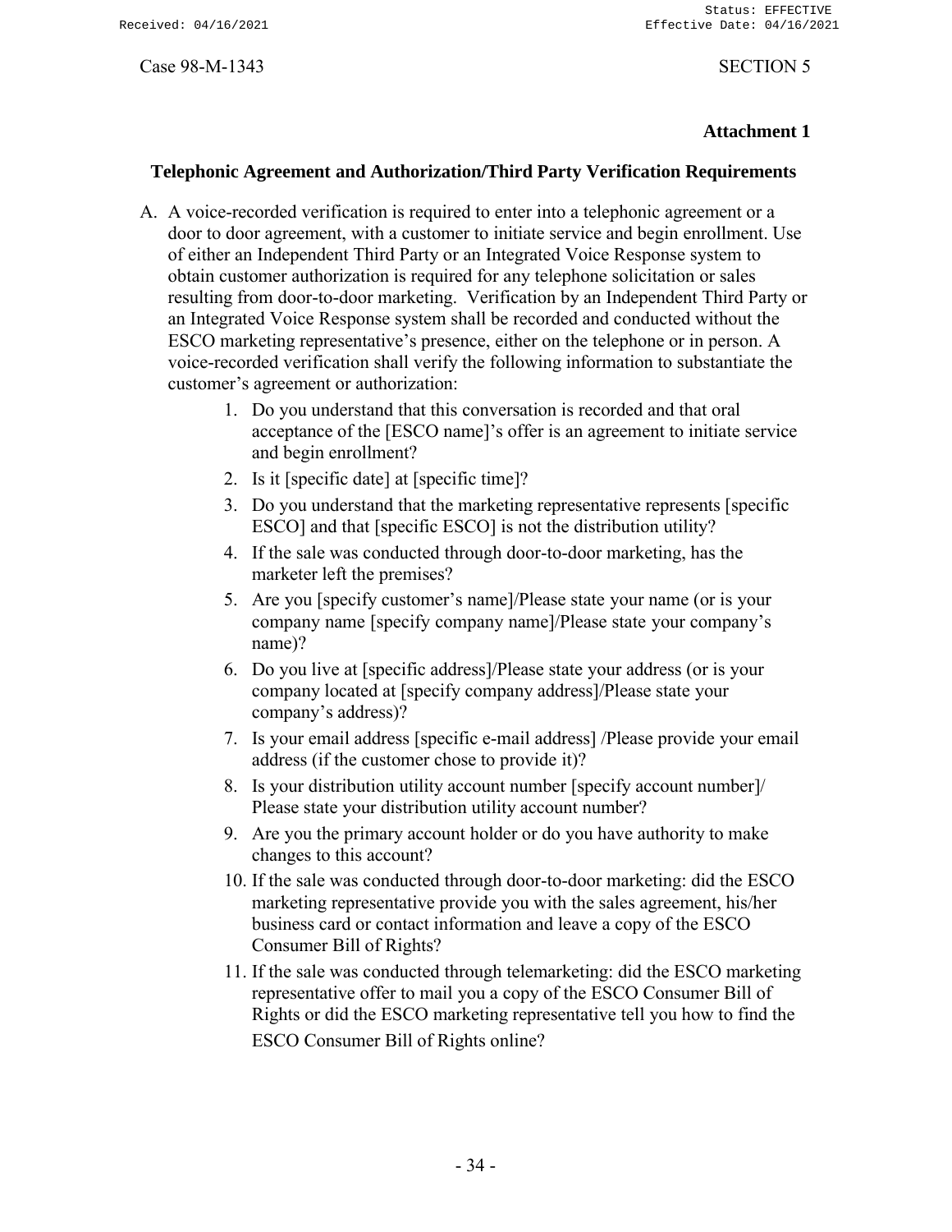# **Attachment 1**

### **Telephonic Agreement and Authorization/Third Party Verification Requirements**

- A. A voice-recorded verification is required to enter into a telephonic agreement or a door to door agreement, with a customer to initiate service and begin enrollment. Use of either an Independent Third Party or an Integrated Voice Response system to obtain customer authorization is required for any telephone solicitation or sales resulting from door-to-door marketing. Verification by an Independent Third Party or an Integrated Voice Response system shall be recorded and conducted without the ESCO marketing representative's presence, either on the telephone or in person. A voice-recorded verification shall verify the following information to substantiate the customer's agreement or authorization:
	- 1. Do you understand that this conversation is recorded and that oral acceptance of the [ESCO name]'s offer is an agreement to initiate service and begin enrollment?
	- 2. Is it [specific date] at [specific time]?
	- 3. Do you understand that the marketing representative represents [specific ESCO] and that [specific ESCO] is not the distribution utility?
	- 4. If the sale was conducted through door-to-door marketing, has the marketer left the premises?
	- 5. Are you [specify customer's name]/Please state your name (or is your company name [specify company name]/Please state your company's name)?
	- 6. Do you live at [specific address]/Please state your address (or is your company located at [specify company address]/Please state your company's address)?
	- 7. Is your email address [specific e-mail address] /Please provide your email address (if the customer chose to provide it)?
	- 8. Is your distribution utility account number [specify account number]/ Please state your distribution utility account number?
	- 9. Are you the primary account holder or do you have authority to make changes to this account?
	- 10. If the sale was conducted through door-to-door marketing: did the ESCO marketing representative provide you with the sales agreement, his/her business card or contact information and leave a copy of the ESCO Consumer Bill of Rights?
	- 11. If the sale was conducted through telemarketing: did the ESCO marketing representative offer to mail you a copy of the ESCO Consumer Bill of Rights or did the ESCO marketing representative tell you how to find the ESCO Consumer Bill of Rights online?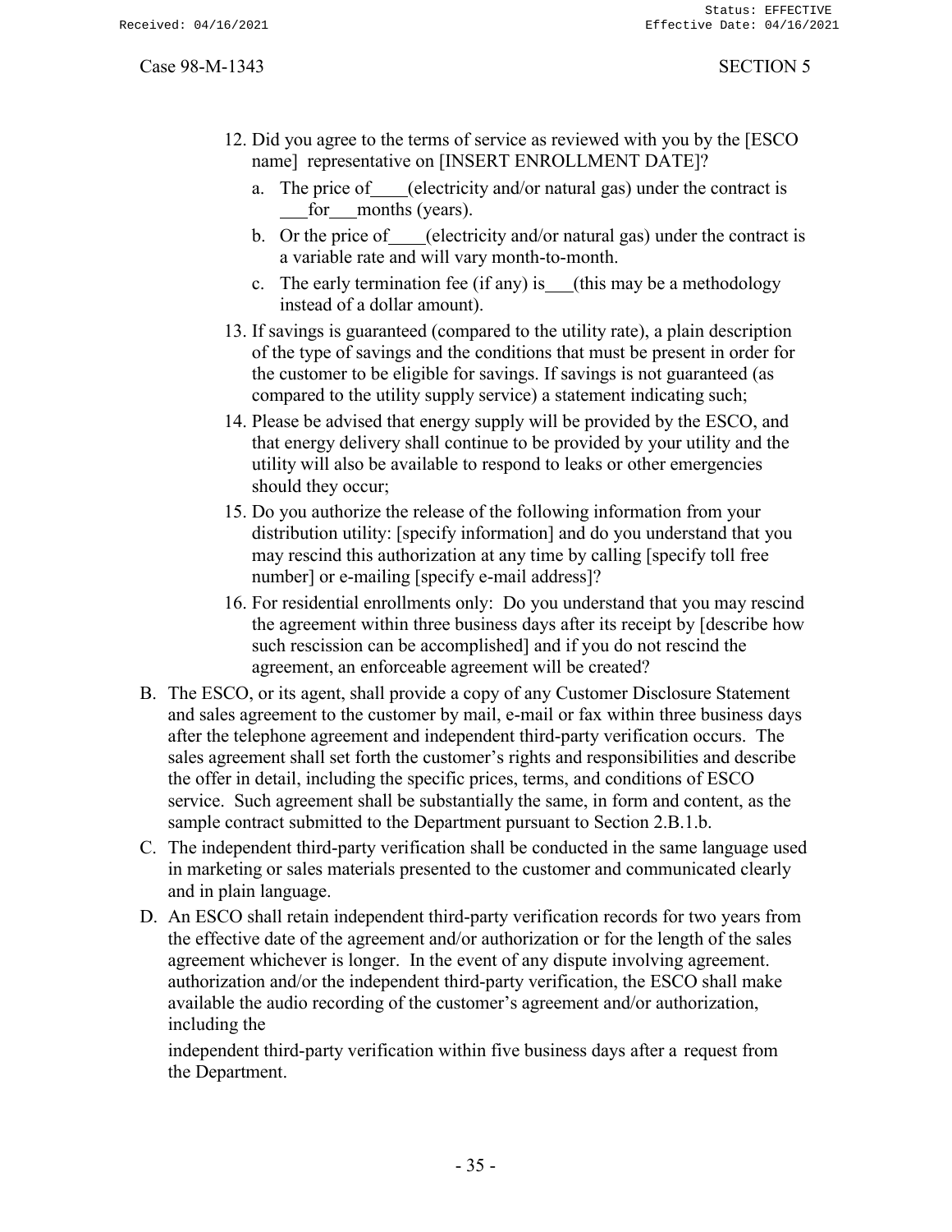- 12. Did you agree to the terms of service as reviewed with you by the [ESCO name] representative on [INSERT ENROLLMENT DATE]?
	- a. The price of (electricity and/or natural gas) under the contract is for months (years).
	- b. Or the price of (electricity and/or natural gas) under the contract is a variable rate and will vary month-to-month.
	- c. The early termination fee (if any) is (this may be a methodology instead of a dollar amount).
- 13. If savings is guaranteed (compared to the utility rate), a plain description of the type of savings and the conditions that must be present in order for the customer to be eligible for savings. If savings is not guaranteed (as compared to the utility supply service) a statement indicating such;
- 14. Please be advised that energy supply will be provided by the ESCO, and that energy delivery shall continue to be provided by your utility and the utility will also be available to respond to leaks or other emergencies should they occur;
- 15. Do you authorize the release of the following information from your distribution utility: [specify information] and do you understand that you may rescind this authorization at any time by calling [specify toll free number] or e-mailing [specify e-mail address]?
- 16. For residential enrollments only: Do you understand that you may rescind the agreement within three business days after its receipt by [describe how such rescission can be accomplished] and if you do not rescind the agreement, an enforceable agreement will be created?
- B. The ESCO, or its agent, shall provide a copy of any Customer Disclosure Statement and sales agreement to the customer by mail, e-mail or fax within three business days after the telephone agreement and independent third-party verification occurs. The sales agreement shall set forth the customer's rights and responsibilities and describe the offer in detail, including the specific prices, terms, and conditions of ESCO service. Such agreement shall be substantially the same, in form and content, as the sample contract submitted to the Department pursuant to Section 2.B.1.b.
- C. The independent third-party verification shall be conducted in the same language used in marketing or sales materials presented to the customer and communicated clearly and in plain language.
- D. An ESCO shall retain independent third-party verification records for two years from the effective date of the agreement and/or authorization or for the length of the sales agreement whichever is longer. In the event of any dispute involving agreement. authorization and/or the independent third-party verification, the ESCO shall make available the audio recording of the customer's agreement and/or authorization, including the

independent third-party verification within five business days after a request from the Department.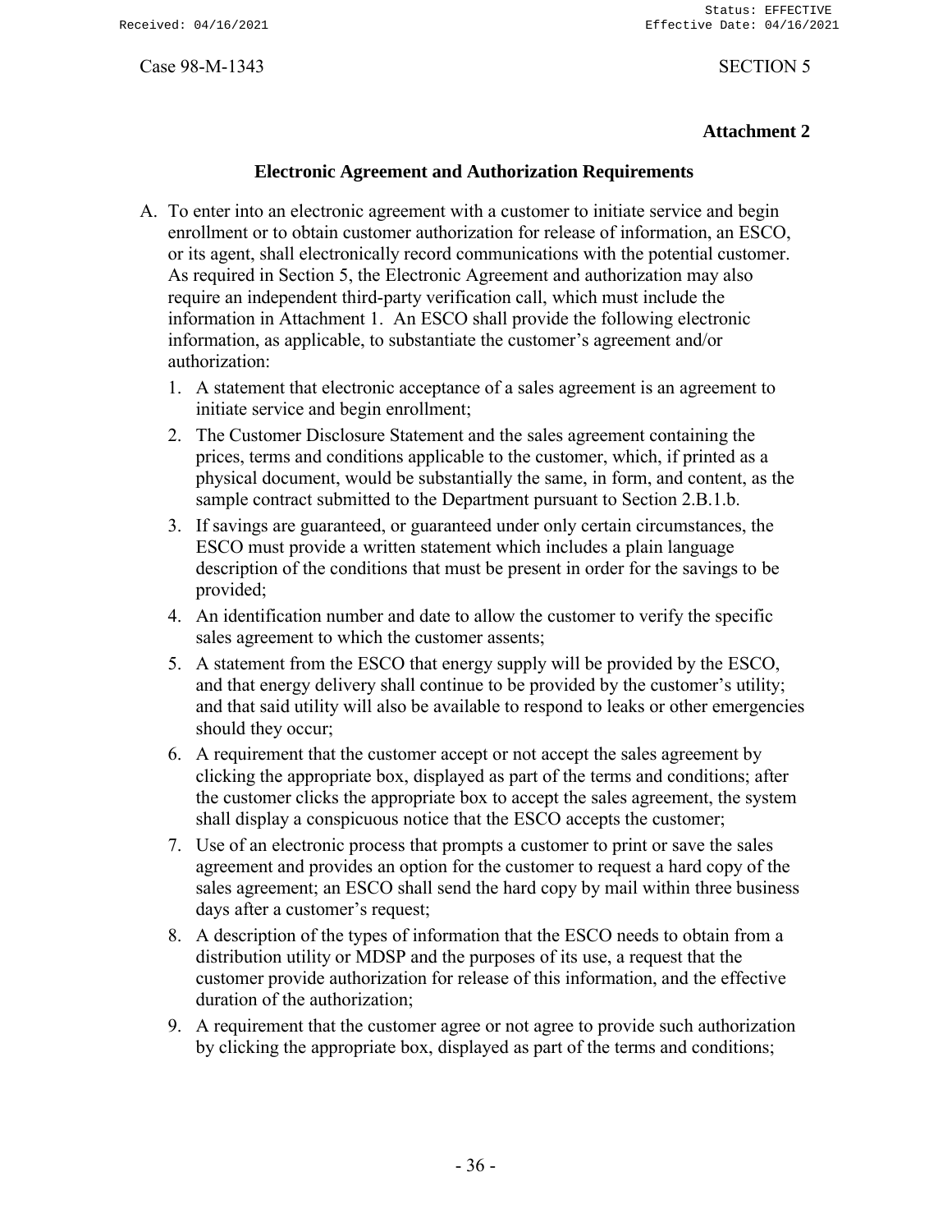# **Attachment 2**

# **Electronic Agreement and Authorization Requirements**

- A. To enter into an electronic agreement with a customer to initiate service and begin enrollment or to obtain customer authorization for release of information, an ESCO, or its agent, shall electronically record communications with the potential customer. As required in Section 5, the Electronic Agreement and authorization may also require an independent third-party verification call, which must include the information in Attachment 1. An ESCO shall provide the following electronic information, as applicable, to substantiate the customer's agreement and/or authorization:
	- 1. A statement that electronic acceptance of a sales agreement is an agreement to initiate service and begin enrollment;
	- 2. The Customer Disclosure Statement and the sales agreement containing the prices, terms and conditions applicable to the customer, which, if printed as a physical document, would be substantially the same, in form, and content, as the sample contract submitted to the Department pursuant to Section 2.B.1.b.
	- 3. If savings are guaranteed, or guaranteed under only certain circumstances, the ESCO must provide a written statement which includes a plain language description of the conditions that must be present in order for the savings to be provided;
	- 4. An identification number and date to allow the customer to verify the specific sales agreement to which the customer assents;
	- 5. A statement from the ESCO that energy supply will be provided by the ESCO, and that energy delivery shall continue to be provided by the customer's utility; and that said utility will also be available to respond to leaks or other emergencies should they occur;
	- 6. A requirement that the customer accept or not accept the sales agreement by clicking the appropriate box, displayed as part of the terms and conditions; after the customer clicks the appropriate box to accept the sales agreement, the system shall display a conspicuous notice that the ESCO accepts the customer;
	- 7. Use of an electronic process that prompts a customer to print or save the sales agreement and provides an option for the customer to request a hard copy of the sales agreement; an ESCO shall send the hard copy by mail within three business days after a customer's request;
	- 8. A description of the types of information that the ESCO needs to obtain from a distribution utility or MDSP and the purposes of its use, a request that the customer provide authorization for release of this information, and the effective duration of the authorization;
	- 9. A requirement that the customer agree or not agree to provide such authorization by clicking the appropriate box, displayed as part of the terms and conditions;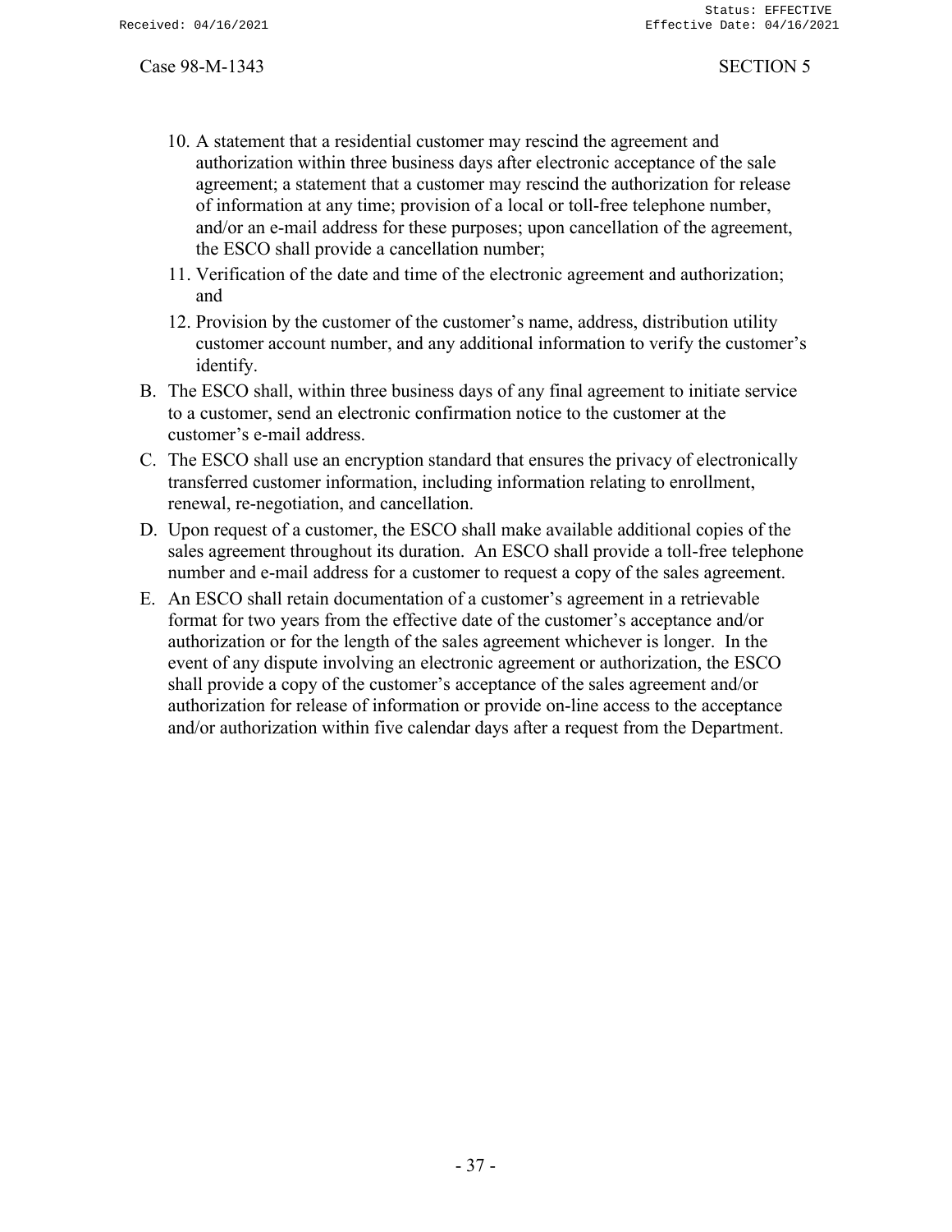- 10. A statement that a residential customer may rescind the agreement and authorization within three business days after electronic acceptance of the sale agreement; a statement that a customer may rescind the authorization for release of information at any time; provision of a local or toll-free telephone number, and/or an e-mail address for these purposes; upon cancellation of the agreement, the ESCO shall provide a cancellation number;
- 11. Verification of the date and time of the electronic agreement and authorization; and
- 12. Provision by the customer of the customer's name, address, distribution utility customer account number, and any additional information to verify the customer's identify.
- B. The ESCO shall, within three business days of any final agreement to initiate service to a customer, send an electronic confirmation notice to the customer at the customer's e-mail address.
- C. The ESCO shall use an encryption standard that ensures the privacy of electronically transferred customer information, including information relating to enrollment, renewal, re-negotiation, and cancellation.
- D. Upon request of a customer, the ESCO shall make available additional copies of the sales agreement throughout its duration. An ESCO shall provide a toll-free telephone number and e-mail address for a customer to request a copy of the sales agreement.
- E. An ESCO shall retain documentation of a customer's agreement in a retrievable format for two years from the effective date of the customer's acceptance and/or authorization or for the length of the sales agreement whichever is longer. In the event of any dispute involving an electronic agreement or authorization, the ESCO shall provide a copy of the customer's acceptance of the sales agreement and/or authorization for release of information or provide on-line access to the acceptance and/or authorization within five calendar days after a request from the Department.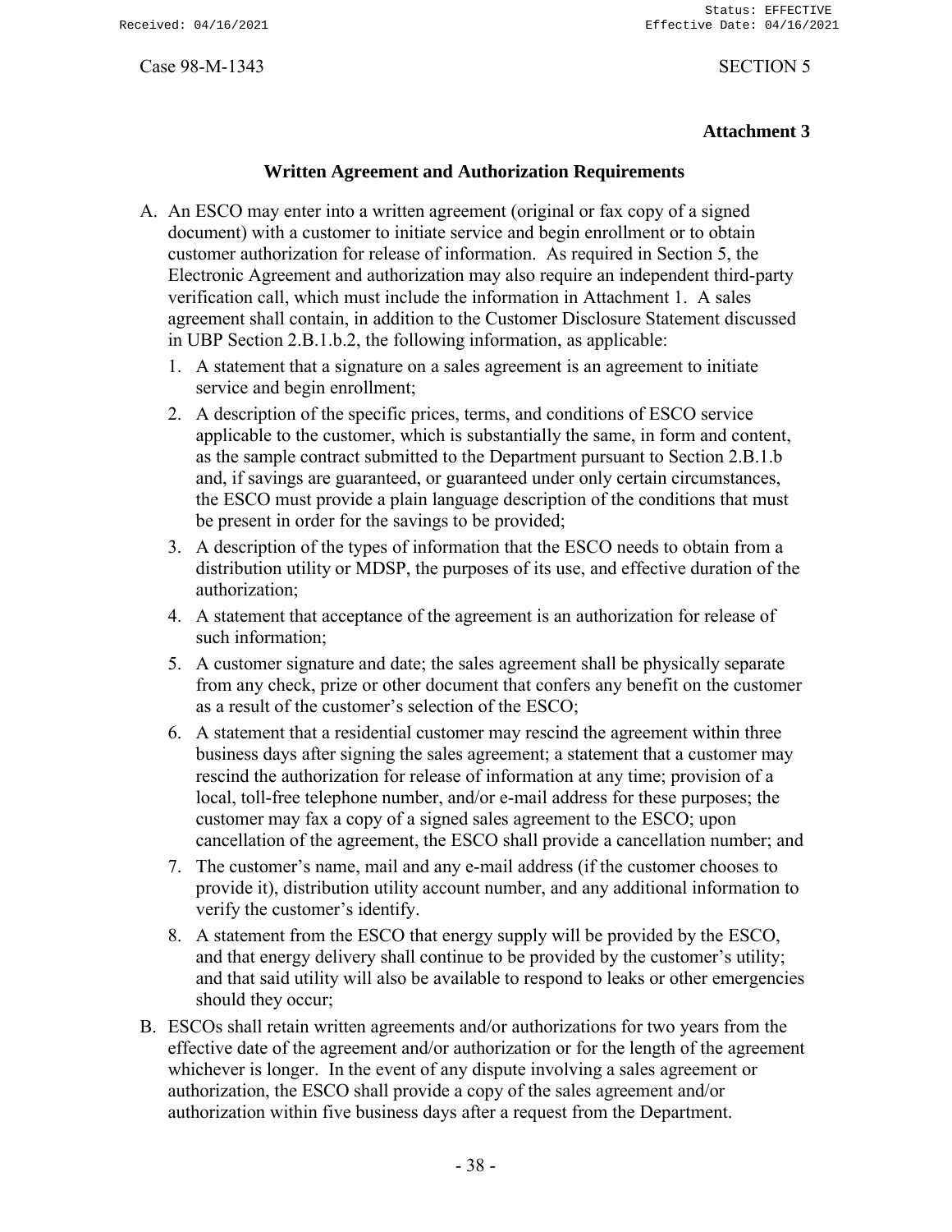# **Attachment 3**

# **Written Agreement and Authorization Requirements**

- A. An ESCO may enter into a written agreement (original or fax copy of a signed document) with a customer to initiate service and begin enrollment or to obtain customer authorization for release of information. As required in Section 5, the Electronic Agreement and authorization may also require an independent third-party verification call, which must include the information in Attachment 1. A sales agreement shall contain, in addition to the Customer Disclosure Statement discussed in UBP Section 2.B.1.b.2, the following information, as applicable:
	- 1. A statement that a signature on a sales agreement is an agreement to initiate service and begin enrollment;
	- 2. A description of the specific prices, terms, and conditions of ESCO service applicable to the customer, which is substantially the same, in form and content, as the sample contract submitted to the Department pursuant to Section 2.B.1.b and, if savings are guaranteed, or guaranteed under only certain circumstances, the ESCO must provide a plain language description of the conditions that must be present in order for the savings to be provided;
	- 3. A description of the types of information that the ESCO needs to obtain from a distribution utility or MDSP, the purposes of its use, and effective duration of the authorization;
	- 4. A statement that acceptance of the agreement is an authorization for release of such information;
	- 5. A customer signature and date; the sales agreement shall be physically separate from any check, prize or other document that confers any benefit on the customer as a result of the customer's selection of the ESCO;
	- 6. A statement that a residential customer may rescind the agreement within three business days after signing the sales agreement; a statement that a customer may rescind the authorization for release of information at any time; provision of a local, toll-free telephone number, and/or e-mail address for these purposes; the customer may fax a copy of a signed sales agreement to the ESCO; upon cancellation of the agreement, the ESCO shall provide a cancellation number; and
	- 7. The customer's name, mail and any e-mail address (if the customer chooses to provide it), distribution utility account number, and any additional information to verify the customer's identify.
	- 8. A statement from the ESCO that energy supply will be provided by the ESCO, and that energy delivery shall continue to be provided by the customer's utility; and that said utility will also be available to respond to leaks or other emergencies should they occur;
- B. ESCOs shall retain written agreements and/or authorizations for two years from the effective date of the agreement and/or authorization or for the length of the agreement whichever is longer. In the event of any dispute involving a sales agreement or authorization, the ESCO shall provide a copy of the sales agreement and/or authorization within five business days after a request from the Department.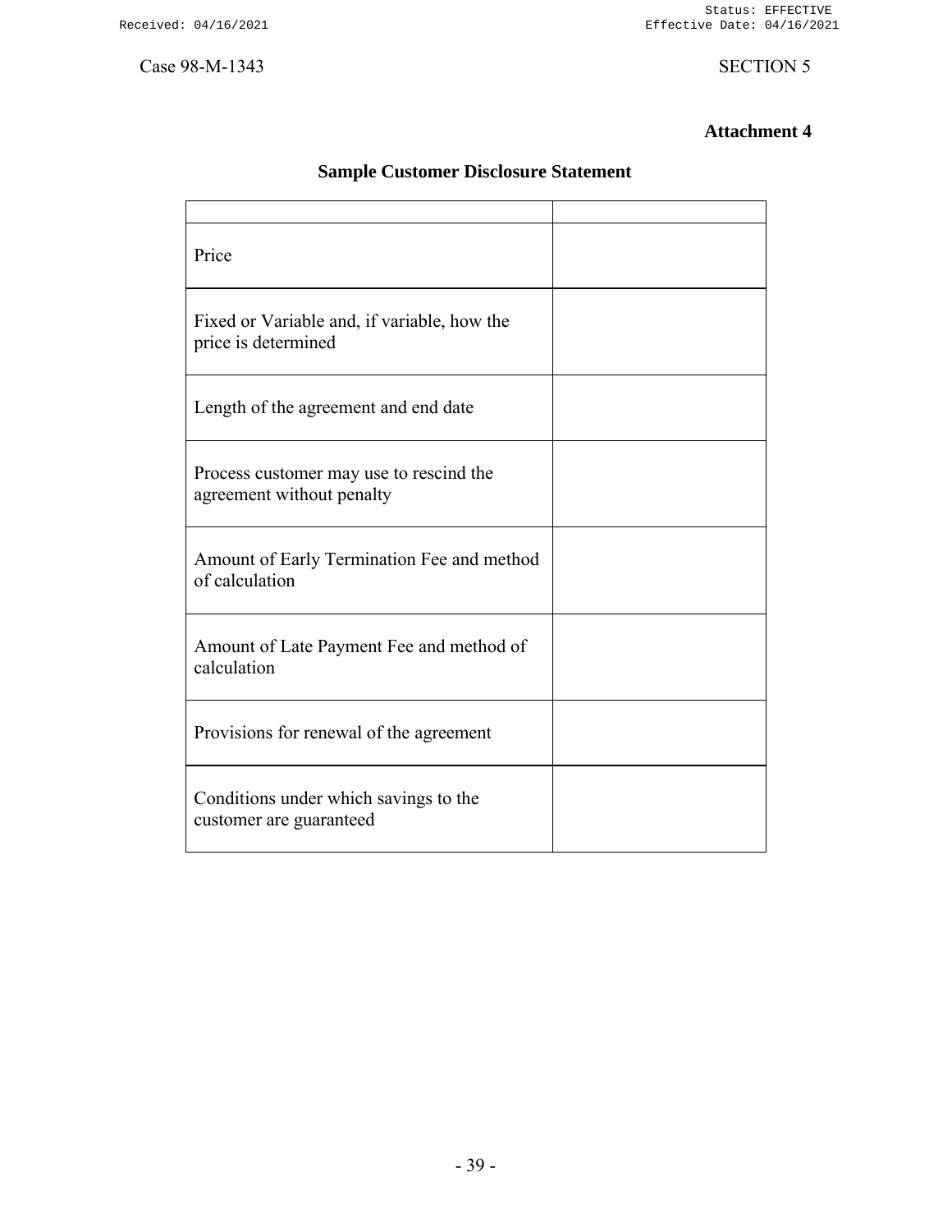Status: EFFECTIVE Effective Date: 04/16/2021

Case 98-M-1343 SECTION 5

# **Attachment 4**

| Price                                                                |  |
|----------------------------------------------------------------------|--|
| Fixed or Variable and, if variable, how the<br>price is determined   |  |
| Length of the agreement and end date                                 |  |
| Process customer may use to rescind the<br>agreement without penalty |  |
| Amount of Early Termination Fee and method<br>of calculation         |  |
| Amount of Late Payment Fee and method of<br>calculation              |  |
| Provisions for renewal of the agreement                              |  |
| Conditions under which savings to the<br>customer are guaranteed     |  |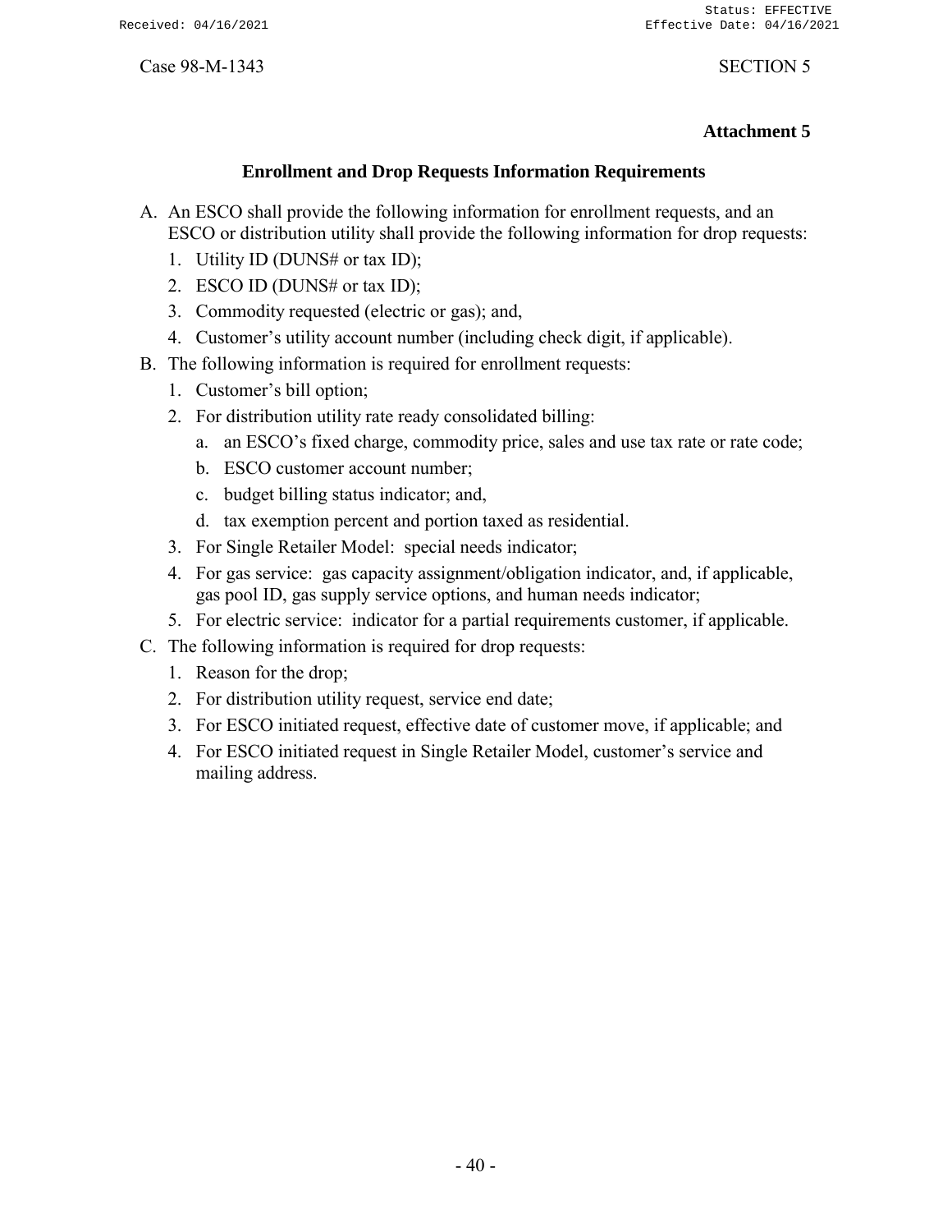# **Attachment 5**

# **Enrollment and Drop Requests Information Requirements**

- A. An ESCO shall provide the following information for enrollment requests, and an ESCO or distribution utility shall provide the following information for drop requests:
	- 1. Utility ID (DUNS# or tax ID);
	- 2. ESCO ID (DUNS# or tax ID);
	- 3. Commodity requested (electric or gas); and,
	- 4. Customer's utility account number (including check digit, if applicable).
- B. The following information is required for enrollment requests:
	- 1. Customer's bill option;
	- 2. For distribution utility rate ready consolidated billing:
		- a. an ESCO's fixed charge, commodity price, sales and use tax rate or rate code;
		- b. ESCO customer account number;
		- c. budget billing status indicator; and,
		- d. tax exemption percent and portion taxed as residential.
	- 3. For Single Retailer Model: special needs indicator;
	- 4. For gas service: gas capacity assignment/obligation indicator, and, if applicable, gas pool ID, gas supply service options, and human needs indicator;
	- 5. For electric service: indicator for a partial requirements customer, if applicable.
- C. The following information is required for drop requests:
	- 1. Reason for the drop;
	- 2. For distribution utility request, service end date;
	- 3. For ESCO initiated request, effective date of customer move, if applicable; and
	- 4. For ESCO initiated request in Single Retailer Model, customer's service and mailing address.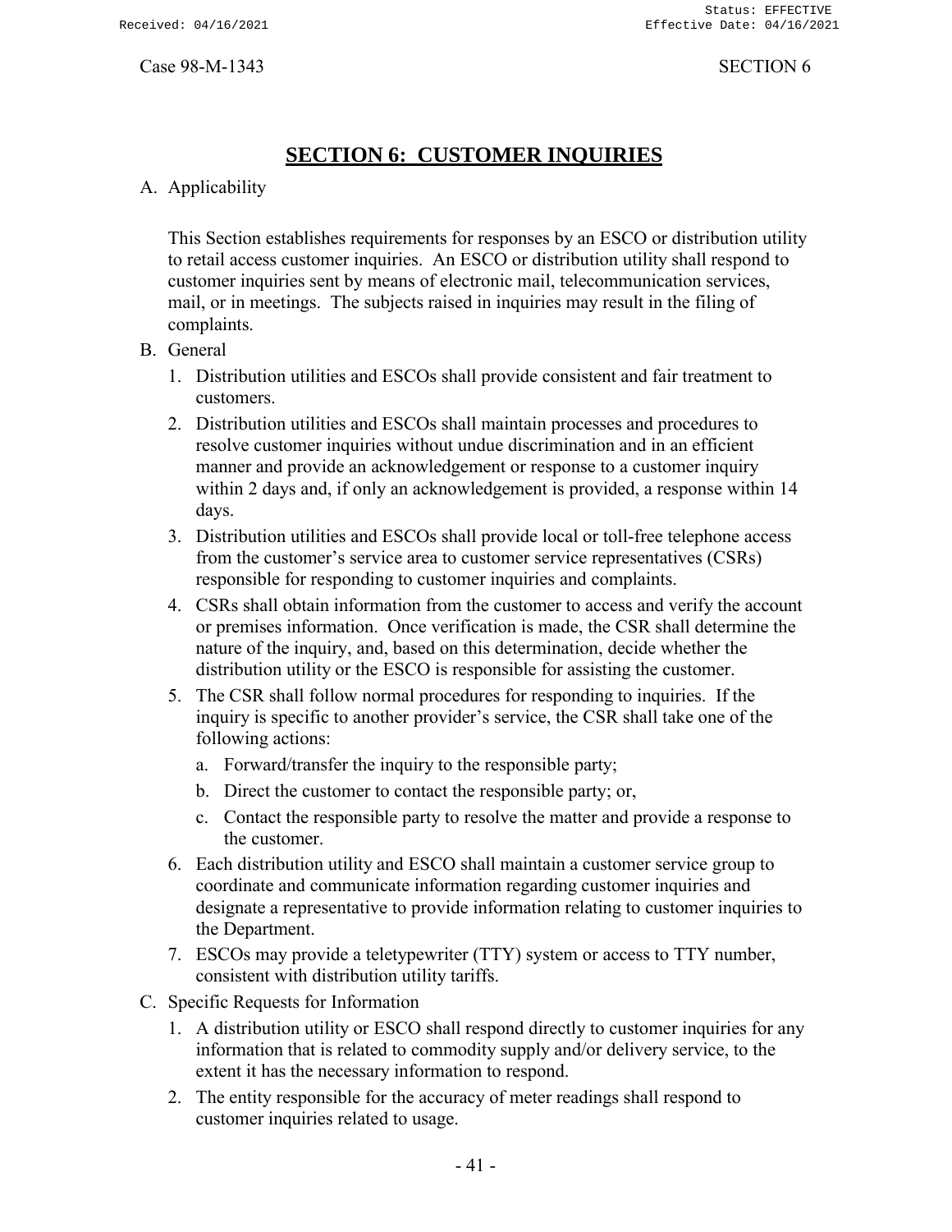# **SECTION 6: CUSTOMER INQUIRIES**

# <span id="page-43-0"></span>A. Applicability

This Section establishes requirements for responses by an ESCO or distribution utility to retail access customer inquiries. An ESCO or distribution utility shall respond to customer inquiries sent by means of electronic mail, telecommunication services, mail, or in meetings. The subjects raised in inquiries may result in the filing of complaints.

### B. General

- 1. Distribution utilities and ESCOs shall provide consistent and fair treatment to customers.
- 2. Distribution utilities and ESCOs shall maintain processes and procedures to resolve customer inquiries without undue discrimination and in an efficient manner and provide an acknowledgement or response to a customer inquiry within 2 days and, if only an acknowledgement is provided, a response within 14 days.
- 3. Distribution utilities and ESCOs shall provide local or toll-free telephone access from the customer's service area to customer service representatives (CSRs) responsible for responding to customer inquiries and complaints.
- 4. CSRs shall obtain information from the customer to access and verify the account or premises information. Once verification is made, the CSR shall determine the nature of the inquiry, and, based on this determination, decide whether the distribution utility or the ESCO is responsible for assisting the customer.
- 5. The CSR shall follow normal procedures for responding to inquiries. If the inquiry is specific to another provider's service, the CSR shall take one of the following actions:
	- a. Forward/transfer the inquiry to the responsible party;
	- b. Direct the customer to contact the responsible party; or,
	- c. Contact the responsible party to resolve the matter and provide a response to the customer.
- 6. Each distribution utility and ESCO shall maintain a customer service group to coordinate and communicate information regarding customer inquiries and designate a representative to provide information relating to customer inquiries to the Department.
- 7. ESCOs may provide a teletypewriter (TTY) system or access to TTY number, consistent with distribution utility tariffs.
- C. Specific Requests for Information
	- 1. A distribution utility or ESCO shall respond directly to customer inquiries for any information that is related to commodity supply and/or delivery service, to the extent it has the necessary information to respond.
	- 2. The entity responsible for the accuracy of meter readings shall respond to customer inquiries related to usage.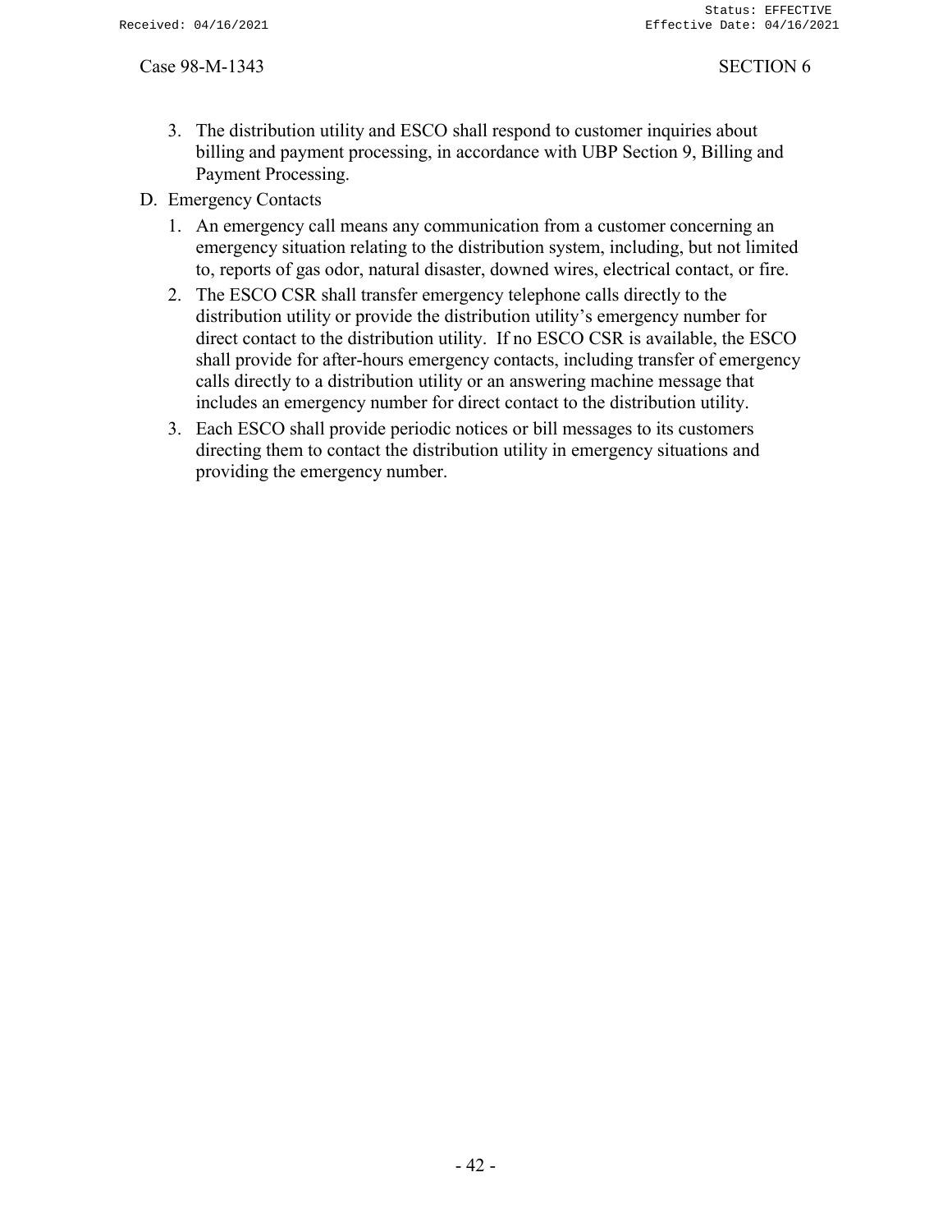- 3. The distribution utility and ESCO shall respond to customer inquiries about billing and payment processing, in accordance with UBP Section 9, Billing and Payment Processing.
- D. Emergency Contacts
	- 1. An emergency call means any communication from a customer concerning an emergency situation relating to the distribution system, including, but not limited to, reports of gas odor, natural disaster, downed wires, electrical contact, or fire.
	- 2. The ESCO CSR shall transfer emergency telephone calls directly to the distribution utility or provide the distribution utility's emergency number for direct contact to the distribution utility. If no ESCO CSR is available, the ESCO shall provide for after-hours emergency contacts, including transfer of emergency calls directly to a distribution utility or an answering machine message that includes an emergency number for direct contact to the distribution utility.
	- 3. Each ESCO shall provide periodic notices or bill messages to its customers directing them to contact the distribution utility in emergency situations and providing the emergency number.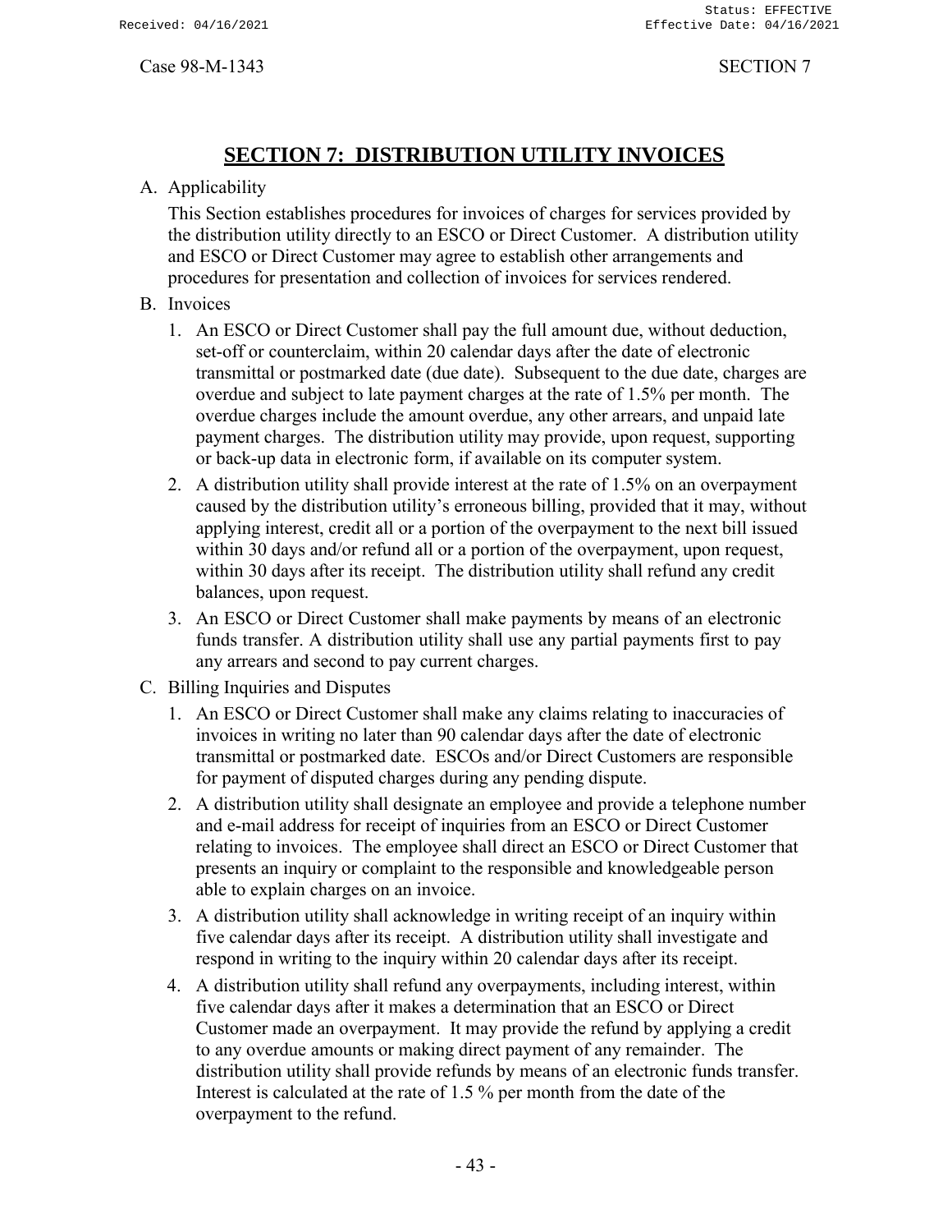# **SECTION 7: DISTRIBUTION UTILITY INVOICES**

# <span id="page-45-0"></span>A. Applicability

This Section establishes procedures for invoices of charges for services provided by the distribution utility directly to an ESCO or Direct Customer. A distribution utility and ESCO or Direct Customer may agree to establish other arrangements and procedures for presentation and collection of invoices for services rendered.

# B. Invoices

- 1. An ESCO or Direct Customer shall pay the full amount due, without deduction, set-off or counterclaim, within 20 calendar days after the date of electronic transmittal or postmarked date (due date). Subsequent to the due date, charges are overdue and subject to late payment charges at the rate of 1.5% per month. The overdue charges include the amount overdue, any other arrears, and unpaid late payment charges. The distribution utility may provide, upon request, supporting or back-up data in electronic form, if available on its computer system.
- 2. A distribution utility shall provide interest at the rate of 1.5% on an overpayment caused by the distribution utility's erroneous billing, provided that it may, without applying interest, credit all or a portion of the overpayment to the next bill issued within 30 days and/or refund all or a portion of the overpayment, upon request, within 30 days after its receipt. The distribution utility shall refund any credit balances, upon request.
- 3. An ESCO or Direct Customer shall make payments by means of an electronic funds transfer. A distribution utility shall use any partial payments first to pay any arrears and second to pay current charges.

# C. Billing Inquiries and Disputes

- 1. An ESCO or Direct Customer shall make any claims relating to inaccuracies of invoices in writing no later than 90 calendar days after the date of electronic transmittal or postmarked date. ESCOs and/or Direct Customers are responsible for payment of disputed charges during any pending dispute.
- 2. A distribution utility shall designate an employee and provide a telephone number and e-mail address for receipt of inquiries from an ESCO or Direct Customer relating to invoices. The employee shall direct an ESCO or Direct Customer that presents an inquiry or complaint to the responsible and knowledgeable person able to explain charges on an invoice.
- 3. A distribution utility shall acknowledge in writing receipt of an inquiry within five calendar days after its receipt. A distribution utility shall investigate and respond in writing to the inquiry within 20 calendar days after its receipt.
- 4. A distribution utility shall refund any overpayments, including interest, within five calendar days after it makes a determination that an ESCO or Direct Customer made an overpayment. It may provide the refund by applying a credit to any overdue amounts or making direct payment of any remainder. The distribution utility shall provide refunds by means of an electronic funds transfer. Interest is calculated at the rate of 1.5 % per month from the date of the overpayment to the refund.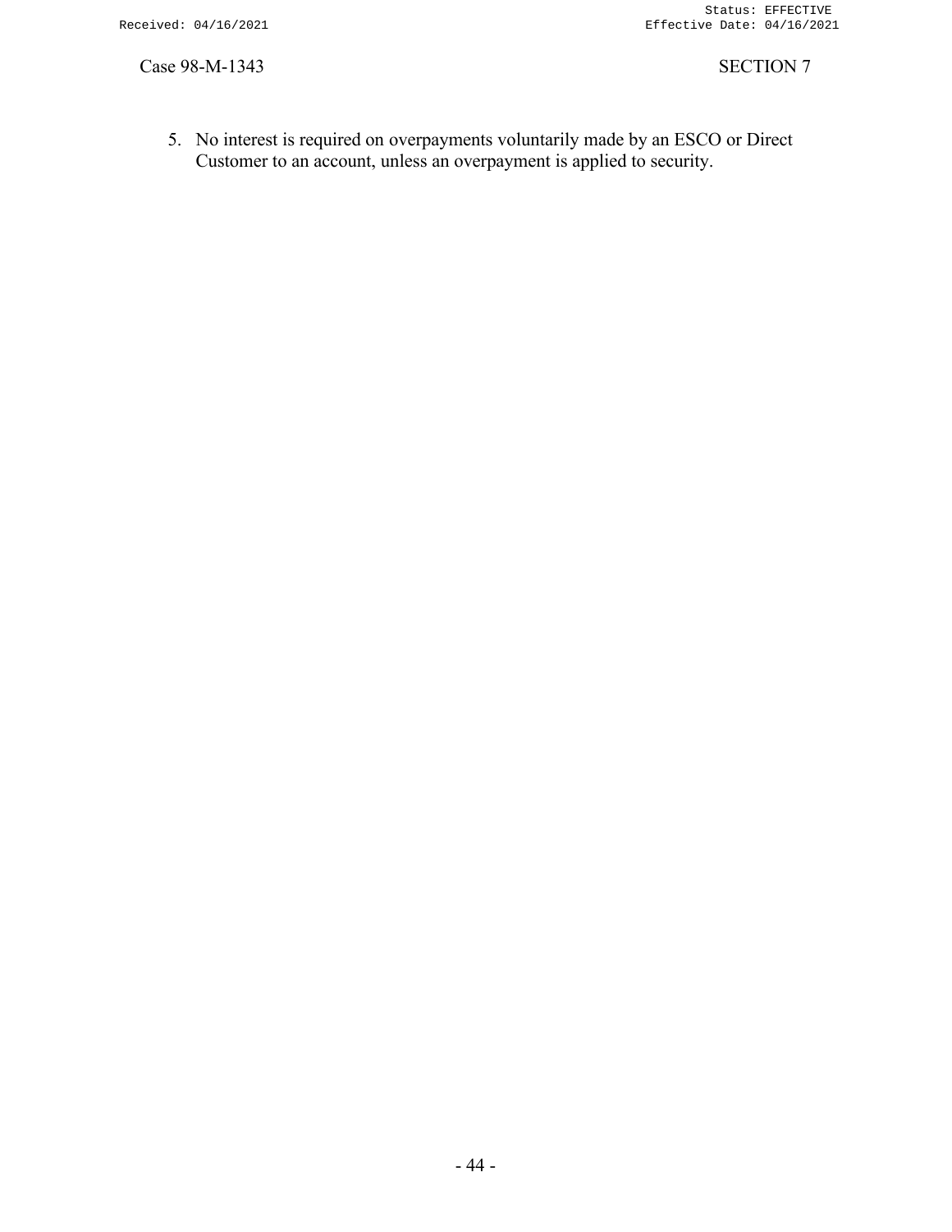5. No interest is required on overpayments voluntarily made by an ESCO or Direct Customer to an account, unless an overpayment is applied to security.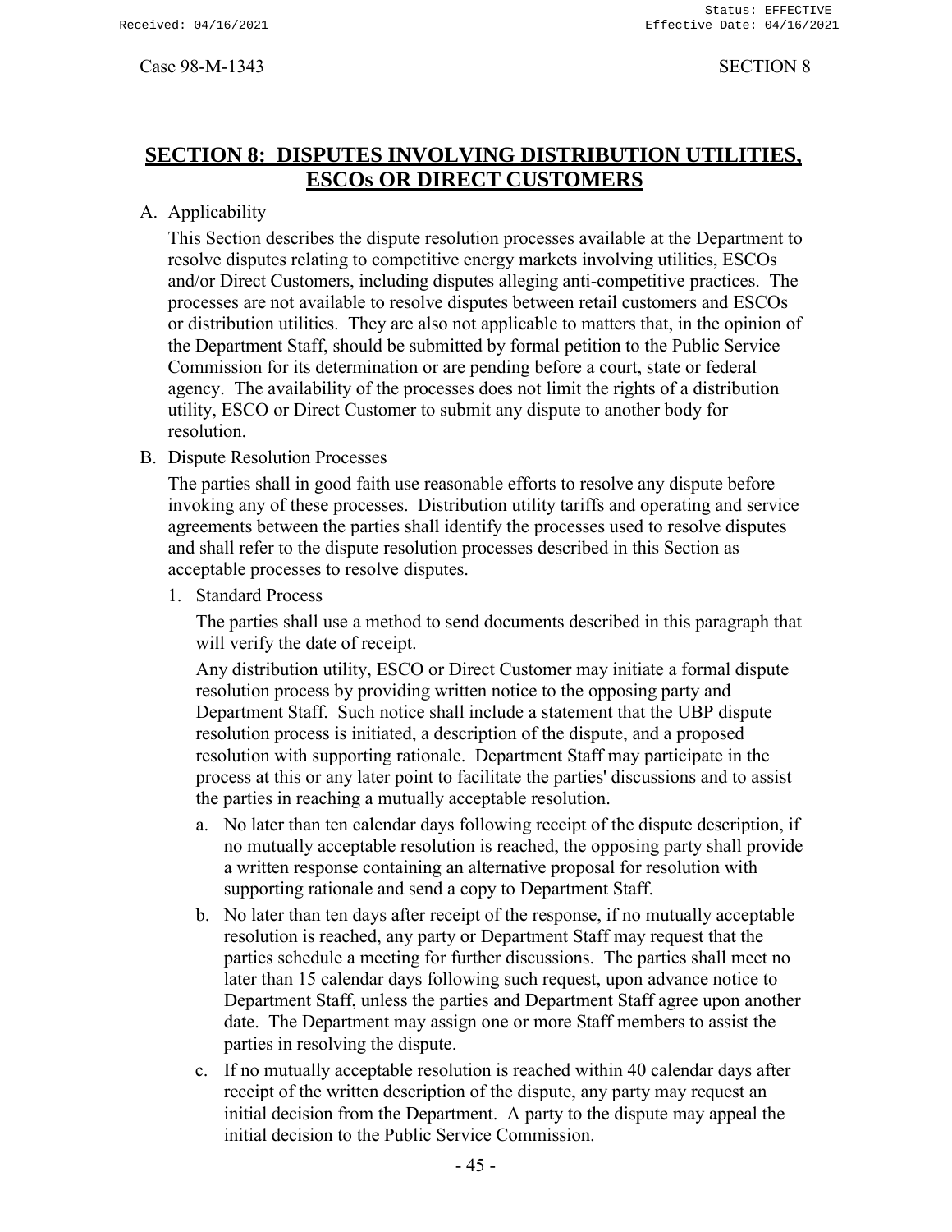# <span id="page-47-0"></span>**SECTION 8: DISPUTES INVOLVING DISTRIBUTION UTILITIES, ESCOs OR DIRECT CUSTOMERS**

A. Applicability

This Section describes the dispute resolution processes available at the Department to resolve disputes relating to competitive energy markets involving utilities, ESCOs and/or Direct Customers, including disputes alleging anti-competitive practices. The processes are not available to resolve disputes between retail customers and ESCOs or distribution utilities. They are also not applicable to matters that, in the opinion of the Department Staff, should be submitted by formal petition to the Public Service Commission for its determination or are pending before a court, state or federal agency. The availability of the processes does not limit the rights of a distribution utility, ESCO or Direct Customer to submit any dispute to another body for resolution.

B. Dispute Resolution Processes

The parties shall in good faith use reasonable efforts to resolve any dispute before invoking any of these processes. Distribution utility tariffs and operating and service agreements between the parties shall identify the processes used to resolve disputes and shall refer to the dispute resolution processes described in this Section as acceptable processes to resolve disputes.

1. Standard Process

The parties shall use a method to send documents described in this paragraph that will verify the date of receipt.

Any distribution utility, ESCO or Direct Customer may initiate a formal dispute resolution process by providing written notice to the opposing party and Department Staff. Such notice shall include a statement that the UBP dispute resolution process is initiated, a description of the dispute, and a proposed resolution with supporting rationale. Department Staff may participate in the process at this or any later point to facilitate the parties' discussions and to assist the parties in reaching a mutually acceptable resolution.

- a. No later than ten calendar days following receipt of the dispute description, if no mutually acceptable resolution is reached, the opposing party shall provide a written response containing an alternative proposal for resolution with supporting rationale and send a copy to Department Staff.
- b. No later than ten days after receipt of the response, if no mutually acceptable resolution is reached, any party or Department Staff may request that the parties schedule a meeting for further discussions. The parties shall meet no later than 15 calendar days following such request, upon advance notice to Department Staff, unless the parties and Department Staff agree upon another date. The Department may assign one or more Staff members to assist the parties in resolving the dispute.
- c. If no mutually acceptable resolution is reached within 40 calendar days after receipt of the written description of the dispute, any party may request an initial decision from the Department. A party to the dispute may appeal the initial decision to the Public Service Commission.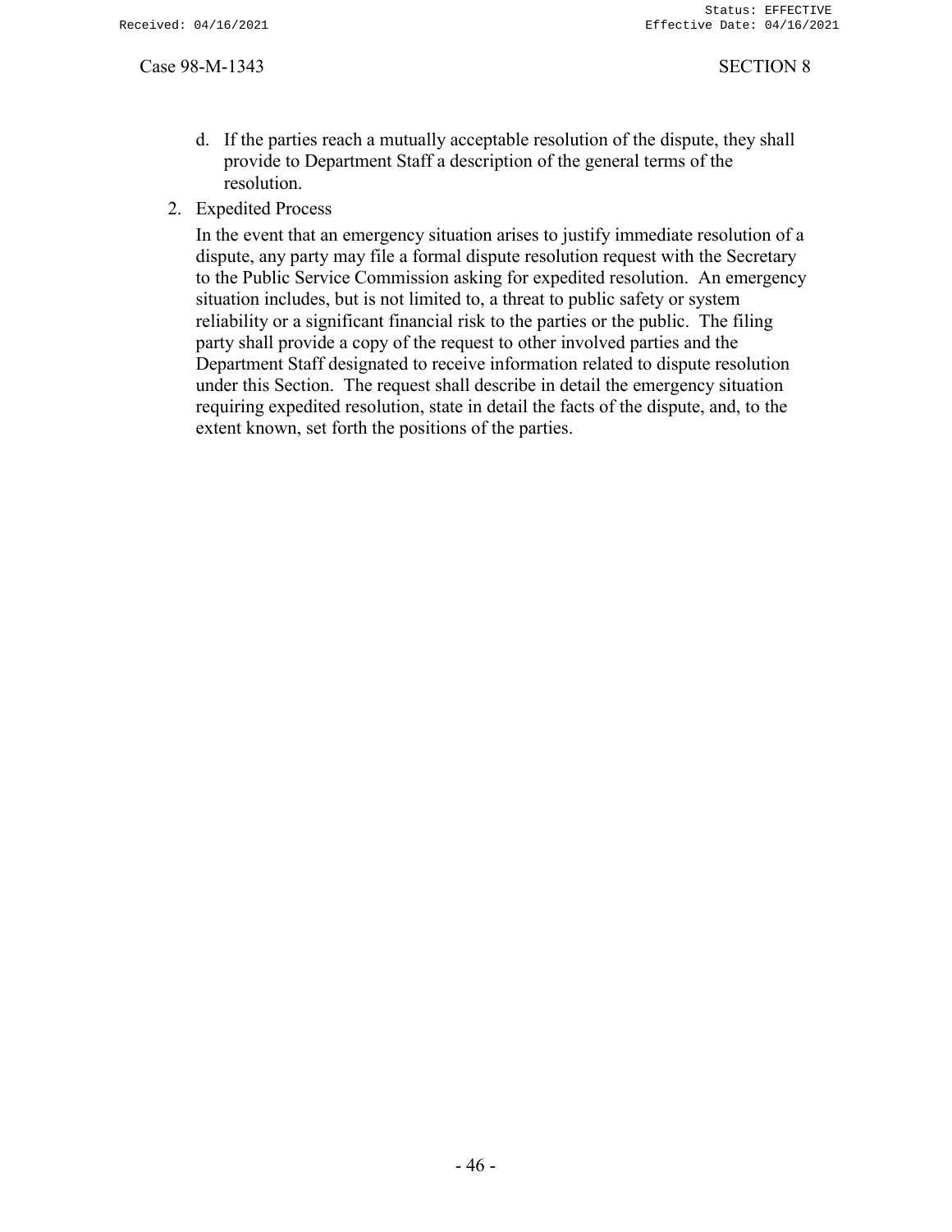- d. If the parties reach a mutually acceptable resolution of the dispute, they shall provide to Department Staff a description of the general terms of the resolution.
- 2. Expedited Process

In the event that an emergency situation arises to justify immediate resolution of a dispute, any party may file a formal dispute resolution request with the Secretary to the Public Service Commission asking for expedited resolution. An emergency situation includes, but is not limited to, a threat to public safety or system reliability or a significant financial risk to the parties or the public. The filing party shall provide a copy of the request to other involved parties and the Department Staff designated to receive information related to dispute resolution under this Section. The request shall describe in detail the emergency situation requiring expedited resolution, state in detail the facts of the dispute, and, to the extent known, set forth the positions of the parties.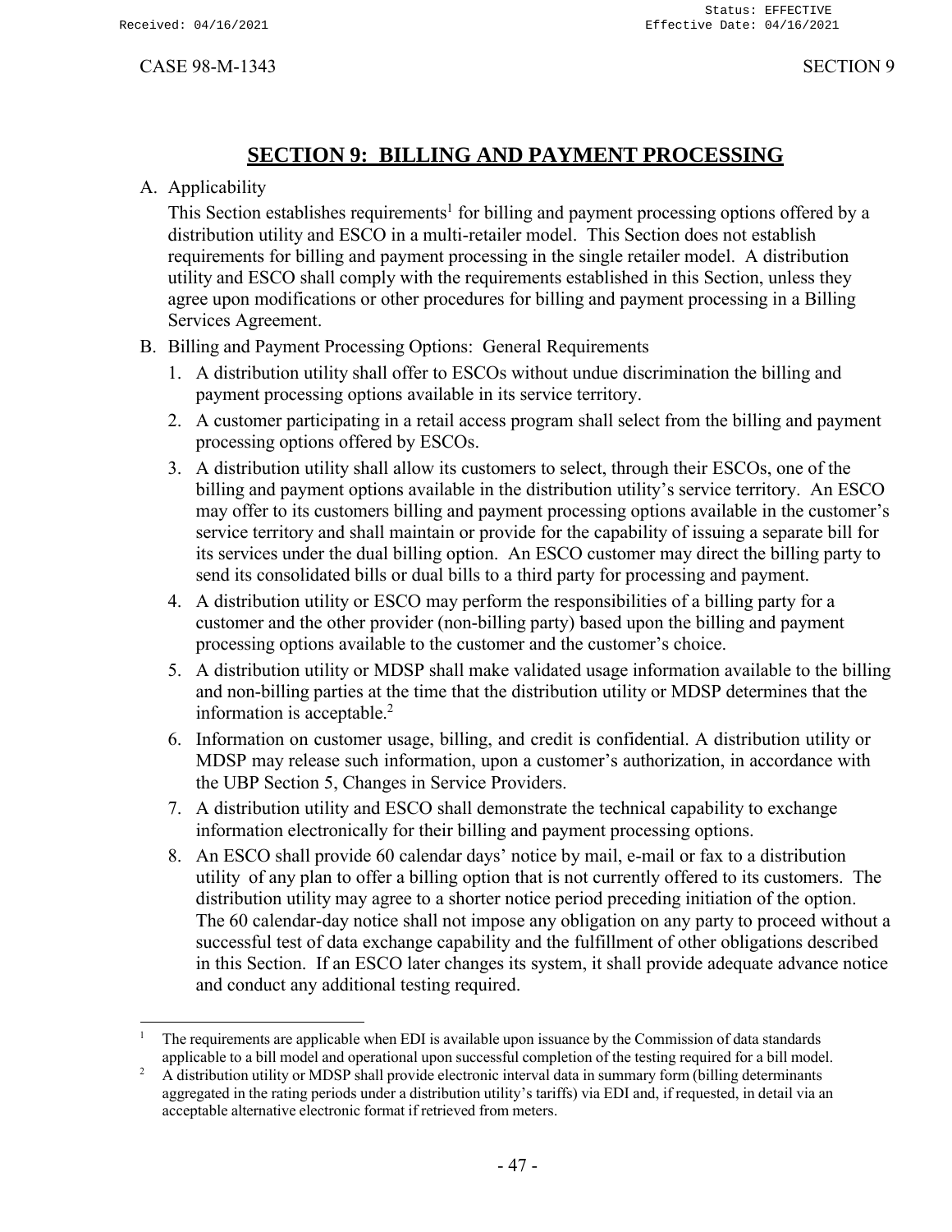# **SECTION 9: BILLING AND PAYMENT PROCESSING**

# <span id="page-49-0"></span>A. Applicability

This Section establishes requirements<sup>1</sup> for billing and payment processing options offered by a distribution utility and ESCO in a multi-retailer model. This Section does not establish requirements for billing and payment processing in the single retailer model. A distribution utility and ESCO shall comply with the requirements established in this Section, unless they agree upon modifications or other procedures for billing and payment processing in a Billing Services Agreement.

- B. Billing and Payment Processing Options: General Requirements
	- 1. A distribution utility shall offer to ESCOs without undue discrimination the billing and payment processing options available in its service territory.
	- 2. A customer participating in a retail access program shall select from the billing and payment processing options offered by ESCOs.
	- 3. A distribution utility shall allow its customers to select, through their ESCOs, one of the billing and payment options available in the distribution utility's service territory. An ESCO may offer to its customers billing and payment processing options available in the customer's service territory and shall maintain or provide for the capability of issuing a separate bill for its services under the dual billing option. An ESCO customer may direct the billing party to send its consolidated bills or dual bills to a third party for processing and payment.
	- 4. A distribution utility or ESCO may perform the responsibilities of a billing party for a customer and the other provider (non-billing party) based upon the billing and payment processing options available to the customer and the customer's choice.
	- 5. A distribution utility or MDSP shall make validated usage information available to the billing and non-billing parties at the time that the distribution utility or MDSP determines that the information is acceptable.<sup>2</sup>
	- 6. Information on customer usage, billing, and credit is confidential. A distribution utility or MDSP may release such information, upon a customer's authorization, in accordance with the UBP Section 5, Changes in Service Providers.
	- 7. A distribution utility and ESCO shall demonstrate the technical capability to exchange information electronically for their billing and payment processing options.
	- 8. An ESCO shall provide 60 calendar days' notice by mail, e-mail or fax to a distribution utility of any plan to offer a billing option that is not currently offered to its customers. The distribution utility may agree to a shorter notice period preceding initiation of the option. The 60 calendar-day notice shall not impose any obligation on any party to proceed without a successful test of data exchange capability and the fulfillment of other obligations described in this Section. If an ESCO later changes its system, it shall provide adequate advance notice and conduct any additional testing required.

<sup>1</sup> The requirements are applicable when EDI is available upon issuance by the Commission of data standards applicable to a bill model and operational upon successful completion of the testing required for a bill model.

<sup>2</sup> A distribution utility or MDSP shall provide electronic interval data in summary form (billing determinants aggregated in the rating periods under a distribution utility's tariffs) via EDI and, if requested, in detail via an acceptable alternative electronic format if retrieved from meters.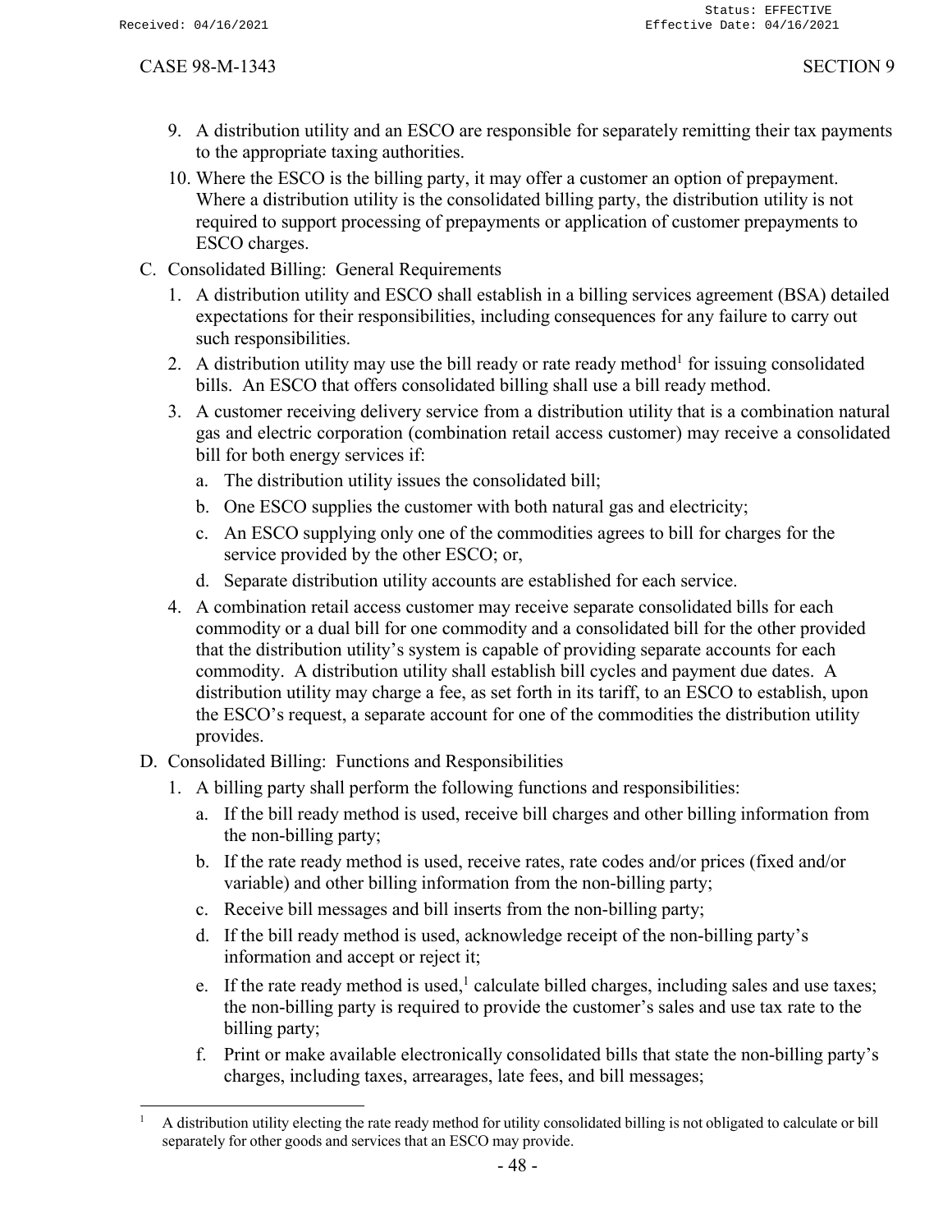- 9. A distribution utility and an ESCO are responsible for separately remitting their tax payments to the appropriate taxing authorities.
- 10. Where the ESCO is the billing party, it may offer a customer an option of prepayment. Where a distribution utility is the consolidated billing party, the distribution utility is not required to support processing of prepayments or application of customer prepayments to ESCO charges.
- C. Consolidated Billing: General Requirements
	- 1. A distribution utility and ESCO shall establish in a billing services agreement (BSA) detailed expectations for their responsibilities, including consequences for any failure to carry out such responsibilities.
	- 2. A distribution utility may use the bill ready or rate ready method<sup>1</sup> for issuing consolidated bills. An ESCO that offers consolidated billing shall use a bill ready method.
	- 3. A customer receiving delivery service from a distribution utility that is a combination natural gas and electric corporation (combination retail access customer) may receive a consolidated bill for both energy services if:
		- a. The distribution utility issues the consolidated bill;
		- b. One ESCO supplies the customer with both natural gas and electricity;
		- c. An ESCO supplying only one of the commodities agrees to bill for charges for the service provided by the other ESCO; or,
		- d. Separate distribution utility accounts are established for each service.
	- 4. A combination retail access customer may receive separate consolidated bills for each commodity or a dual bill for one commodity and a consolidated bill for the other provided that the distribution utility's system is capable of providing separate accounts for each commodity. A distribution utility shall establish bill cycles and payment due dates. A distribution utility may charge a fee, as set forth in its tariff, to an ESCO to establish, upon the ESCO's request, a separate account for one of the commodities the distribution utility provides.
- D. Consolidated Billing: Functions and Responsibilities
	- 1. A billing party shall perform the following functions and responsibilities:
		- a. If the bill ready method is used, receive bill charges and other billing information from the non-billing party;
		- b. If the rate ready method is used, receive rates, rate codes and/or prices (fixed and/or variable) and other billing information from the non-billing party;
		- c. Receive bill messages and bill inserts from the non-billing party;
		- d. If the bill ready method is used, acknowledge receipt of the non-billing party's information and accept or reject it;
		- e. If the rate ready method is used,<sup>1</sup> calculate billed charges, including sales and use taxes; the non-billing party is required to provide the customer's sales and use tax rate to the billing party;
		- f. Print or make available electronically consolidated bills that state the non-billing party's charges, including taxes, arrearages, late fees, and bill messages;

 $1$  A distribution utility electing the rate ready method for utility consolidated billing is not obligated to calculate or bill separately for other goods and services that an ESCO may provide.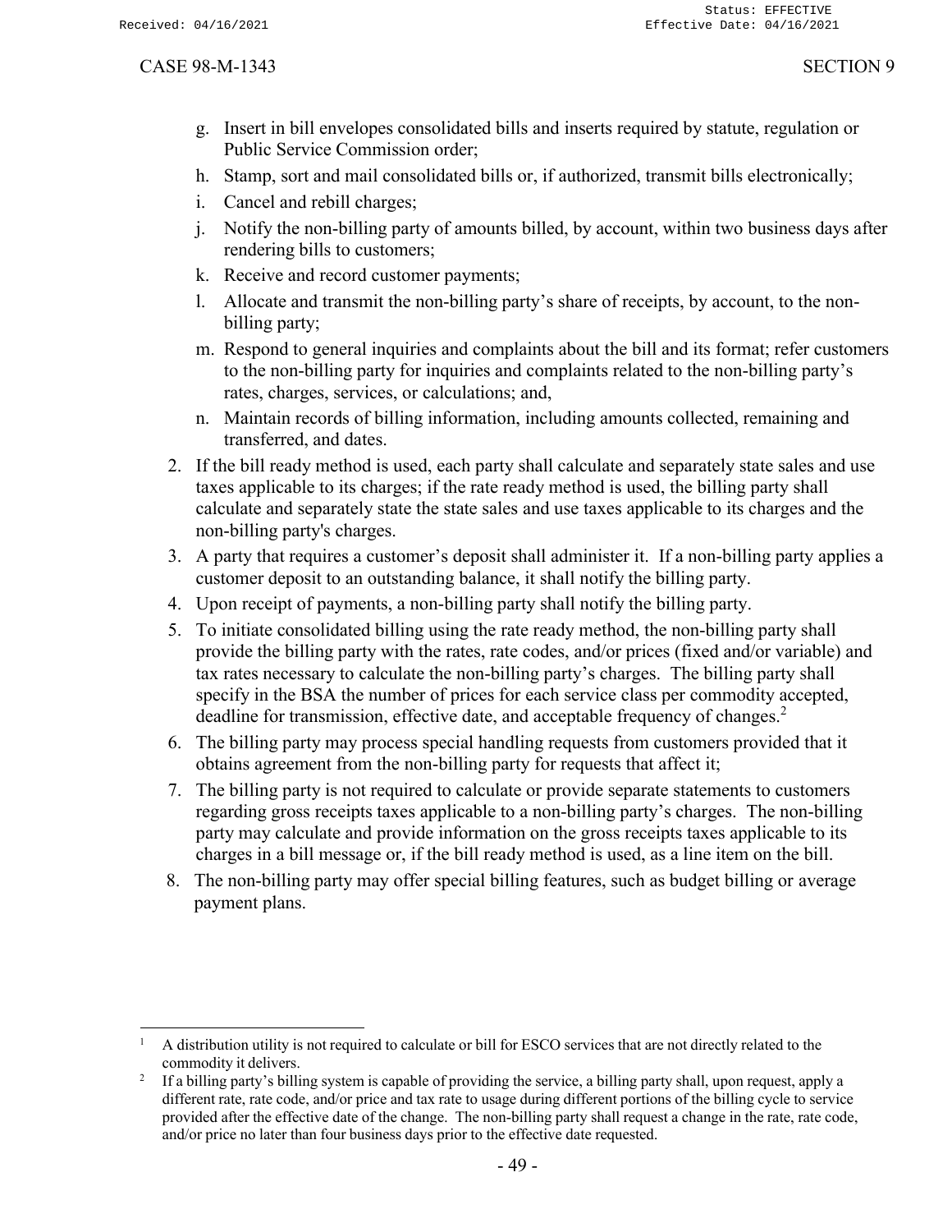- g. Insert in bill envelopes consolidated bills and inserts required by statute, regulation or Public Service Commission order;
- h. Stamp, sort and mail consolidated bills or, if authorized, transmit bills electronically;
- i. Cancel and rebill charges;
- j. Notify the non-billing party of amounts billed, by account, within two business days after rendering bills to customers;
- k. Receive and record customer payments;
- l. Allocate and transmit the non-billing party's share of receipts, by account, to the nonbilling party;
- m. Respond to general inquiries and complaints about the bill and its format; refer customers to the non-billing party for inquiries and complaints related to the non-billing party's rates, charges, services, or calculations; and,
- n. Maintain records of billing information, including amounts collected, remaining and transferred, and dates.
- 2. If the bill ready method is used, each party shall calculate and separately state sales and use taxes applicable to its charges; if the rate ready method is used, the billing party shall calculate and separately state the state sales and use taxes applicable to its charges and the non-billing party's charges.
- 3. A party that requires a customer's deposit shall administer it. If a non-billing party applies a customer deposit to an outstanding balance, it shall notify the billing party.
- 4. Upon receipt of payments, a non-billing party shall notify the billing party.
- 5. To initiate consolidated billing using the rate ready method, the non-billing party shall provide the billing party with the rates, rate codes, and/or prices (fixed and/or variable) and tax rates necessary to calculate the non-billing party's charges. The billing party shall specify in the BSA the number of prices for each service class per commodity accepted, deadline for transmission, effective date, and acceptable frequency of changes.<sup>2</sup>
- 6. The billing party may process special handling requests from customers provided that it obtains agreement from the non-billing party for requests that affect it;
- 7. The billing party is not required to calculate or provide separate statements to customers regarding gross receipts taxes applicable to a non-billing party's charges. The non-billing party may calculate and provide information on the gross receipts taxes applicable to its charges in a bill message or, if the bill ready method is used, as a line item on the bill.
- 8. The non-billing party may offer special billing features, such as budget billing or average payment plans.

 $1$  A distribution utility is not required to calculate or bill for ESCO services that are not directly related to the commodity it delivers.

<sup>2</sup> If a billing party's billing system is capable of providing the service, a billing party shall, upon request, apply a different rate, rate code, and/or price and tax rate to usage during different portions of the billing cycle to service provided after the effective date of the change. The non-billing party shall request a change in the rate, rate code, and/or price no later than four business days prior to the effective date requested.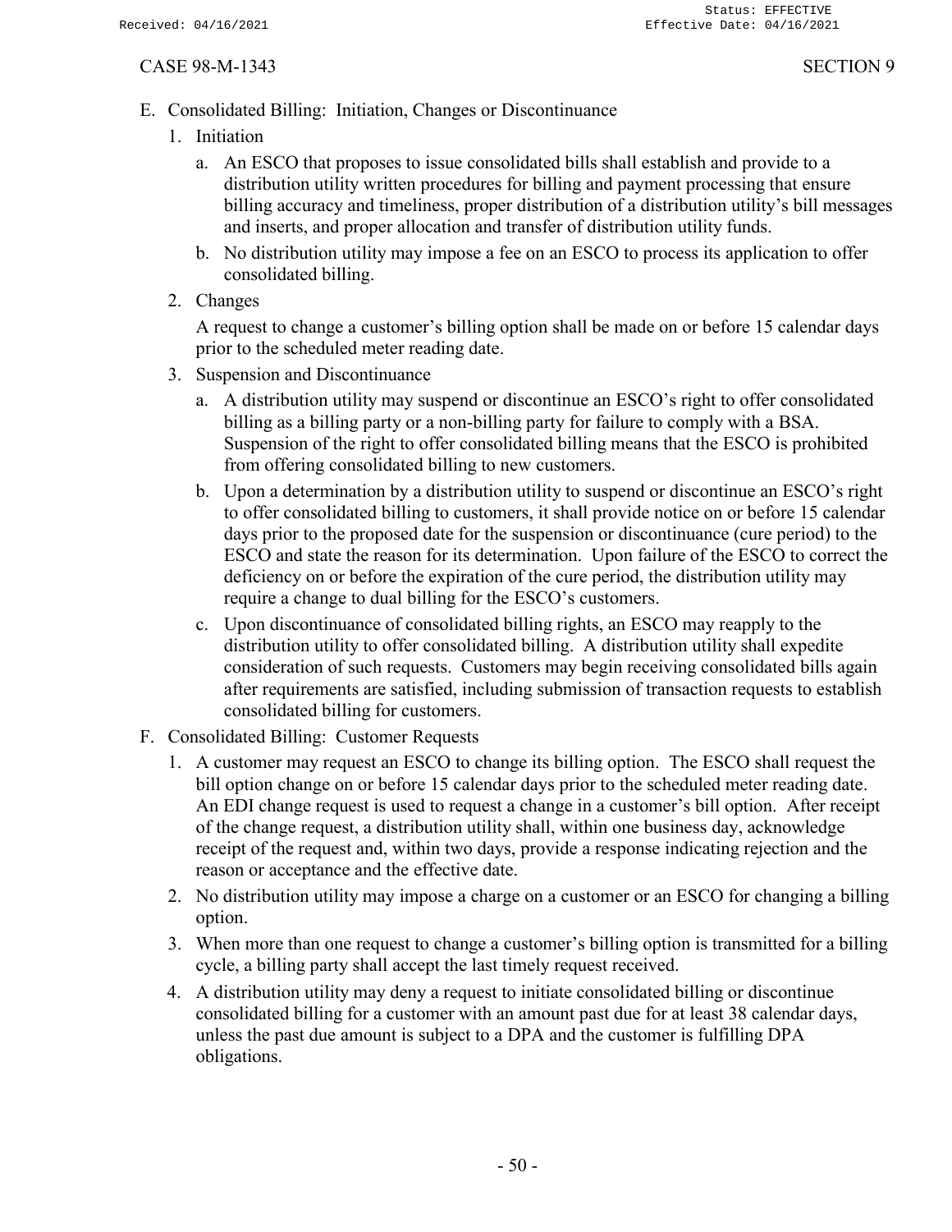- E. Consolidated Billing: Initiation, Changes or Discontinuance
	- 1. Initiation
		- a. An ESCO that proposes to issue consolidated bills shall establish and provide to a distribution utility written procedures for billing and payment processing that ensure billing accuracy and timeliness, proper distribution of a distribution utility's bill messages and inserts, and proper allocation and transfer of distribution utility funds.
		- b. No distribution utility may impose a fee on an ESCO to process its application to offer consolidated billing.
	- 2. Changes

A request to change a customer's billing option shall be made on or before 15 calendar days prior to the scheduled meter reading date.

- 3. Suspension and Discontinuance
	- a. A distribution utility may suspend or discontinue an ESCO's right to offer consolidated billing as a billing party or a non-billing party for failure to comply with a BSA. Suspension of the right to offer consolidated billing means that the ESCO is prohibited from offering consolidated billing to new customers.
	- b. Upon a determination by a distribution utility to suspend or discontinue an ESCO's right to offer consolidated billing to customers, it shall provide notice on or before 15 calendar days prior to the proposed date for the suspension or discontinuance (cure period) to the ESCO and state the reason for its determination. Upon failure of the ESCO to correct the deficiency on or before the expiration of the cure period, the distribution utility may require a change to dual billing for the ESCO's customers.
	- c. Upon discontinuance of consolidated billing rights, an ESCO may reapply to the distribution utility to offer consolidated billing. A distribution utility shall expedite consideration of such requests. Customers may begin receiving consolidated bills again after requirements are satisfied, including submission of transaction requests to establish consolidated billing for customers.
- F. Consolidated Billing: Customer Requests
	- 1. A customer may request an ESCO to change its billing option. The ESCO shall request the bill option change on or before 15 calendar days prior to the scheduled meter reading date. An EDI change request is used to request a change in a customer's bill option. After receipt of the change request, a distribution utility shall, within one business day, acknowledge receipt of the request and, within two days, provide a response indicating rejection and the reason or acceptance and the effective date.
	- 2. No distribution utility may impose a charge on a customer or an ESCO for changing a billing option.
	- 3. When more than one request to change a customer's billing option is transmitted for a billing cycle, a billing party shall accept the last timely request received.
	- 4. A distribution utility may deny a request to initiate consolidated billing or discontinue consolidated billing for a customer with an amount past due for at least 38 calendar days, unless the past due amount is subject to a DPA and the customer is fulfilling DPA obligations.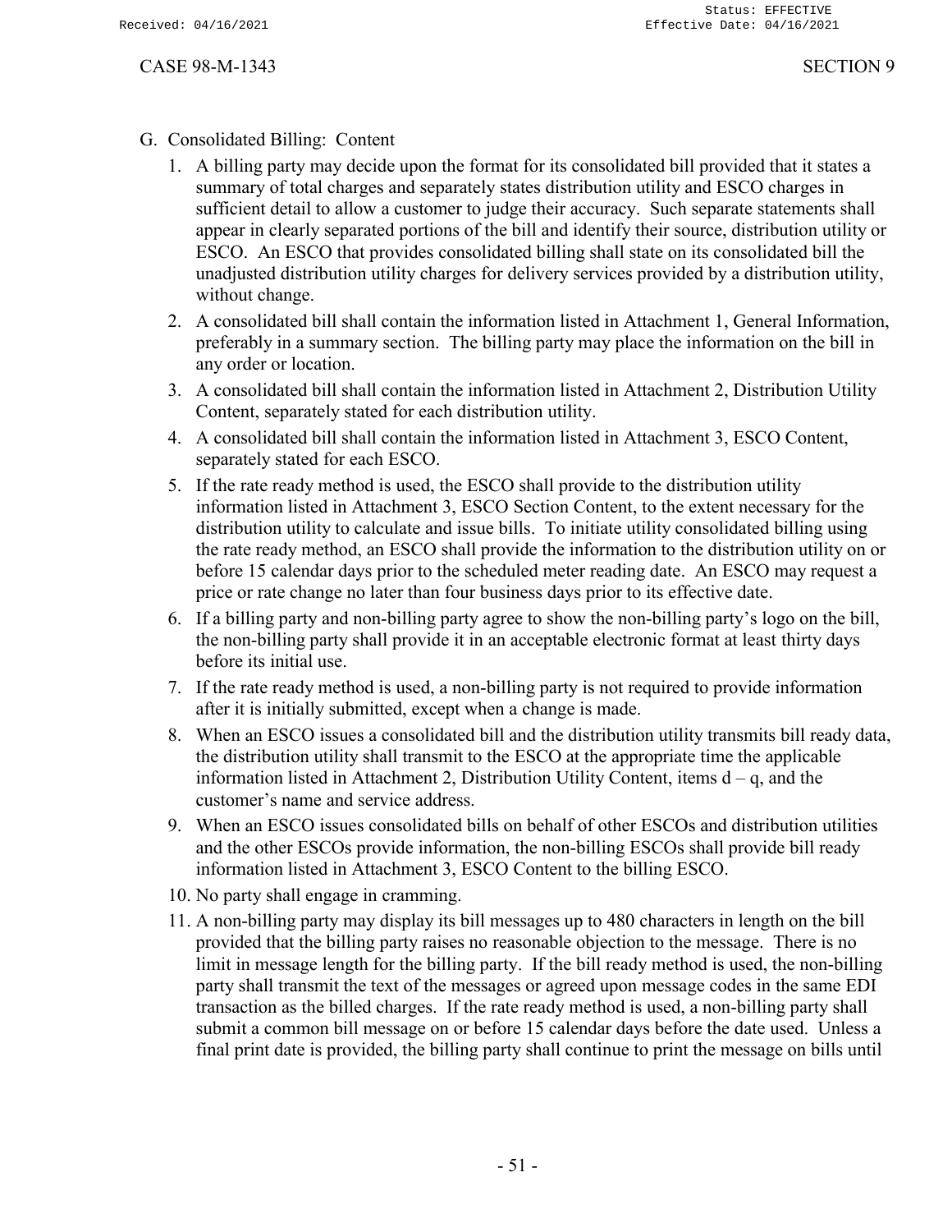- G. Consolidated Billing: Content
	- 1. A billing party may decide upon the format for its consolidated bill provided that it states a summary of total charges and separately states distribution utility and ESCO charges in sufficient detail to allow a customer to judge their accuracy. Such separate statements shall appear in clearly separated portions of the bill and identify their source, distribution utility or ESCO. An ESCO that provides consolidated billing shall state on its consolidated bill the unadjusted distribution utility charges for delivery services provided by a distribution utility, without change.
	- 2. A consolidated bill shall contain the information listed in Attachment 1, General Information, preferably in a summary section. The billing party may place the information on the bill in any order or location.
	- 3. A consolidated bill shall contain the information listed in Attachment 2, Distribution Utility Content, separately stated for each distribution utility.
	- 4. A consolidated bill shall contain the information listed in Attachment 3, ESCO Content, separately stated for each ESCO.
	- 5. If the rate ready method is used, the ESCO shall provide to the distribution utility information listed in Attachment 3, ESCO Section Content, to the extent necessary for the distribution utility to calculate and issue bills. To initiate utility consolidated billing using the rate ready method, an ESCO shall provide the information to the distribution utility on or before 15 calendar days prior to the scheduled meter reading date. An ESCO may request a price or rate change no later than four business days prior to its effective date.
	- 6. If a billing party and non-billing party agree to show the non-billing party's logo on the bill, the non-billing party shall provide it in an acceptable electronic format at least thirty days before its initial use.
	- 7. If the rate ready method is used, a non-billing party is not required to provide information after it is initially submitted, except when a change is made.
	- 8. When an ESCO issues a consolidated bill and the distribution utility transmits bill ready data, the distribution utility shall transmit to the ESCO at the appropriate time the applicable information listed in Attachment 2, Distribution Utility Content, items  $d - q$ , and the customer's name and service address.
	- 9. When an ESCO issues consolidated bills on behalf of other ESCOs and distribution utilities and the other ESCOs provide information, the non-billing ESCOs shall provide bill ready information listed in Attachment 3, ESCO Content to the billing ESCO.
	- 10. No party shall engage in cramming.
	- 11. A non-billing party may display its bill messages up to 480 characters in length on the bill provided that the billing party raises no reasonable objection to the message. There is no limit in message length for the billing party. If the bill ready method is used, the non-billing party shall transmit the text of the messages or agreed upon message codes in the same EDI transaction as the billed charges. If the rate ready method is used, a non-billing party shall submit a common bill message on or before 15 calendar days before the date used. Unless a final print date is provided, the billing party shall continue to print the message on bills until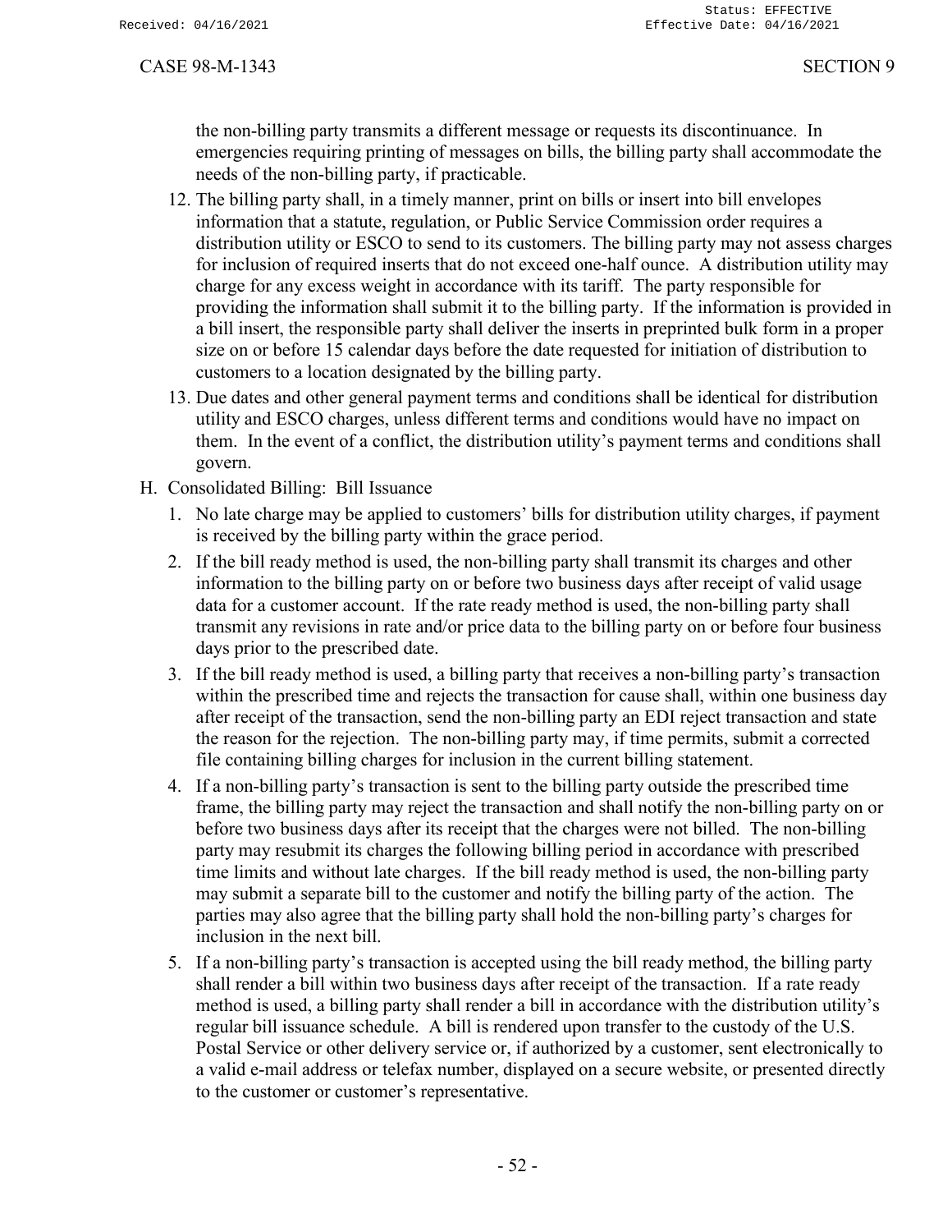the non-billing party transmits a different message or requests its discontinuance. In emergencies requiring printing of messages on bills, the billing party shall accommodate the needs of the non-billing party, if practicable.

- 12. The billing party shall, in a timely manner, print on bills or insert into bill envelopes information that a statute, regulation, or Public Service Commission order requires a distribution utility or ESCO to send to its customers. The billing party may not assess charges for inclusion of required inserts that do not exceed one-half ounce. A distribution utility may charge for any excess weight in accordance with its tariff. The party responsible for providing the information shall submit it to the billing party. If the information is provided in a bill insert, the responsible party shall deliver the inserts in preprinted bulk form in a proper size on or before 15 calendar days before the date requested for initiation of distribution to customers to a location designated by the billing party.
- 13. Due dates and other general payment terms and conditions shall be identical for distribution utility and ESCO charges, unless different terms and conditions would have no impact on them. In the event of a conflict, the distribution utility's payment terms and conditions shall govern.
- H. Consolidated Billing: Bill Issuance
	- 1. No late charge may be applied to customers' bills for distribution utility charges, if payment is received by the billing party within the grace period.
	- 2. If the bill ready method is used, the non-billing party shall transmit its charges and other information to the billing party on or before two business days after receipt of valid usage data for a customer account. If the rate ready method is used, the non-billing party shall transmit any revisions in rate and/or price data to the billing party on or before four business days prior to the prescribed date.
	- 3. If the bill ready method is used, a billing party that receives a non-billing party's transaction within the prescribed time and rejects the transaction for cause shall, within one business day after receipt of the transaction, send the non-billing party an EDI reject transaction and state the reason for the rejection. The non-billing party may, if time permits, submit a corrected file containing billing charges for inclusion in the current billing statement.
	- 4. If a non-billing party's transaction is sent to the billing party outside the prescribed time frame, the billing party may reject the transaction and shall notify the non-billing party on or before two business days after its receipt that the charges were not billed. The non-billing party may resubmit its charges the following billing period in accordance with prescribed time limits and without late charges. If the bill ready method is used, the non-billing party may submit a separate bill to the customer and notify the billing party of the action. The parties may also agree that the billing party shall hold the non-billing party's charges for inclusion in the next bill.
	- 5. If a non-billing party's transaction is accepted using the bill ready method, the billing party shall render a bill within two business days after receipt of the transaction. If a rate ready method is used, a billing party shall render a bill in accordance with the distribution utility's regular bill issuance schedule. A bill is rendered upon transfer to the custody of the U.S. Postal Service or other delivery service or, if authorized by a customer, sent electronically to a valid e-mail address or telefax number, displayed on a secure website, or presented directly to the customer or customer's representative.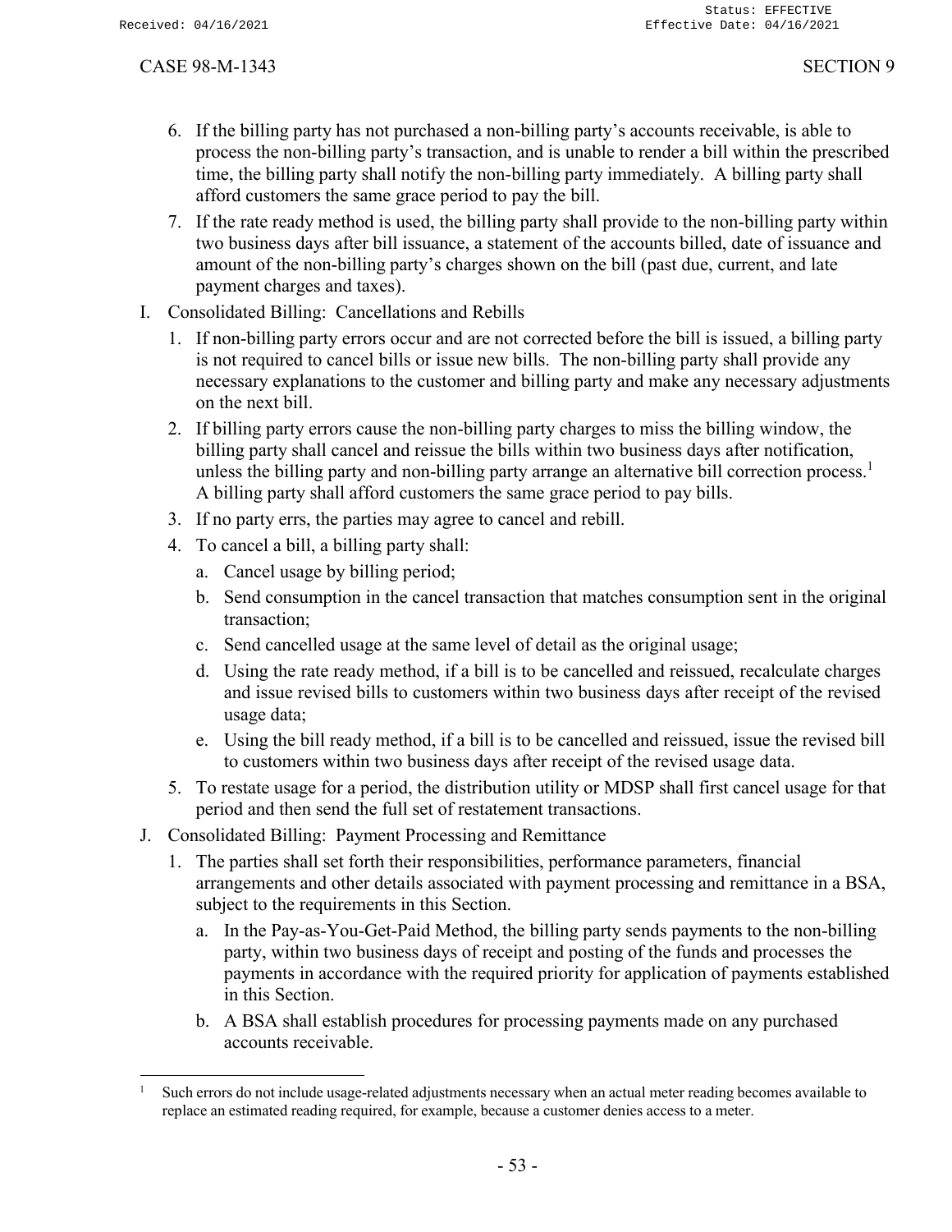- 6. If the billing party has not purchased a non-billing party's accounts receivable, is able to process the non-billing party's transaction, and is unable to render a bill within the prescribed time, the billing party shall notify the non-billing party immediately. A billing party shall afford customers the same grace period to pay the bill.
- 7. If the rate ready method is used, the billing party shall provide to the non-billing party within two business days after bill issuance, a statement of the accounts billed, date of issuance and amount of the non-billing party's charges shown on the bill (past due, current, and late payment charges and taxes).
- I. Consolidated Billing: Cancellations and Rebills
	- 1. If non-billing party errors occur and are not corrected before the bill is issued, a billing party is not required to cancel bills or issue new bills. The non-billing party shall provide any necessary explanations to the customer and billing party and make any necessary adjustments on the next bill.
	- 2. If billing party errors cause the non-billing party charges to miss the billing window, the billing party shall cancel and reissue the bills within two business days after notification, unless the billing party and non-billing party arrange an alternative bill correction process.<sup>1</sup> A billing party shall afford customers the same grace period to pay bills.
	- 3. If no party errs, the parties may agree to cancel and rebill.
	- 4. To cancel a bill, a billing party shall:
		- a. Cancel usage by billing period;
		- b. Send consumption in the cancel transaction that matches consumption sent in the original transaction;
		- c. Send cancelled usage at the same level of detail as the original usage;
		- d. Using the rate ready method, if a bill is to be cancelled and reissued, recalculate charges and issue revised bills to customers within two business days after receipt of the revised usage data;
		- e. Using the bill ready method, if a bill is to be cancelled and reissued, issue the revised bill to customers within two business days after receipt of the revised usage data.
	- 5. To restate usage for a period, the distribution utility or MDSP shall first cancel usage for that period and then send the full set of restatement transactions.
- J. Consolidated Billing: Payment Processing and Remittance
	- 1. The parties shall set forth their responsibilities, performance parameters, financial arrangements and other details associated with payment processing and remittance in a BSA, subject to the requirements in this Section.
		- a. In the Pay-as-You-Get-Paid Method, the billing party sends payments to the non-billing party, within two business days of receipt and posting of the funds and processes the payments in accordance with the required priority for application of payments established in this Section.
		- b. A BSA shall establish procedures for processing payments made on any purchased accounts receivable.

Such errors do not include usage-related adjustments necessary when an actual meter reading becomes available to replace an estimated reading required, for example, because a customer denies access to a meter.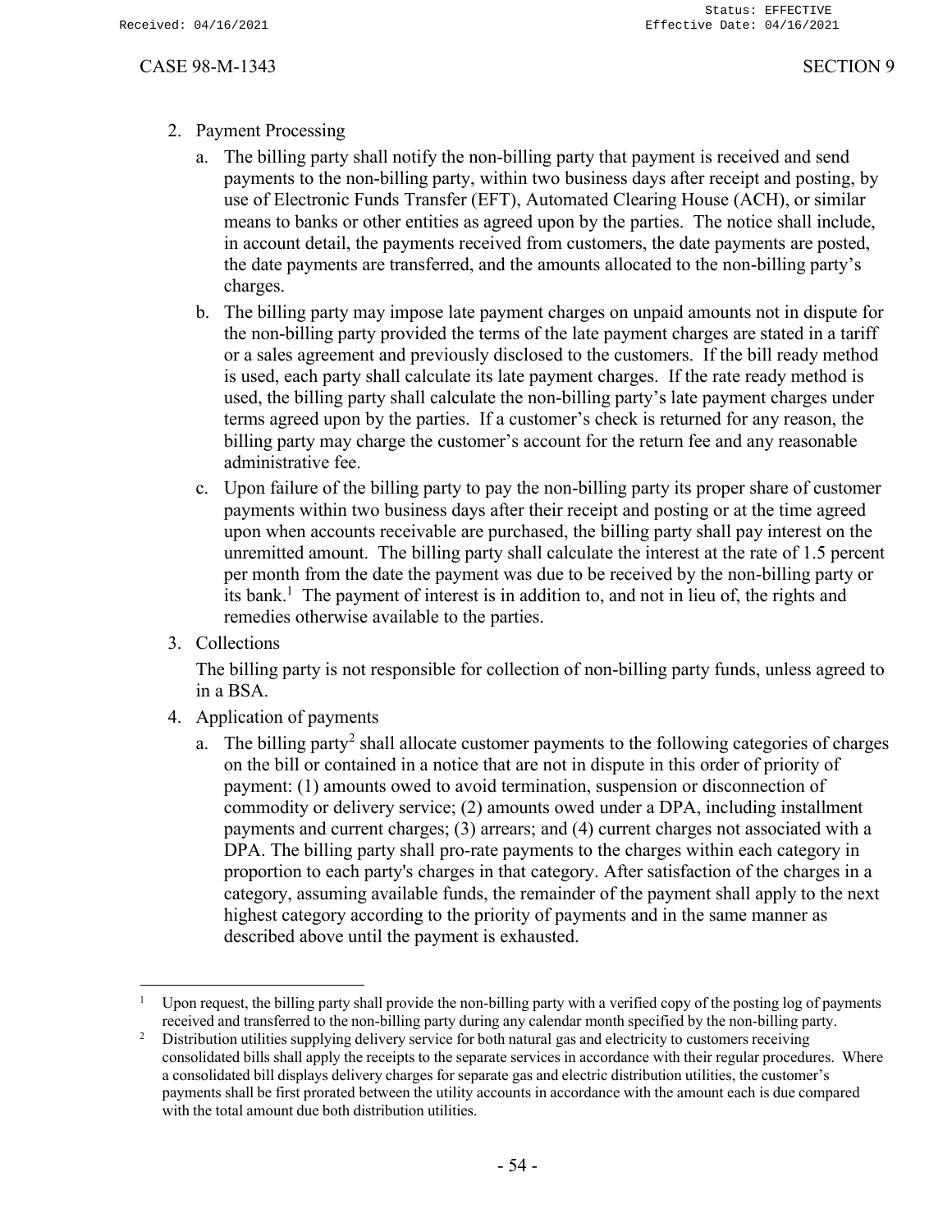# 2. Payment Processing

- a. The billing party shall notify the non-billing party that payment is received and send payments to the non-billing party, within two business days after receipt and posting, by use of Electronic Funds Transfer (EFT), Automated Clearing House (ACH), or similar means to banks or other entities as agreed upon by the parties. The notice shall include, in account detail, the payments received from customers, the date payments are posted, the date payments are transferred, and the amounts allocated to the non-billing party's charges.
- b. The billing party may impose late payment charges on unpaid amounts not in dispute for the non-billing party provided the terms of the late payment charges are stated in a tariff or a sales agreement and previously disclosed to the customers. If the bill ready method is used, each party shall calculate its late payment charges. If the rate ready method is used, the billing party shall calculate the non-billing party's late payment charges under terms agreed upon by the parties. If a customer's check is returned for any reason, the billing party may charge the customer's account for the return fee and any reasonable administrative fee.
- c. Upon failure of the billing party to pay the non-billing party its proper share of customer payments within two business days after their receipt and posting or at the time agreed upon when accounts receivable are purchased, the billing party shall pay interest on the unremitted amount. The billing party shall calculate the interest at the rate of 1.5 percent per month from the date the payment was due to be received by the non-billing party or its bank.<sup>1</sup> The payment of interest is in addition to, and not in lieu of, the rights and remedies otherwise available to the parties.
- 3. Collections

The billing party is not responsible for collection of non-billing party funds, unless agreed to in a BSA.

- 4. Application of payments
	- a. The billing party<sup>2</sup> shall allocate customer payments to the following categories of charges on the bill or contained in a notice that are not in dispute in this order of priority of payment: (1) amounts owed to avoid termination, suspension or disconnection of commodity or delivery service; (2) amounts owed under a DPA, including installment payments and current charges; (3) arrears; and (4) current charges not associated with a DPA. The billing party shall pro-rate payments to the charges within each category in proportion to each party's charges in that category. After satisfaction of the charges in a category, assuming available funds, the remainder of the payment shall apply to the next highest category according to the priority of payments and in the same manner as described above until the payment is exhausted.

<sup>1</sup> Upon request, the billing party shall provide the non-billing party with a verified copy of the posting log of payments received and transferred to the non-billing party during any calendar month specified by the non-billing party.

<sup>&</sup>lt;sup>2</sup> Distribution utilities supplying delivery service for both natural gas and electricity to customers receiving consolidated bills shall apply the receipts to the separate services in accordance with their regular procedures. Where a consolidated bill displays delivery charges for separate gas and electric distribution utilities, the customer's payments shall be first prorated between the utility accounts in accordance with the amount each is due compared with the total amount due both distribution utilities.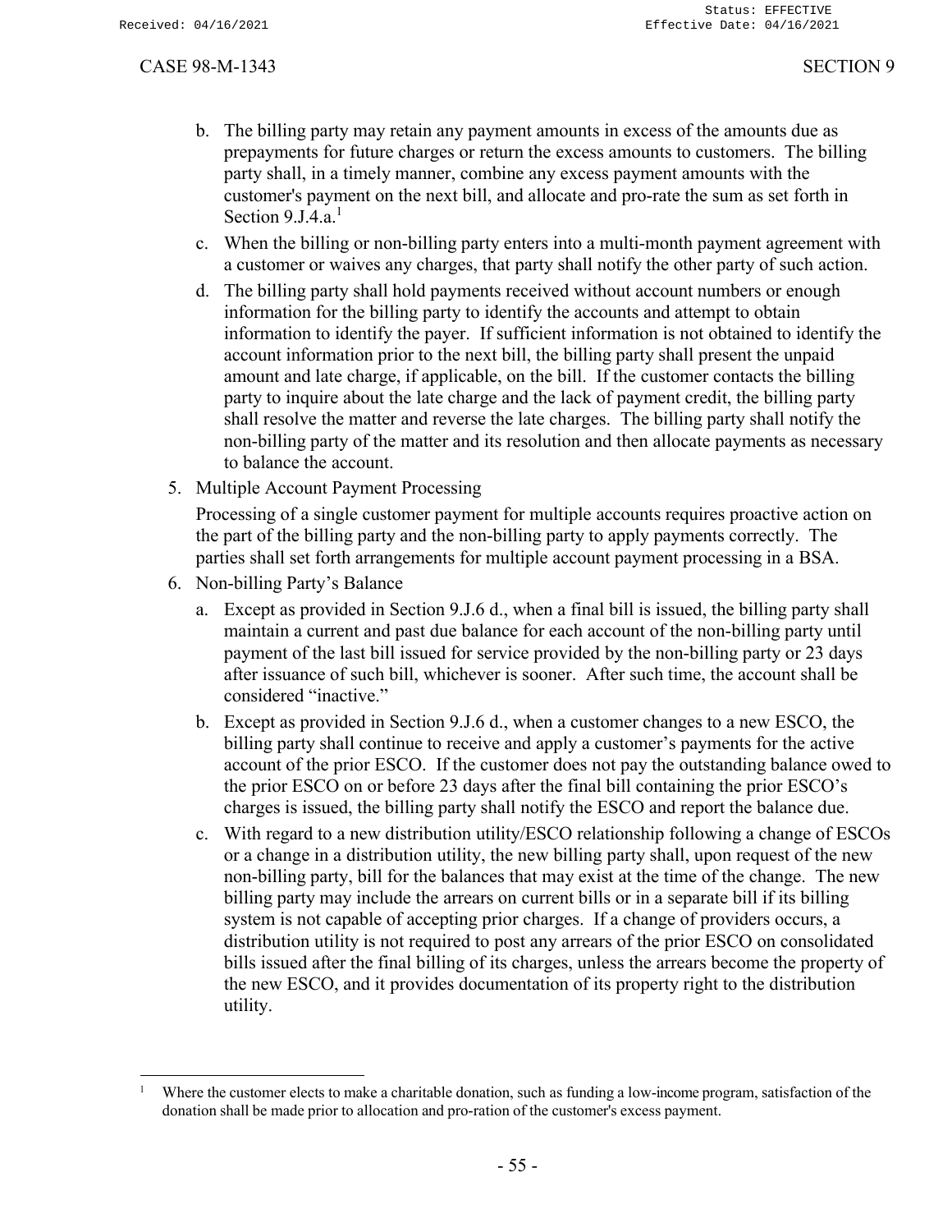- b. The billing party may retain any payment amounts in excess of the amounts due as prepayments for future charges or return the excess amounts to customers. The billing party shall, in a timely manner, combine any excess payment amounts with the customer's payment on the next bill, and allocate and pro-rate the sum as set forth in Section  $9 \text{J}4 \text{a}$ <sup>1</sup>
- c. When the billing or non-billing party enters into a multi-month payment agreement with a customer or waives any charges, that party shall notify the other party of such action.
- d. The billing party shall hold payments received without account numbers or enough information for the billing party to identify the accounts and attempt to obtain information to identify the payer. If sufficient information is not obtained to identify the account information prior to the next bill, the billing party shall present the unpaid amount and late charge, if applicable, on the bill. If the customer contacts the billing party to inquire about the late charge and the lack of payment credit, the billing party shall resolve the matter and reverse the late charges. The billing party shall notify the non-billing party of the matter and its resolution and then allocate payments as necessary to balance the account.
- 5. Multiple Account Payment Processing

Processing of a single customer payment for multiple accounts requires proactive action on the part of the billing party and the non-billing party to apply payments correctly. The parties shall set forth arrangements for multiple account payment processing in a BSA.

- 6. Non-billing Party's Balance
	- a. Except as provided in Section 9.J.6 d., when a final bill is issued, the billing party shall maintain a current and past due balance for each account of the non-billing party until payment of the last bill issued for service provided by the non-billing party or 23 days after issuance of such bill, whichever is sooner. After such time, the account shall be considered "inactive."
	- b. Except as provided in Section 9.J.6 d., when a customer changes to a new ESCO, the billing party shall continue to receive and apply a customer's payments for the active account of the prior ESCO. If the customer does not pay the outstanding balance owed to the prior ESCO on or before 23 days after the final bill containing the prior ESCO's charges is issued, the billing party shall notify the ESCO and report the balance due.
	- c. With regard to a new distribution utility/ESCO relationship following a change of ESCOs or a change in a distribution utility, the new billing party shall, upon request of the new non-billing party, bill for the balances that may exist at the time of the change. The new billing party may include the arrears on current bills or in a separate bill if its billing system is not capable of accepting prior charges. If a change of providers occurs, a distribution utility is not required to post any arrears of the prior ESCO on consolidated bills issued after the final billing of its charges, unless the arrears become the property of the new ESCO, and it provides documentation of its property right to the distribution utility.

<sup>1</sup> Where the customer elects to make a charitable donation, such as funding a low-income program, satisfaction of the donation shall be made prior to allocation and pro-ration of the customer's excess payment.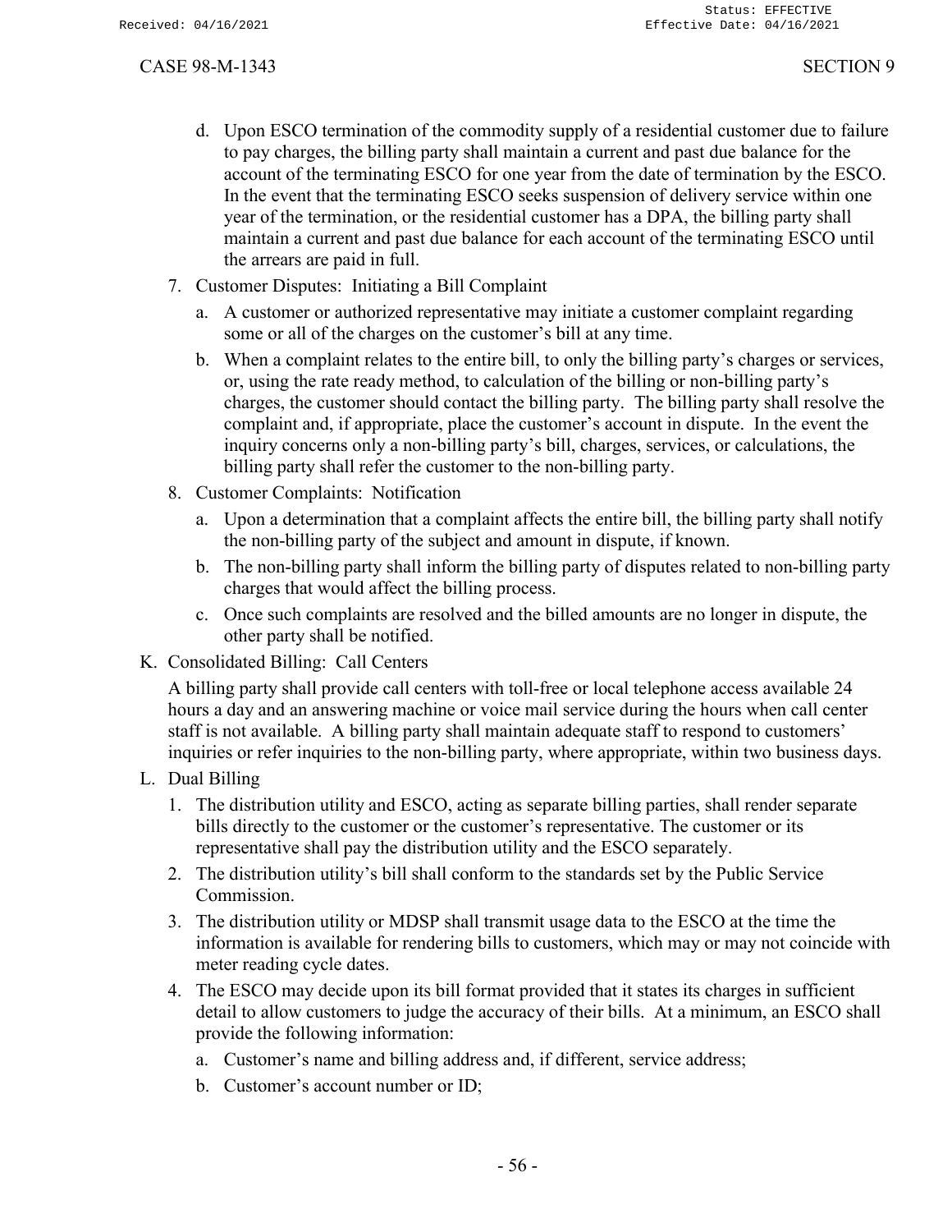- d. Upon ESCO termination of the commodity supply of a residential customer due to failure to pay charges, the billing party shall maintain a current and past due balance for the account of the terminating ESCO for one year from the date of termination by the ESCO. In the event that the terminating ESCO seeks suspension of delivery service within one year of the termination, or the residential customer has a DPA, the billing party shall maintain a current and past due balance for each account of the terminating ESCO until the arrears are paid in full.
- 7. Customer Disputes: Initiating a Bill Complaint
	- a. A customer or authorized representative may initiate a customer complaint regarding some or all of the charges on the customer's bill at any time.
	- b. When a complaint relates to the entire bill, to only the billing party's charges or services, or, using the rate ready method, to calculation of the billing or non-billing party's charges, the customer should contact the billing party. The billing party shall resolve the complaint and, if appropriate, place the customer's account in dispute. In the event the inquiry concerns only a non-billing party's bill, charges, services, or calculations, the billing party shall refer the customer to the non-billing party.
- 8. Customer Complaints: Notification
	- a. Upon a determination that a complaint affects the entire bill, the billing party shall notify the non-billing party of the subject and amount in dispute, if known.
	- b. The non-billing party shall inform the billing party of disputes related to non-billing party charges that would affect the billing process.
	- c. Once such complaints are resolved and the billed amounts are no longer in dispute, the other party shall be notified.
- K. Consolidated Billing: Call Centers

A billing party shall provide call centers with toll-free or local telephone access available 24 hours a day and an answering machine or voice mail service during the hours when call center staff is not available. A billing party shall maintain adequate staff to respond to customers' inquiries or refer inquiries to the non-billing party, where appropriate, within two business days.

- L. Dual Billing
	- 1. The distribution utility and ESCO, acting as separate billing parties, shall render separate bills directly to the customer or the customer's representative. The customer or its representative shall pay the distribution utility and the ESCO separately.
	- 2. The distribution utility's bill shall conform to the standards set by the Public Service Commission.
	- 3. The distribution utility or MDSP shall transmit usage data to the ESCO at the time the information is available for rendering bills to customers, which may or may not coincide with meter reading cycle dates.
	- 4. The ESCO may decide upon its bill format provided that it states its charges in sufficient detail to allow customers to judge the accuracy of their bills. At a minimum, an ESCO shall provide the following information:
		- a. Customer's name and billing address and, if different, service address;
		- b. Customer's account number or ID;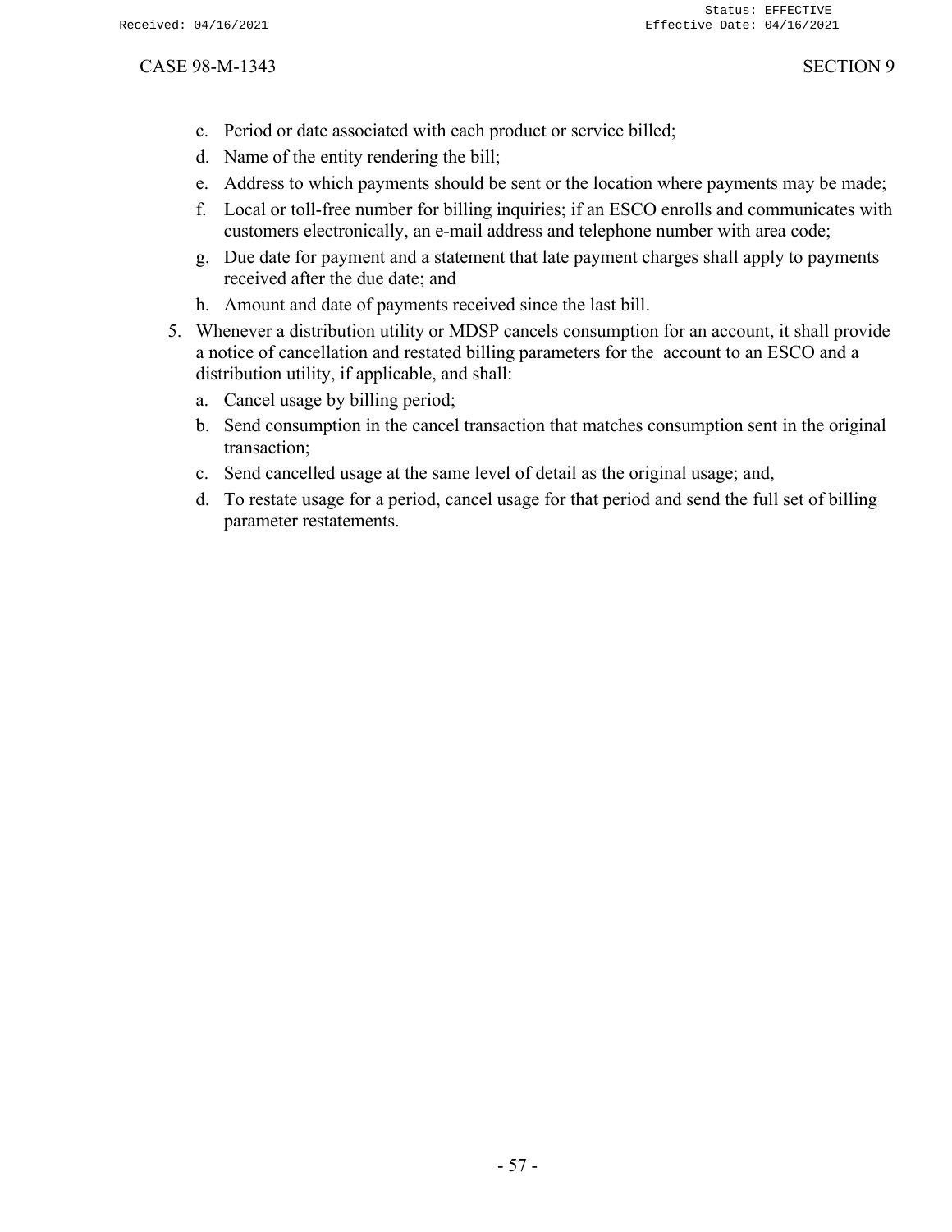- c. Period or date associated with each product or service billed;
- d. Name of the entity rendering the bill;
- e. Address to which payments should be sent or the location where payments may be made;
- f. Local or toll-free number for billing inquiries; if an ESCO enrolls and communicates with customers electronically, an e-mail address and telephone number with area code;
- g. Due date for payment and a statement that late payment charges shall apply to payments received after the due date; and
- h. Amount and date of payments received since the last bill.
- 5. Whenever a distribution utility or MDSP cancels consumption for an account, it shall provide a notice of cancellation and restated billing parameters for the account to an ESCO and a distribution utility, if applicable, and shall:
	- a. Cancel usage by billing period;
	- b. Send consumption in the cancel transaction that matches consumption sent in the original transaction;
	- c. Send cancelled usage at the same level of detail as the original usage; and,
	- d. To restate usage for a period, cancel usage for that period and send the full set of billing parameter restatements.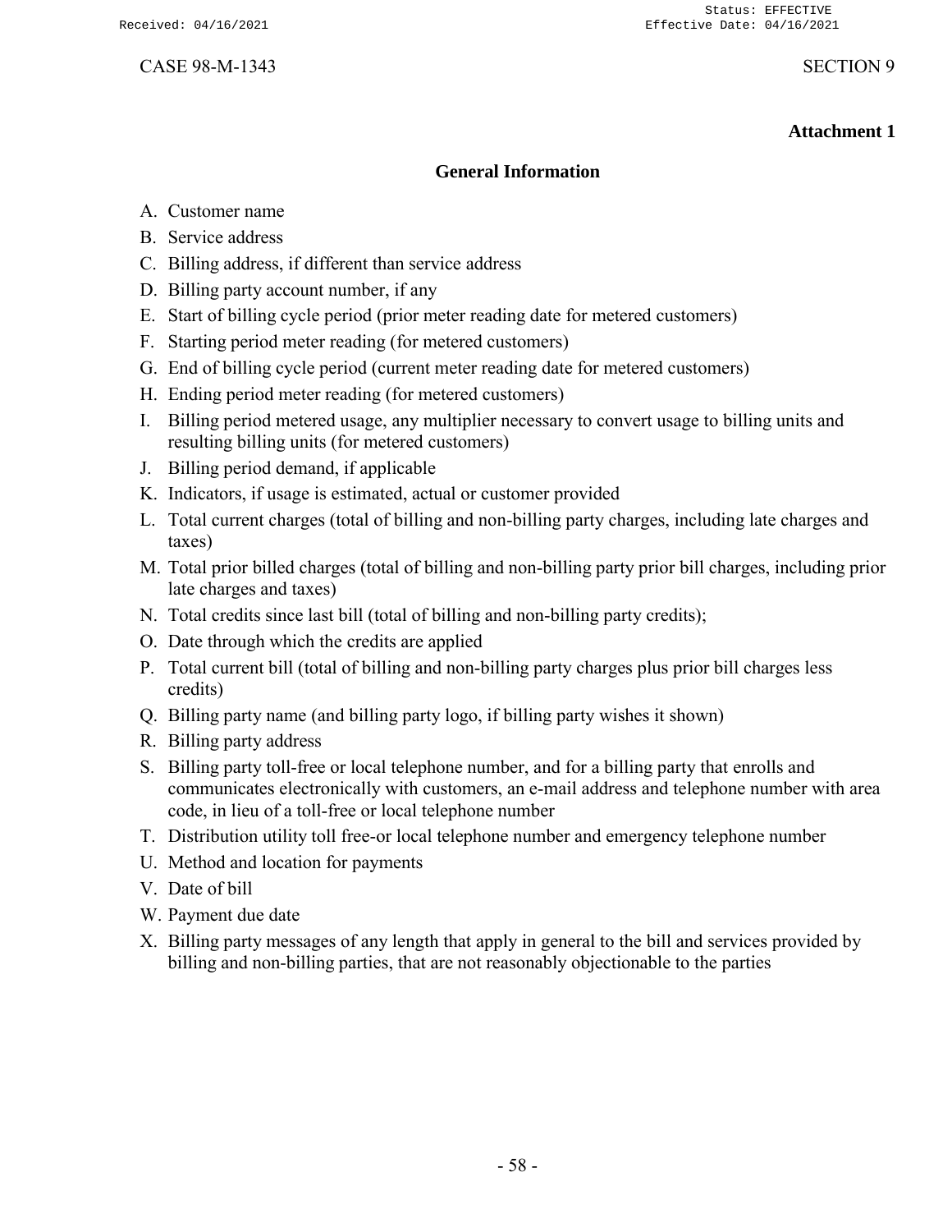# **Attachment 1**

# **General Information**

- A. Customer name
- B. Service address
- C. Billing address, if different than service address
- D. Billing party account number, if any
- E. Start of billing cycle period (prior meter reading date for metered customers)
- F. Starting period meter reading (for metered customers)
- G. End of billing cycle period (current meter reading date for metered customers)
- H. Ending period meter reading (for metered customers)
- I. Billing period metered usage, any multiplier necessary to convert usage to billing units and resulting billing units (for metered customers)
- J. Billing period demand, if applicable
- K. Indicators, if usage is estimated, actual or customer provided
- L. Total current charges (total of billing and non-billing party charges, including late charges and taxes)
- M. Total prior billed charges (total of billing and non-billing party prior bill charges, including prior late charges and taxes)
- N. Total credits since last bill (total of billing and non-billing party credits);
- O. Date through which the credits are applied
- P. Total current bill (total of billing and non-billing party charges plus prior bill charges less credits)
- Q. Billing party name (and billing party logo, if billing party wishes it shown)
- R. Billing party address
- S. Billing party toll-free or local telephone number, and for a billing party that enrolls and communicates electronically with customers, an e-mail address and telephone number with area code, in lieu of a toll-free or local telephone number
- T. Distribution utility toll free-or local telephone number and emergency telephone number
- U. Method and location for payments
- V. Date of bill
- W. Payment due date
- X. Billing party messages of any length that apply in general to the bill and services provided by billing and non-billing parties, that are not reasonably objectionable to the parties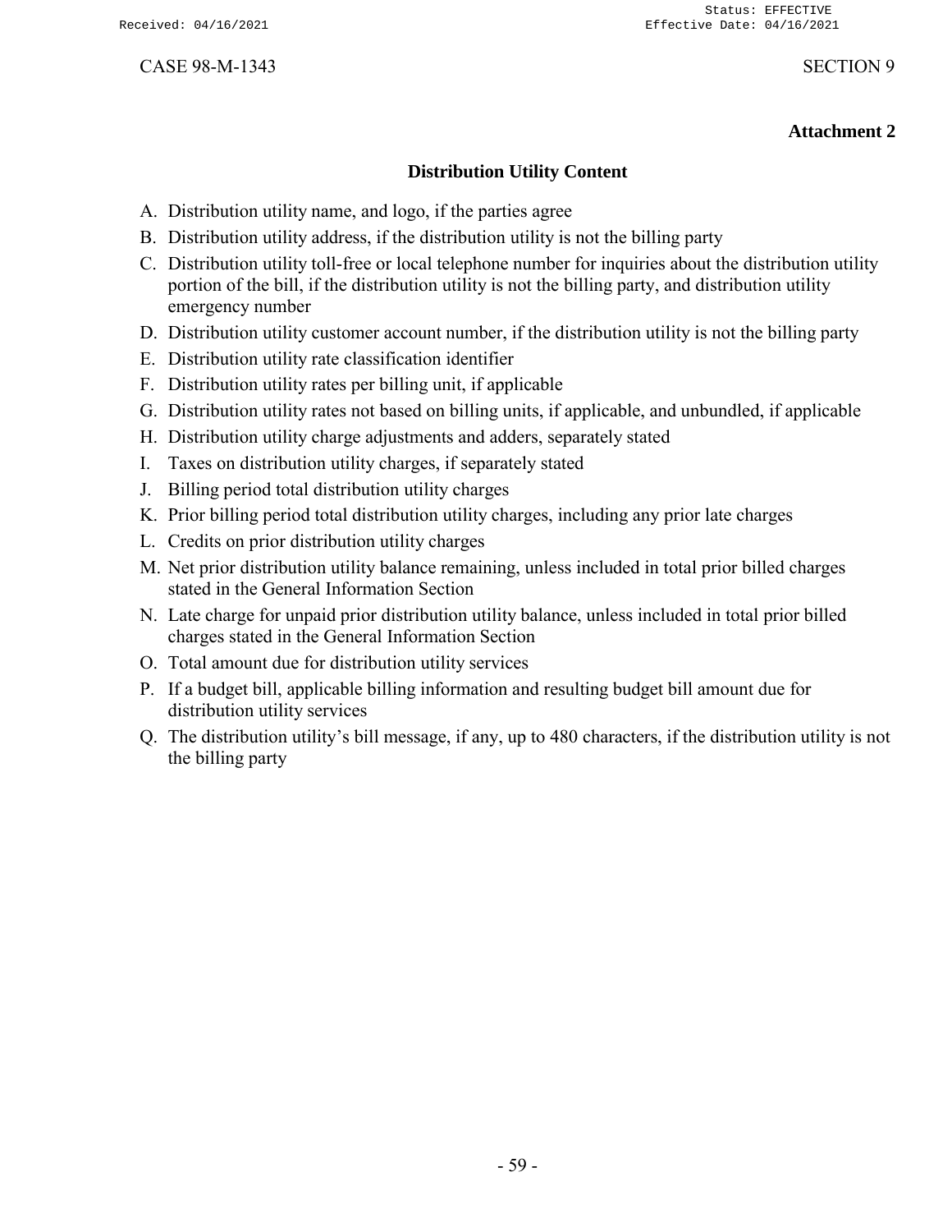# **Attachment 2**

### **Distribution Utility Content**

- A. Distribution utility name, and logo, if the parties agree
- B. Distribution utility address, if the distribution utility is not the billing party
- C. Distribution utility toll-free or local telephone number for inquiries about the distribution utility portion of the bill, if the distribution utility is not the billing party, and distribution utility emergency number
- D. Distribution utility customer account number, if the distribution utility is not the billing party
- E. Distribution utility rate classification identifier
- F. Distribution utility rates per billing unit, if applicable
- G. Distribution utility rates not based on billing units, if applicable, and unbundled, if applicable
- H. Distribution utility charge adjustments and adders, separately stated
- I. Taxes on distribution utility charges, if separately stated
- J. Billing period total distribution utility charges
- K. Prior billing period total distribution utility charges, including any prior late charges
- L. Credits on prior distribution utility charges
- M. Net prior distribution utility balance remaining, unless included in total prior billed charges stated in the General Information Section
- N. Late charge for unpaid prior distribution utility balance, unless included in total prior billed charges stated in the General Information Section
- O. Total amount due for distribution utility services
- P. If a budget bill, applicable billing information and resulting budget bill amount due for distribution utility services
- Q. The distribution utility's bill message, if any, up to 480 characters, if the distribution utility is not the billing party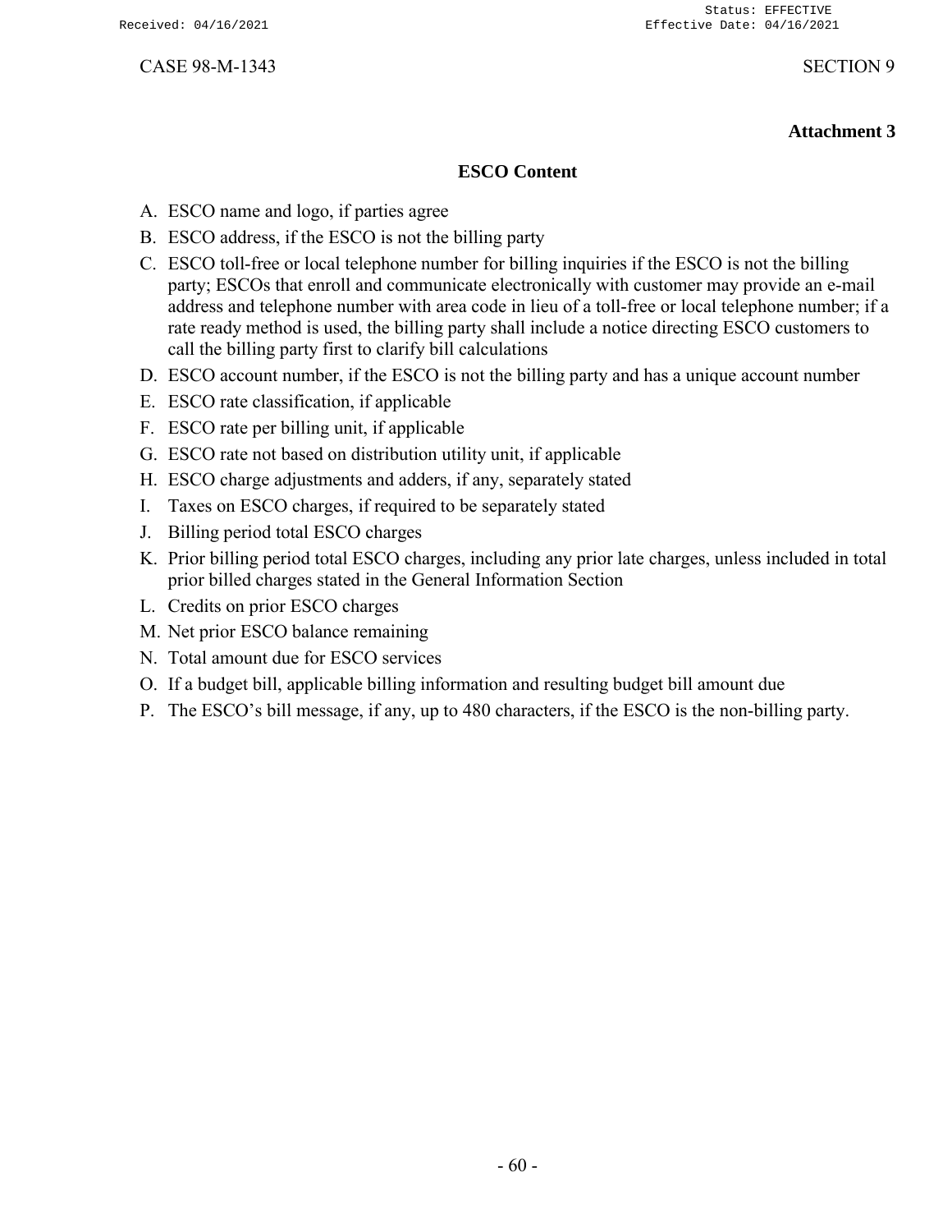# **Attachment 3**

# **ESCO Content**

- A. ESCO name and logo, if parties agree
- B. ESCO address, if the ESCO is not the billing party
- C. ESCO toll-free or local telephone number for billing inquiries if the ESCO is not the billing party; ESCOs that enroll and communicate electronically with customer may provide an e-mail address and telephone number with area code in lieu of a toll-free or local telephone number; if a rate ready method is used, the billing party shall include a notice directing ESCO customers to call the billing party first to clarify bill calculations
- D. ESCO account number, if the ESCO is not the billing party and has a unique account number
- E. ESCO rate classification, if applicable
- F. ESCO rate per billing unit, if applicable
- G. ESCO rate not based on distribution utility unit, if applicable
- H. ESCO charge adjustments and adders, if any, separately stated
- I. Taxes on ESCO charges, if required to be separately stated
- J. Billing period total ESCO charges
- K. Prior billing period total ESCO charges, including any prior late charges, unless included in total prior billed charges stated in the General Information Section
- L. Credits on prior ESCO charges
- M. Net prior ESCO balance remaining
- N. Total amount due for ESCO services
- O. If a budget bill, applicable billing information and resulting budget bill amount due
- P. The ESCO's bill message, if any, up to 480 characters, if the ESCO is the non-billing party.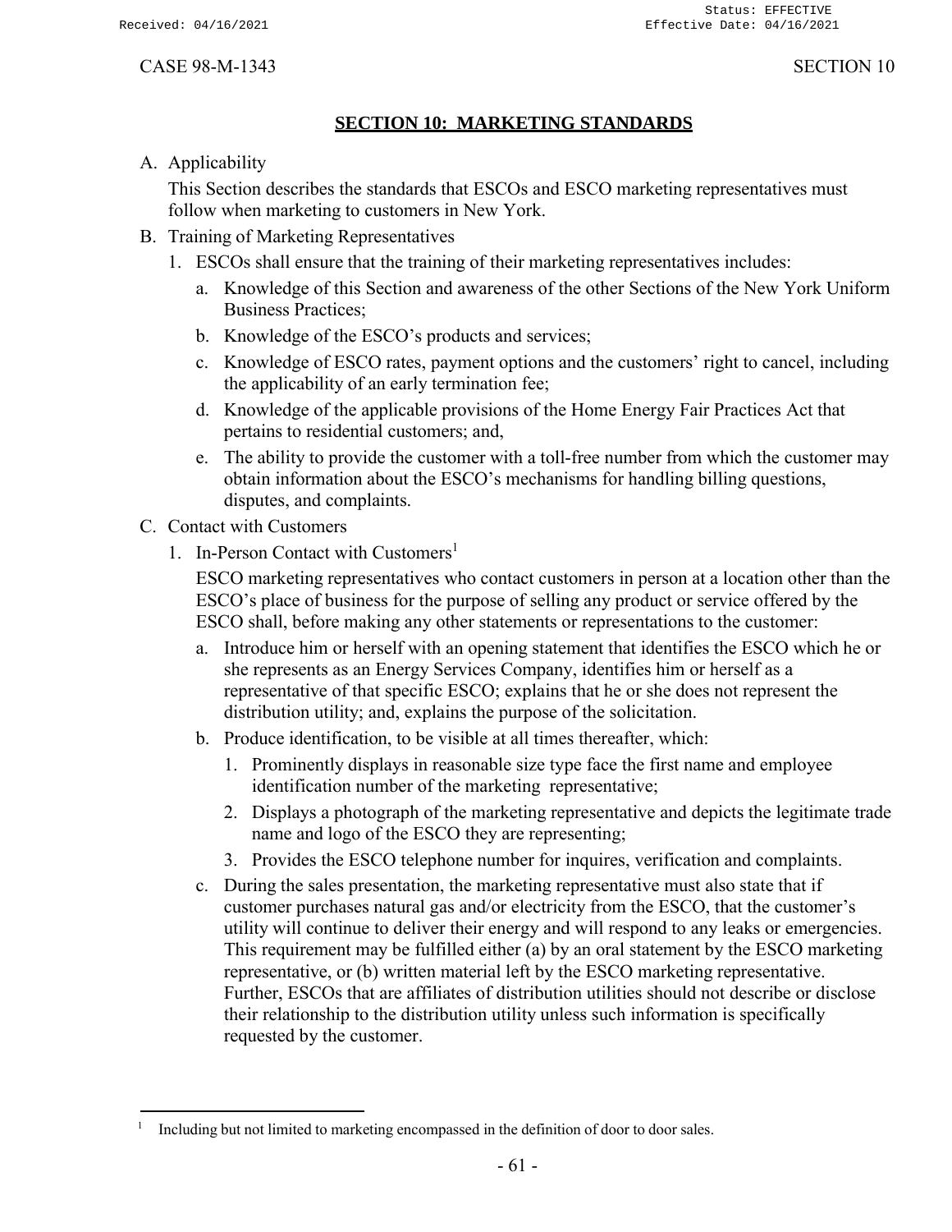# **SECTION 10: MARKETING STANDARDS**

<span id="page-63-0"></span>A. Applicability

This Section describes the standards that ESCOs and ESCO marketing representatives must follow when marketing to customers in New York.

- B. Training of Marketing Representatives
	- 1. ESCOs shall ensure that the training of their marketing representatives includes:
		- a. Knowledge of this Section and awareness of the other Sections of the New York Uniform Business Practices;
		- b. Knowledge of the ESCO's products and services;
		- c. Knowledge of ESCO rates, payment options and the customers' right to cancel, including the applicability of an early termination fee;
		- d. Knowledge of the applicable provisions of the Home Energy Fair Practices Act that pertains to residential customers; and,
		- e. The ability to provide the customer with a toll-free number from which the customer may obtain information about the ESCO's mechanisms for handling billing questions, disputes, and complaints.
- C. Contact with Customers
	- 1. In-Person Contact with Customers<sup>1</sup>

ESCO marketing representatives who contact customers in person at a location other than the ESCO's place of business for the purpose of selling any product or service offered by the ESCO shall, before making any other statements or representations to the customer:

- a. Introduce him or herself with an opening statement that identifies the ESCO which he or she represents as an Energy Services Company, identifies him or herself as a representative of that specific ESCO; explains that he or she does not represent the distribution utility; and, explains the purpose of the solicitation.
- b. Produce identification, to be visible at all times thereafter, which:
	- 1. Prominently displays in reasonable size type face the first name and employee identification number of the marketing representative;
	- 2. Displays a photograph of the marketing representative and depicts the legitimate trade name and logo of the ESCO they are representing;
	- 3. Provides the ESCO telephone number for inquires, verification and complaints.
- c. During the sales presentation, the marketing representative must also state that if customer purchases natural gas and/or electricity from the ESCO, that the customer's utility will continue to deliver their energy and will respond to any leaks or emergencies. This requirement may be fulfilled either (a) by an oral statement by the ESCO marketing representative, or (b) written material left by the ESCO marketing representative. Further, ESCOs that are affiliates of distribution utilities should not describe or disclose their relationship to the distribution utility unless such information is specifically requested by the customer.

<sup>1</sup> Including but not limited to marketing encompassed in the definition of door to door sales.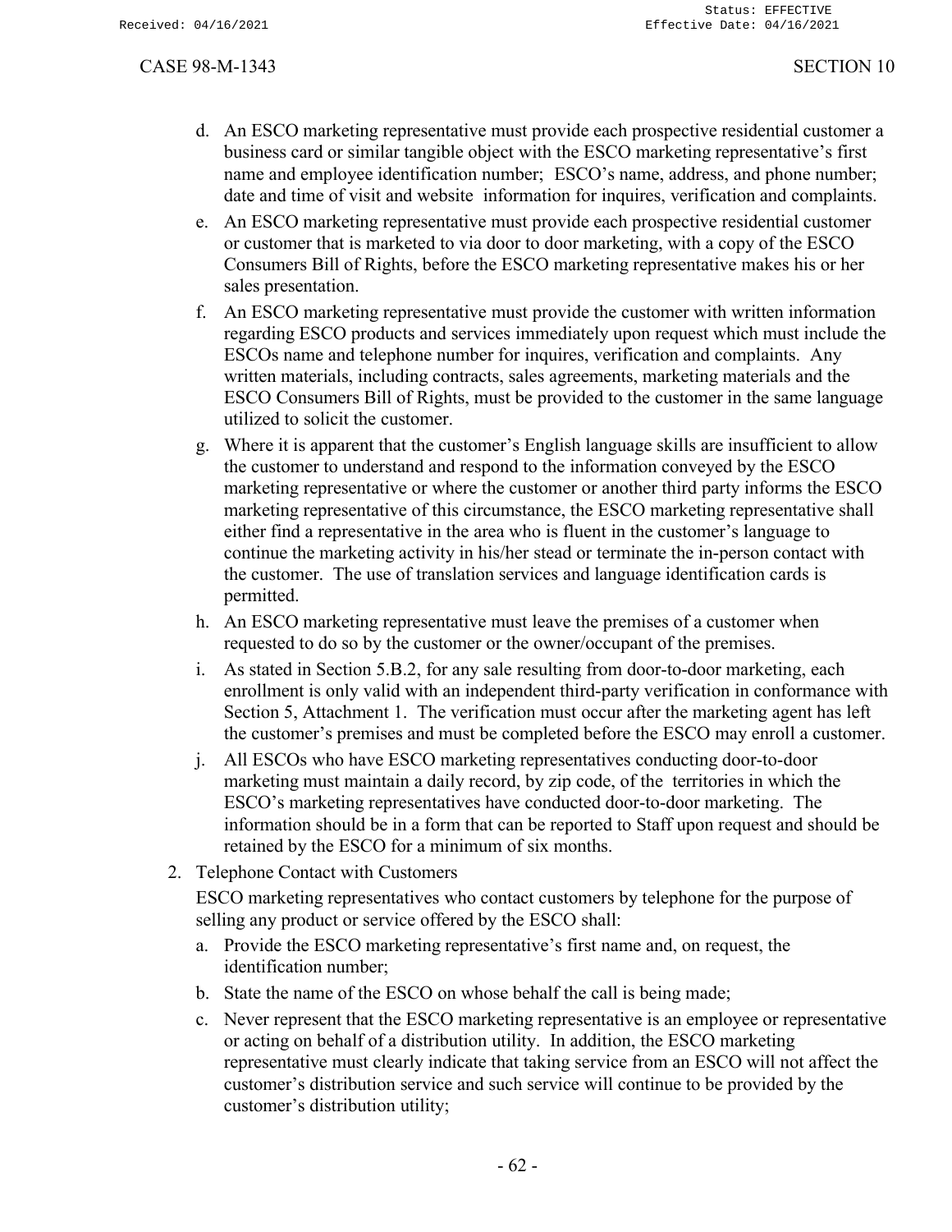- d. An ESCO marketing representative must provide each prospective residential customer a business card or similar tangible object with the ESCO marketing representative's first name and employee identification number; ESCO's name, address, and phone number; date and time of visit and website information for inquires, verification and complaints.
- e. An ESCO marketing representative must provide each prospective residential customer or customer that is marketed to via door to door marketing, with a copy of the ESCO Consumers Bill of Rights, before the ESCO marketing representative makes his or her sales presentation.
- f. An ESCO marketing representative must provide the customer with written information regarding ESCO products and services immediately upon request which must include the ESCOs name and telephone number for inquires, verification and complaints. Any written materials, including contracts, sales agreements, marketing materials and the ESCO Consumers Bill of Rights, must be provided to the customer in the same language utilized to solicit the customer.
- g. Where it is apparent that the customer's English language skills are insufficient to allow the customer to understand and respond to the information conveyed by the ESCO marketing representative or where the customer or another third party informs the ESCO marketing representative of this circumstance, the ESCO marketing representative shall either find a representative in the area who is fluent in the customer's language to continue the marketing activity in his/her stead or terminate the in-person contact with the customer. The use of translation services and language identification cards is permitted.
- h. An ESCO marketing representative must leave the premises of a customer when requested to do so by the customer or the owner/occupant of the premises.
- i. As stated in Section 5.B.2, for any sale resulting from door-to-door marketing, each enrollment is only valid with an independent third-party verification in conformance with Section 5, Attachment 1. The verification must occur after the marketing agent has left the customer's premises and must be completed before the ESCO may enroll a customer.
- j. All ESCOs who have ESCO marketing representatives conducting door-to-door marketing must maintain a daily record, by zip code, of the territories in which the ESCO's marketing representatives have conducted door-to-door marketing. The information should be in a form that can be reported to Staff upon request and should be retained by the ESCO for a minimum of six months.
- 2. Telephone Contact with Customers

ESCO marketing representatives who contact customers by telephone for the purpose of selling any product or service offered by the ESCO shall:

- a. Provide the ESCO marketing representative's first name and, on request, the identification number;
- b. State the name of the ESCO on whose behalf the call is being made;
- c. Never represent that the ESCO marketing representative is an employee or representative or acting on behalf of a distribution utility. In addition, the ESCO marketing representative must clearly indicate that taking service from an ESCO will not affect the customer's distribution service and such service will continue to be provided by the customer's distribution utility;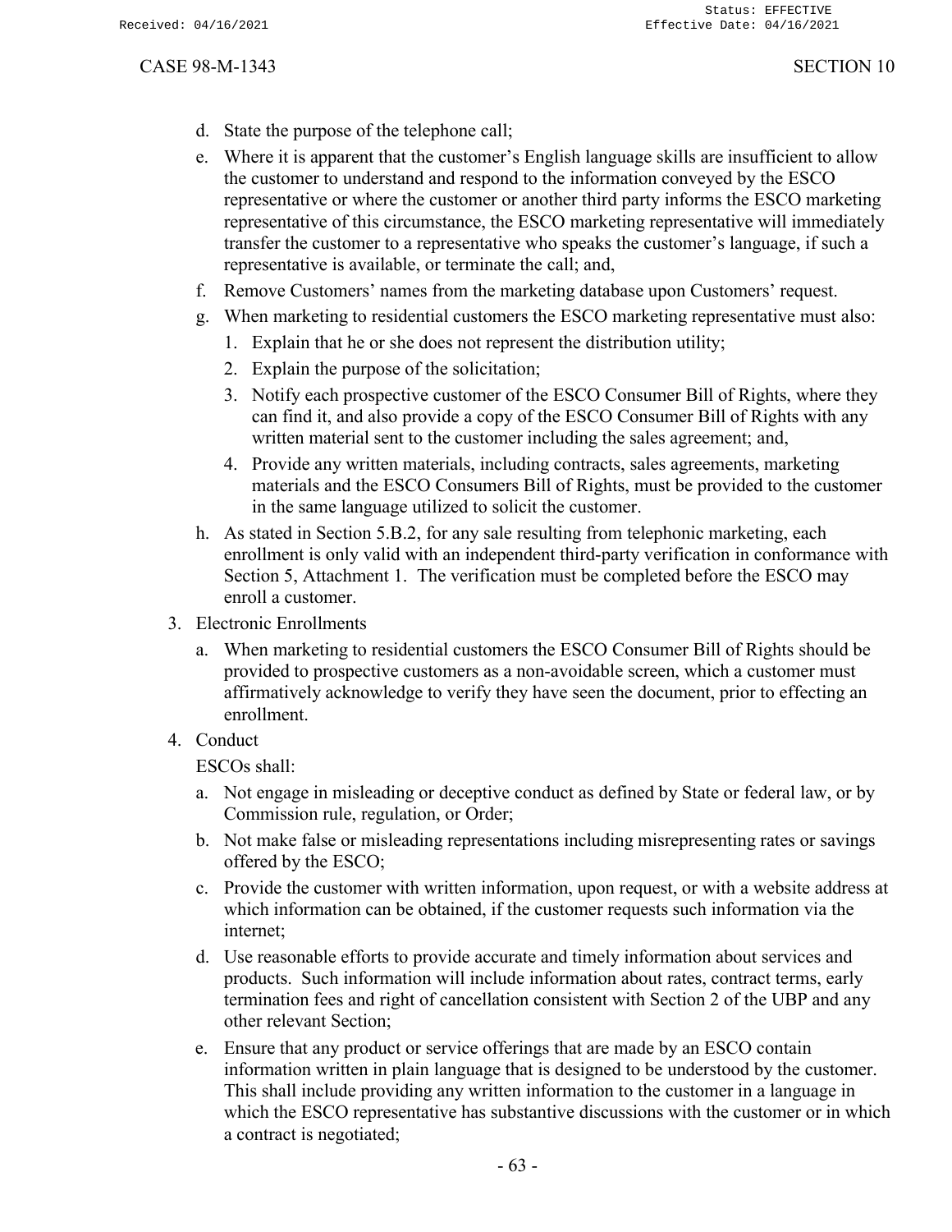- d. State the purpose of the telephone call;
- e. Where it is apparent that the customer's English language skills are insufficient to allow the customer to understand and respond to the information conveyed by the ESCO representative or where the customer or another third party informs the ESCO marketing representative of this circumstance, the ESCO marketing representative will immediately transfer the customer to a representative who speaks the customer's language, if such a representative is available, or terminate the call; and,
- f. Remove Customers' names from the marketing database upon Customers' request.
- g. When marketing to residential customers the ESCO marketing representative must also:
	- 1. Explain that he or she does not represent the distribution utility;
	- 2. Explain the purpose of the solicitation;
	- 3. Notify each prospective customer of the ESCO Consumer Bill of Rights, where they can find it, and also provide a copy of the ESCO Consumer Bill of Rights with any written material sent to the customer including the sales agreement; and,
	- 4. Provide any written materials, including contracts, sales agreements, marketing materials and the ESCO Consumers Bill of Rights, must be provided to the customer in the same language utilized to solicit the customer.
- h. As stated in Section 5.B.2, for any sale resulting from telephonic marketing, each enrollment is only valid with an independent third-party verification in conformance with Section 5, Attachment 1. The verification must be completed before the ESCO may enroll a customer.
- 3. Electronic Enrollments
	- a. When marketing to residential customers the ESCO Consumer Bill of Rights should be provided to prospective customers as a non-avoidable screen, which a customer must affirmatively acknowledge to verify they have seen the document, prior to effecting an enrollment.
- 4. Conduct

ESCOs shall:

- a. Not engage in misleading or deceptive conduct as defined by State or federal law, or by Commission rule, regulation, or Order;
- b. Not make false or misleading representations including misrepresenting rates or savings offered by the ESCO;
- c. Provide the customer with written information, upon request, or with a website address at which information can be obtained, if the customer requests such information via the internet;
- d. Use reasonable efforts to provide accurate and timely information about services and products. Such information will include information about rates, contract terms, early termination fees and right of cancellation consistent with Section 2 of the UBP and any other relevant Section;
- e. Ensure that any product or service offerings that are made by an ESCO contain information written in plain language that is designed to be understood by the customer. This shall include providing any written information to the customer in a language in which the ESCO representative has substantive discussions with the customer or in which a contract is negotiated;